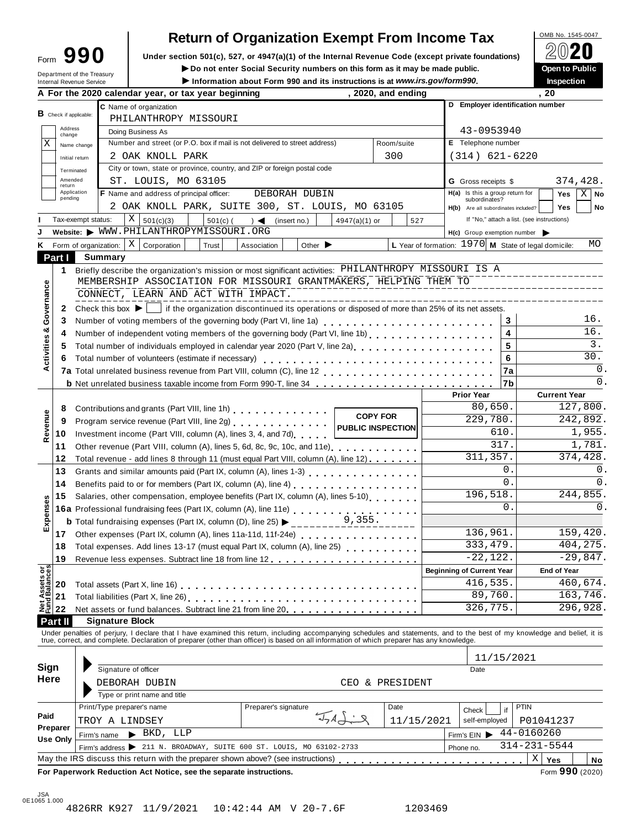| Form                                                  | Ч |  |
|-------------------------------------------------------|---|--|
| Department of the Treasur<br>Internal Revenue Service |   |  |

**Sign**

# **Return of Organization Exempt From Income Tax**<br>section 501(c). 527. or 4947(a)(1) of the Internal Revenue Code (except private foundations)<br>20**20**

**Under section 501(c), 527, or 4947(a)(1) of the Internal Revenue Code (except private foundations) <b>Form 390** A<br>
■ Do not enter Social Security numbers on this form as it may be made public. **Propertionally** 

 $\blacktriangleright$  Do not enter Social Security numbers on this form as it may be made public.

| Department of the Treasury<br>Internal Revenue Service |                        | ► Do not enter Social Security numbers on this form as it may be made public.<br>Information about Form 990 and its instructions is at www.irs.gov/form990.                                                                                  |                    |                          |                                                        | Open to Public<br>Inspection |
|--------------------------------------------------------|------------------------|----------------------------------------------------------------------------------------------------------------------------------------------------------------------------------------------------------------------------------------------|--------------------|--------------------------|--------------------------------------------------------|------------------------------|
|                                                        |                        | A For the 2020 calendar year, or tax year beginning                                                                                                                                                                                          |                    | , 2020, and ending       |                                                        | . 20                         |
| $B$ Check if applicable:                               |                        | C Name of organization<br>PHILANTHROPY MISSOURI                                                                                                                                                                                              |                    |                          | D Employer identification number                       |                              |
| Address<br>change                                      |                        | Doing Business As                                                                                                                                                                                                                            |                    |                          | 43-0953940                                             |                              |
| X<br>Name change                                       |                        | Number and street (or P.O. box if mail is not delivered to street address)                                                                                                                                                                   |                    | Room/suite               | E Telephone number                                     |                              |
| Initial return                                         |                        | 2 OAK KNOLL PARK                                                                                                                                                                                                                             |                    | 300                      | $(314) 621 - 6220$                                     |                              |
| Terminated                                             |                        | City or town, state or province, country, and ZIP or foreign postal code                                                                                                                                                                     |                    |                          |                                                        |                              |
| Amended<br>return                                      |                        | ST. LOUIS, MO 63105                                                                                                                                                                                                                          |                    |                          | <b>G</b> Gross receipts \$                             | 374,428.                     |
| Application<br>pending                                 |                        | F Name and address of principal officer:<br>DEBORAH DUBIN                                                                                                                                                                                    |                    |                          | H(a) Is this a group return for<br>subordinates?       | $X \mid$ No<br>Yes           |
|                                                        |                        | 2 OAK KNOLL PARK, SUITE 300, ST. LOUIS, MO 63105                                                                                                                                                                                             |                    |                          | H(b) Are all subordinates included?                    | Yes<br>No                    |
| Tax-exempt status:                                     |                        | ΧI<br>501(c)(3)<br>$501(c)$ (<br>$\rightarrow$ $\blacktriangleleft$<br>(insert no.)                                                                                                                                                          | 4947(a)(1) or      | 527                      | If "No," attach a list. (see instructions)             |                              |
|                                                        |                        | Website: WWW.PHILANTHROPYMISSOURI.ORG                                                                                                                                                                                                        |                    |                          | $H(c)$ Group exemption number                          |                              |
| K Form of organization:                                |                        | $X \mid$<br>Corporation<br>Trust<br>Other $\blacktriangleright$<br>Association                                                                                                                                                               |                    |                          | L Year of formation: $1970$ M State of legal domicile: | МO                           |
| Part I                                                 | Summary                |                                                                                                                                                                                                                                              |                    |                          |                                                        |                              |
| 1                                                      |                        | Briefly describe the organization's mission or most significant activities: PHILANTHROPY MISSOURI IS A                                                                                                                                       |                    |                          |                                                        |                              |
|                                                        |                        | MEMBERSHIP ASSOCIATION FOR MISSOURI GRANTMAKERS, HELPING THEM TO                                                                                                                                                                             |                    |                          |                                                        |                              |
|                                                        |                        | CONNECT, LEARN AND ACT WITH IMPACT.                                                                                                                                                                                                          |                    |                          |                                                        |                              |
| $\mathbf{2}$                                           |                        | Check this box $\blacktriangleright$   if the organization discontinued its operations or disposed of more than 25% of its net assets.                                                                                                       |                    |                          |                                                        |                              |
| 3                                                      |                        |                                                                                                                                                                                                                                              |                    |                          | 3                                                      | 16.                          |
| 4                                                      |                        | Number of independent voting members of the governing body (Part VI, line 1b)                                                                                                                                                                |                    |                          | 4                                                      | 16.                          |
| 5                                                      |                        | Total number of individuals employed in calendar year 2020 (Part V, line 2a)                                                                                                                                                                 |                    |                          | 5                                                      | $\overline{3}$ .             |
| 6                                                      |                        | Total number of volunteers (estimate if necessary)                                                                                                                                                                                           |                    |                          | 6                                                      | 30.                          |
|                                                        |                        |                                                                                                                                                                                                                                              |                    |                          | 7a                                                     | 0.                           |
|                                                        |                        | <b>b</b> Net unrelated business taxable income from Form 990-T, line 34                                                                                                                                                                      |                    |                          | 7b                                                     | $\mathbf 0$ .                |
|                                                        |                        |                                                                                                                                                                                                                                              |                    |                          | <b>Prior Year</b>                                      | <b>Current Year</b>          |
| 8                                                      |                        | Contributions and grants (Part VIII, line 1h)                                                                                                                                                                                                |                    | <b>COPY FOR</b>          | 80,650.                                                | 127,800.                     |
| 9                                                      |                        | Program service revenue (Part VIII, line 2g) [10] Program service revenue (Part VIII, line 2g)                                                                                                                                               |                    | <b>PUBLIC INSPECTION</b> | 229,780.                                               | 242,892.                     |
| Revenue<br>10                                          |                        | Investment income (Part VIII, column (A), lines 3, 4, and 7d)                                                                                                                                                                                |                    |                          | 610.                                                   | 1,955.                       |
| 11                                                     |                        | Other revenue (Part VIII, column (A), lines 5, 6d, 8c, 9c, 10c, and 11e)                                                                                                                                                                     |                    |                          | 317.                                                   | 1,781.                       |
| 12                                                     |                        | Total revenue - add lines 8 through 11 (must equal Part VIII, column (A), line 12)                                                                                                                                                           |                    |                          | 311, 357.                                              | 374, 428.                    |
| 13                                                     |                        | Grants and similar amounts paid (Part IX, column (A), lines 1-3)<br><sub>1111</sub> , $\cdots$ , $\cdots$ , $\cdots$ , $\cdots$ , $\cdots$                                                                                                   |                    |                          | 0.                                                     | 0.<br>$\mathbf 0$ .          |
| 14                                                     |                        |                                                                                                                                                                                                                                              |                    |                          | 0.                                                     |                              |
| 15                                                     |                        | Salaries, other compensation, employee benefits (Part IX, column (A), lines 5-10)                                                                                                                                                            |                    |                          | 196, 518.                                              | 244,855.                     |
|                                                        |                        | 16a Professional fundraising fees (Part IX, column (A), line 11e)                                                                                                                                                                            |                    |                          | $\Omega$ .                                             | 0.                           |
|                                                        |                        | <b>b</b> Total fundraising expenses (Part IX, column (D), line 25) $\blacktriangleright$ ______                                                                                                                                              | 9,355.             |                          |                                                        |                              |
|                                                        |                        | 17 Other expenses (Part IX, column (A), lines 11a-11d, 11f-24e)                                                                                                                                                                              |                    |                          | 136,961.                                               | 159,420.                     |
| 18                                                     |                        | Total expenses. Add lines 13-17 (must equal Part IX, column (A), line 25)                                                                                                                                                                    |                    |                          | 333, 479.                                              | 404, 275.                    |
| 19                                                     |                        |                                                                                                                                                                                                                                              |                    |                          | $-22, 122.$                                            | $-29,847.$                   |
| Net Assets or<br>Fund Balances                         |                        | <b>Beginning of Current Year</b>                                                                                                                                                                                                             | <b>End of Year</b> |                          |                                                        |                              |
| 20                                                     |                        |                                                                                                                                                                                                                                              |                    | 416,535.                 | 460,674.                                               |                              |
| 21                                                     |                        |                                                                                                                                                                                                                                              |                    | 89,760.                  | 163,746.                                               |                              |
| 22                                                     |                        | Net assets or fund balances. Subtract line 21 from line 20 [11] [12] Net assets or fund balances. Subtract line 21 from line 20 [12] $\sim$ 10 [12] $\sim$ 10 [12] $\sim$ 10 [12] $\sim$ 10 [12] $\sim$ 10 [12] $\sim$ 10 [12] $\sim$ 10 [12 |                    |                          | 326,775.                                               | 296,928.                     |
| Part II                                                | <b>Signature Block</b> |                                                                                                                                                                                                                                              |                    |                          |                                                        |                              |
|                                                        |                        | Under penalties of perjury, I declare that I have examined this return, including accompanying schedules and statements, and to the best of my knowledge and belief, it is true, correct, and complete. Declaration of prepare               |                    |                          |                                                        |                              |
|                                                        |                        |                                                                                                                                                                                                                                              |                    |                          |                                                        |                              |
| Sign                                                   |                        |                                                                                                                                                                                                                                              |                    |                          | 11/15/2021                                             |                              |
| Here                                                   | Signature of officer   |                                                                                                                                                                                                                                              |                    |                          | Date                                                   |                              |

| Here                                                                                                | DEBORAH DUBIN                                                        | & PRESIDENT<br>CEO   |                            |                    |             |  |  |  |  |  |
|-----------------------------------------------------------------------------------------------------|----------------------------------------------------------------------|----------------------|----------------------------|--------------------|-------------|--|--|--|--|--|
|                                                                                                     | Type or print name and title                                         |                      |                            |                    |             |  |  |  |  |  |
|                                                                                                     | Print/Type preparer's name                                           | Preparer's signature | Date                       | Check              | <b>PTIN</b> |  |  |  |  |  |
| Paid                                                                                                | 'TROY A LINDSEY                                                      |                      | 11/15/2021                 | self-employed      | P01041237   |  |  |  |  |  |
| Preparer<br><b>Use Only</b>                                                                         | $\blacktriangleright$ BKD, LLP<br>Firm's name                        |                      | 44-0160260<br>Firm's $EIN$ |                    |             |  |  |  |  |  |
|                                                                                                     | Firm's address > 211 N. BROADWAY, SUITE 600 ST. LOUIS, MO 63102-2733 |                      | Phone no.                  | $314 - 231 - 5544$ |             |  |  |  |  |  |
| May the IRS discuss this return with the preparer shown above? (see instructions)<br>Χ<br>Yes<br>No |                                                                      |                      |                            |                    |             |  |  |  |  |  |
| Form 990 (2020)<br>For Paperwork Reduction Act Notice, see the separate instructions.               |                                                                      |                      |                            |                    |             |  |  |  |  |  |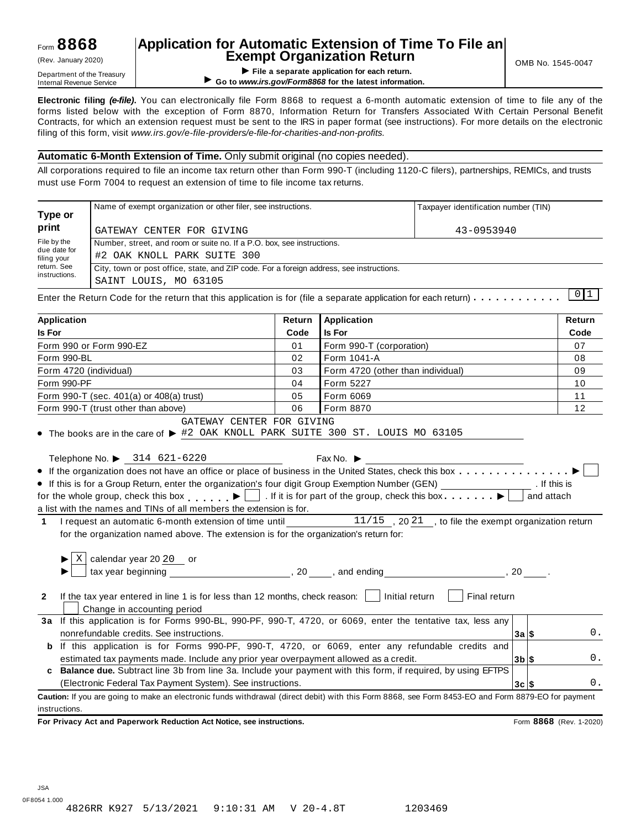## **Application for Automatic Extension of Time To File an Exempt Organization Return** (Rev. January 2020) OMB No. 1545-0047

**EXEMPL OF GETTIPL OF SERVIPTION ARELATION ARELATION**<br>
Department of the Treasury<br>
Internal Revenue Service → Co to www.irs.gov/Form8868 for the latest information

▶ Go to www.irs.gov/Form8868 for the latest information.

**Electronic filing** *(e-file)***.** You can electronically file Form 8868 to request a 6-month automatic extension of time to file any of the forms listed below with the exception of Form 8870, Information Return for Transfers Associated With Certain Personal Benefit Contracts, for which an extension request must be sent to the IRS in paper format (see instructions). For more details on the electronic filing of this form, visit *www.irs.gov/e-file-providers/e-file-for-charities-and-non-profits.*

#### **Automatic 6-Month Extension of Time.** Only submit original (no copies needed).

All corporations required to file an income tax return other than Form 990-T (including 1120-C filers), partnerships, REMICs, and trusts must use Form 7004 to request an extension of time to file income tax returns.

|                             | Name of exempt organization or other filer, see instructions.                                                                                                                                                                            |        |                                                                                                                                                                                                                                 | Taxpayer identification number (TIN) |        |
|-----------------------------|------------------------------------------------------------------------------------------------------------------------------------------------------------------------------------------------------------------------------------------|--------|---------------------------------------------------------------------------------------------------------------------------------------------------------------------------------------------------------------------------------|--------------------------------------|--------|
| Type or                     |                                                                                                                                                                                                                                          |        |                                                                                                                                                                                                                                 |                                      |        |
| print                       | GATEWAY CENTER FOR GIVING                                                                                                                                                                                                                |        |                                                                                                                                                                                                                                 | 43-0953940                           |        |
| File by the<br>due date for | Number, street, and room or suite no. If a P.O. box, see instructions.                                                                                                                                                                   |        |                                                                                                                                                                                                                                 |                                      |        |
| filing your                 | #2 OAK KNOLL PARK SUITE 300                                                                                                                                                                                                              |        |                                                                                                                                                                                                                                 |                                      |        |
| return. See                 | City, town or post office, state, and ZIP code. For a foreign address, see instructions.                                                                                                                                                 |        |                                                                                                                                                                                                                                 |                                      |        |
| instructions.               | SAINT LOUIS, MO 63105                                                                                                                                                                                                                    |        |                                                                                                                                                                                                                                 |                                      |        |
|                             | Enter the Return Code for the return that this application is for (file a separate application for each return) $\dots \dots \dots \dots$                                                                                                |        |                                                                                                                                                                                                                                 |                                      | 0 1    |
|                             |                                                                                                                                                                                                                                          | Return |                                                                                                                                                                                                                                 |                                      | Return |
| <b>Application</b>          |                                                                                                                                                                                                                                          |        | <b>Application</b>                                                                                                                                                                                                              |                                      |        |
| Is For                      |                                                                                                                                                                                                                                          | Code   | <b>Is For</b>                                                                                                                                                                                                                   |                                      | Code   |
|                             | Form 990 or Form 990-EZ                                                                                                                                                                                                                  | 01     | Form 990-T (corporation)                                                                                                                                                                                                        |                                      | 07     |
| Form 990-BL                 |                                                                                                                                                                                                                                          | 02     | Form 1041-A                                                                                                                                                                                                                     |                                      | 08     |
|                             | Form 4720 (individual)                                                                                                                                                                                                                   | 03     | Form 4720 (other than individual)                                                                                                                                                                                               |                                      | 09     |
| Form 990-PF                 |                                                                                                                                                                                                                                          | 04     | Form 5227                                                                                                                                                                                                                       |                                      | 10     |
|                             | Form 990-T (sec. 401(a) or 408(a) trust)                                                                                                                                                                                                 | 05     | Form 6069                                                                                                                                                                                                                       |                                      | 11     |
|                             | Form 990-T (trust other than above)                                                                                                                                                                                                      | 06     | Form 8870                                                                                                                                                                                                                       |                                      | 12     |
|                             | GATEWAY CENTER FOR GIVING                                                                                                                                                                                                                |        |                                                                                                                                                                                                                                 |                                      |        |
|                             | • The books are in the care of $\blacktriangleright$ #2 OAK KNOLL PARK SUITE 300 ST. LOUIS MO 63105                                                                                                                                      |        |                                                                                                                                                                                                                                 |                                      |        |
|                             |                                                                                                                                                                                                                                          |        |                                                                                                                                                                                                                                 |                                      |        |
|                             | Telephone No. ▶ 314 621-6220                                                                                                                                                                                                             |        | Fax No. $\blacktriangleright$                                                                                                                                                                                                   |                                      |        |
|                             | $\mathcal{L}(\mathcal{A})$ and the set of the set of the set of the set of the set of the set of the set of the set of the set of the set of the set of the set of the set of the set of the set of the set of the set of the set of the |        | $\sim$ . The state of the state of the state of the state of the state of the state of the state of the state of the state of the state of the state of the state of the state of the state of the state of the state of the st |                                      |        |

|  | Telephone No. $\blacktriangleright$ 314 621-6220                                                                                                                            | Fax No. $\blacktriangleright$ |  |              |  |
|--|-----------------------------------------------------------------------------------------------------------------------------------------------------------------------------|-------------------------------|--|--------------|--|
|  | • If the organization does not have an office or place of business in the United States, check this box $\ldots$ , $\ldots$ , $\ldots$                                      |                               |  |              |  |
|  | • If this is for a Group Return, enter the organization's four digit Group Exemption Number (GEN)                                                                           |                               |  | . If this is |  |
|  | for the whole group, check this box $\begin{array}{c} \bullet \end{array}$ If it is for part of the group, check this box $\begin{array}{c} \bullet \end{array}$ and attach |                               |  |              |  |
|  | a list with the names and TINs of all members the extension is for.                                                                                                         |                               |  |              |  |

| 1 I request an automatic 6-month extension of time until                              |  | $11/15$ , 20 21, to file the exempt organization return |
|---------------------------------------------------------------------------------------|--|---------------------------------------------------------|
| for the organization named above. The extension is for the organization's return for: |  |                                                         |

|  | $\blacktriangleright$   X   calendar year 20 20 |  |  |
|--|-------------------------------------------------|--|--|
|  | $\blacktriangleright$   tax year beginning      |  |  |

| $\mathbf{2}$ | If the tax year entered in line 1 is for less than 12 months, check reason: $\vert$   Initial return<br>Final return<br>Change in accounting period |        |    |
|--------------|-----------------------------------------------------------------------------------------------------------------------------------------------------|--------|----|
|              | 3a If this application is for Forms 990-BL, 990-PF, 990-T, 4720, or 6069, enter the tentative tax, less any                                         |        |    |
|              | nonrefundable credits. See instructions.                                                                                                            | 3a ∣\$ | 0. |
|              | <b>b</b> If this application is for Forms 990-PF, 990-T, 4720, or 6069, enter any refundable credits and                                            |        |    |
|              | estimated tax payments made. Include any prior year overpayment allowed as a credit.                                                                | $3b$ s | 0. |
|              | c Balance due. Subtract line 3b from line 3a. Include your payment with this form, if required, by using EFTPS                                      |        |    |

 $\begin{array}{c} \text{and ending} \end{array}$ , 20 , and ending , 20 , 20

(Electronic Federal Tax Payment System). See instructions.

**3c \$ Caution:** If you are going to make an electronic funds withdrawal (direct debit) with this Form 8868, see Form 8453-EO and Form 8879-EO for payment instructions.

**For Privacy Act and Paperwork Reduction Act Notice, see instructions.** Form **8868** (Rev. 1-2020)

0.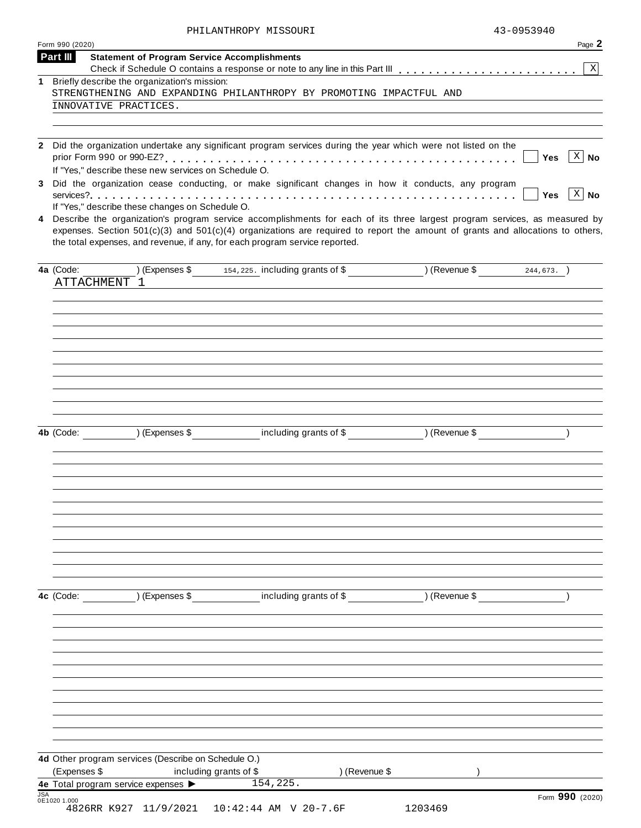| PHILANTHROPY MISSOURI |  | 43-0953940 |
|-----------------------|--|------------|
|-----------------------|--|------------|

| Form 990 (2020)           |                                                      |                                                                             |               |                                                                                                                                                                                                                                                                    | Page 2                             |
|---------------------------|------------------------------------------------------|-----------------------------------------------------------------------------|---------------|--------------------------------------------------------------------------------------------------------------------------------------------------------------------------------------------------------------------------------------------------------------------|------------------------------------|
| Part III                  |                                                      | <b>Statement of Program Service Accomplishments</b>                         |               |                                                                                                                                                                                                                                                                    |                                    |
|                           | 1 Briefly describe the organization's mission:       |                                                                             |               |                                                                                                                                                                                                                                                                    | $\mathbf{x}$                       |
|                           |                                                      | STRENGTHENING AND EXPANDING PHILANTHROPY BY PROMOTING IMPACTFUL AND         |               |                                                                                                                                                                                                                                                                    |                                    |
| INNOVATIVE PRACTICES.     |                                                      |                                                                             |               |                                                                                                                                                                                                                                                                    |                                    |
|                           |                                                      |                                                                             |               |                                                                                                                                                                                                                                                                    |                                    |
|                           |                                                      |                                                                             |               |                                                                                                                                                                                                                                                                    |                                    |
|                           | If "Yes," describe these new services on Schedule O. |                                                                             |               | Did the organization undertake any significant program services during the year which were not listed on the                                                                                                                                                       | $ X $ No<br>Yes                    |
|                           |                                                      |                                                                             |               | Did the organization cease conducting, or make significant changes in how it conducts, any program                                                                                                                                                                 | $\lceil x \rceil$ No<br><b>Yes</b> |
|                           | If "Yes," describe these changes on Schedule O.      | the total expenses, and revenue, if any, for each program service reported. |               | 4 Describe the organization's program service accomplishments for each of its three largest program services, as measured by<br>expenses. Section $501(c)(3)$ and $501(c)(4)$ organizations are required to report the amount of grants and allocations to others, |                                    |
| 4a (Code:<br>ATTACHMENT 1 |                                                      |                                                                             |               | (Expenses \$154,225. including grants of \$154,225. including grants of \$154,673. )                                                                                                                                                                               |                                    |
|                           |                                                      |                                                                             |               |                                                                                                                                                                                                                                                                    |                                    |
|                           |                                                      |                                                                             |               |                                                                                                                                                                                                                                                                    |                                    |
|                           |                                                      |                                                                             |               |                                                                                                                                                                                                                                                                    |                                    |
|                           |                                                      |                                                                             |               | 4b (Code: ) (Expenses \$ including grants of \$ ) (Revenue \$                                                                                                                                                                                                      |                                    |
|                           |                                                      |                                                                             |               |                                                                                                                                                                                                                                                                    |                                    |
|                           |                                                      |                                                                             |               |                                                                                                                                                                                                                                                                    |                                    |
|                           |                                                      |                                                                             |               |                                                                                                                                                                                                                                                                    |                                    |
| 4c (Code:                 | ) (Expenses \$                                       |                                                                             |               | including grants of \$ ) (Revenue \$                                                                                                                                                                                                                               |                                    |
|                           |                                                      |                                                                             |               |                                                                                                                                                                                                                                                                    |                                    |
|                           |                                                      |                                                                             |               |                                                                                                                                                                                                                                                                    |                                    |
|                           |                                                      |                                                                             |               |                                                                                                                                                                                                                                                                    |                                    |
|                           |                                                      |                                                                             |               |                                                                                                                                                                                                                                                                    |                                    |
| (Expenses \$              | 4d Other program services (Describe on Schedule O.)  | including grants of \$                                                      | ) (Revenue \$ |                                                                                                                                                                                                                                                                    |                                    |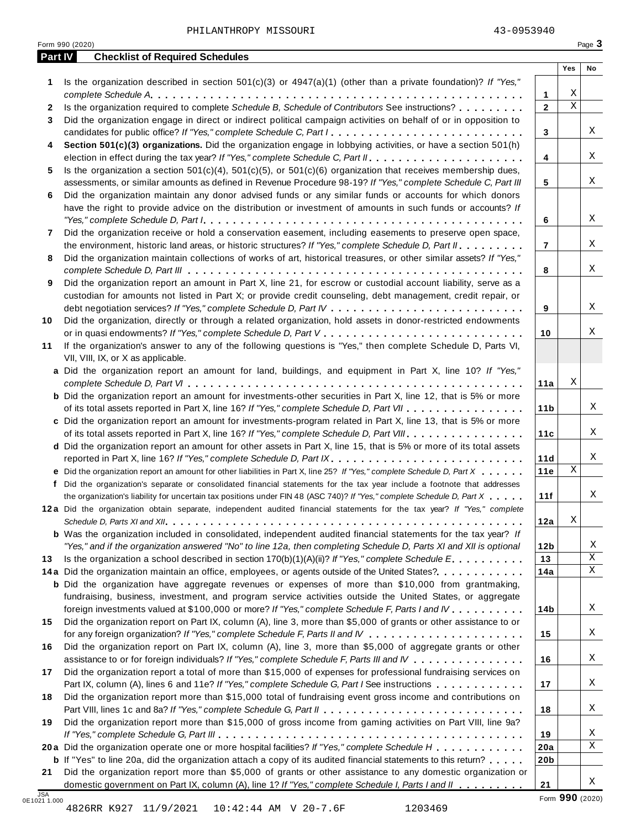| Part IV      | <b>Checklist of Required Schedules</b>                                                                                  |                 |             |    |
|--------------|-------------------------------------------------------------------------------------------------------------------------|-----------------|-------------|----|
|              |                                                                                                                         |                 | Yes         | No |
| 1            | Is the organization described in section $501(c)(3)$ or $4947(a)(1)$ (other than a private foundation)? If "Yes,"       |                 |             |    |
|              |                                                                                                                         | 1               | Χ           |    |
| $\mathbf{2}$ | Is the organization required to complete Schedule B, Schedule of Contributors See instructions?                         | $\mathbf{2}$    | $\mathbf X$ |    |
| 3            | Did the organization engage in direct or indirect political campaign activities on behalf of or in opposition to        |                 |             |    |
|              | candidates for public office? If "Yes," complete Schedule C, Part I.                                                    | 3               |             | Χ  |
| 4            | Section 501(c)(3) organizations. Did the organization engage in lobbying activities, or have a section 501(h)           |                 |             |    |
|              |                                                                                                                         | 4               |             | X  |
| 5            | Is the organization a section $501(c)(4)$ , $501(c)(5)$ , or $501(c)(6)$ organization that receives membership dues,    |                 |             | Χ  |
|              | assessments, or similar amounts as defined in Revenue Procedure 98-19? If "Yes," complete Schedule C, Part III          | 5               |             |    |
| 6            | Did the organization maintain any donor advised funds or any similar funds or accounts for which donors                 |                 |             |    |
|              | have the right to provide advice on the distribution or investment of amounts in such funds or accounts? If             |                 |             | X  |
|              |                                                                                                                         | 6               |             |    |
| 7            | Did the organization receive or hold a conservation easement, including easements to preserve open space,               |                 |             | Χ  |
|              | the environment, historic land areas, or historic structures? If "Yes," complete Schedule D, Part II.                   | $\overline{7}$  |             |    |
| 8            | Did the organization maintain collections of works of art, historical treasures, or other similar assets? If "Yes,"     |                 |             | Χ  |
|              | Did the organization report an amount in Part X, line 21, for escrow or custodial account liability, serve as a         | 8               |             |    |
| 9            | custodian for amounts not listed in Part X; or provide credit counseling, debt management, credit repair, or            |                 |             |    |
|              |                                                                                                                         | 9               |             | X  |
| 10           | Did the organization, directly or through a related organization, hold assets in donor-restricted endowments            |                 |             |    |
|              |                                                                                                                         | 10              |             | Χ  |
| 11           | If the organization's answer to any of the following questions is "Yes," then complete Schedule D, Parts VI,            |                 |             |    |
|              | VII, VIII, IX, or X as applicable.                                                                                      |                 |             |    |
|              | a Did the organization report an amount for land, buildings, and equipment in Part X, line 10? If "Yes,"                |                 |             |    |
|              |                                                                                                                         | 11a             | Χ           |    |
|              | <b>b</b> Did the organization report an amount for investments-other securities in Part X, line 12, that is 5% or more  |                 |             |    |
|              | of its total assets reported in Part X, line 16? If "Yes," complete Schedule D, Part VII                                | 11 <sub>b</sub> |             | Χ  |
|              | c Did the organization report an amount for investments-program related in Part X, line 13, that is 5% or more          |                 |             |    |
|              | of its total assets reported in Part X, line 16? If "Yes," complete Schedule D, Part VIII                               | 11c             |             | Χ  |
|              | d Did the organization report an amount for other assets in Part X, line 15, that is 5% or more of its total assets     |                 |             |    |
|              | reported in Part X, line 16? If "Yes," complete Schedule D, Part IX.                                                    | 11d             |             | Χ  |
|              | e Did the organization report an amount for other liabilities in Part X, line 25? If "Yes," complete Schedule D, Part X | 11e             | $\mathbf X$ |    |
| f            | Did the organization's separate or consolidated financial statements for the tax year include a footnote that addresses |                 |             |    |
|              | the organization's liability for uncertain tax positions under FIN 48 (ASC 740)? If "Yes," complete Schedule D, Part X  | 11f             |             | Χ  |
|              | 12a Did the organization obtain separate, independent audited financial statements for the tax year? If "Yes," complete |                 |             |    |
|              |                                                                                                                         | 12a             | Χ           |    |
|              | <b>b</b> Was the organization included in consolidated, independent audited financial statements for the tax year? If   |                 |             |    |
|              | "Yes," and if the organization answered "No" to line 12a, then completing Schedule D, Parts XI and XII is optional      | 12 <sub>b</sub> |             | Χ  |
| 13           | Is the organization a school described in section $170(b)(1)(A)(ii)$ ? If "Yes," complete Schedule E.                   | 13              |             | Χ  |
|              | 14a Did the organization maintain an office, employees, or agents outside of the United States?.                        | 14a             |             | Χ  |
|              | <b>b</b> Did the organization have aggregate revenues or expenses of more than \$10,000 from grantmaking,               |                 |             |    |
|              | fundraising, business, investment, and program service activities outside the United States, or aggregate               |                 |             |    |
|              | foreign investments valued at \$100,000 or more? If "Yes," complete Schedule F, Parts I and IV                          | 14b             |             | Χ  |
| 15           | Did the organization report on Part IX, column (A), line 3, more than \$5,000 of grants or other assistance to or       |                 |             |    |
|              |                                                                                                                         | 15              |             | Χ  |
| 16           | Did the organization report on Part IX, column (A), line 3, more than \$5,000 of aggregate grants or other              |                 |             |    |
|              | assistance to or for foreign individuals? If "Yes," complete Schedule F, Parts III and IV                               | 16              |             | Χ  |
| 17           | Did the organization report a total of more than \$15,000 of expenses for professional fundraising services on          |                 |             |    |
|              | Part IX, column (A), lines 6 and 11e? If "Yes," complete Schedule G, Part I See instructions                            | 17              |             | Χ  |
| 18           | Did the organization report more than \$15,000 total of fundraising event gross income and contributions on             |                 |             |    |
|              |                                                                                                                         | 18              |             | Χ  |
| 19           | Did the organization report more than \$15,000 of gross income from gaming activities on Part VIII, line 9a?            |                 |             |    |
|              |                                                                                                                         | 19              |             | Χ  |
|              | 20a Did the organization operate one or more hospital facilities? If "Yes," complete Schedule H                         | 20a             |             | Χ  |
|              | <b>b</b> If "Yes" to line 20a, did the organization attach a copy of its audited financial statements to this return?   | 20 <sub>b</sub> |             |    |
| 21           | Did the organization report more than \$5,000 of grants or other assistance to any domestic organization or             |                 |             |    |
|              | domestic government on Part IX, column (A), line 1? If "Yes," complete Schedule I, Parts I and II                       | 21              |             | X  |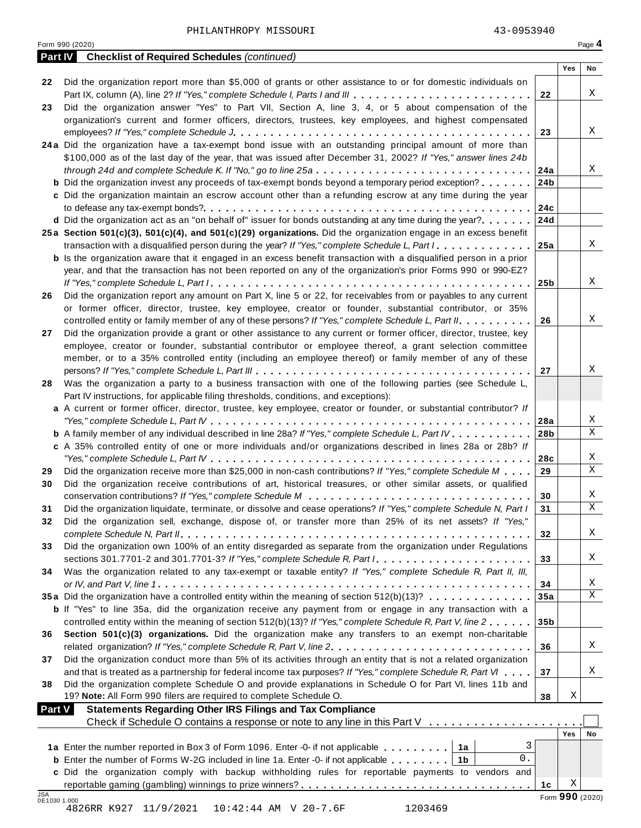|               | <b>Part IV</b> Checklist of Required Schedules (continued)                                                                |                 |                 |             |
|---------------|---------------------------------------------------------------------------------------------------------------------------|-----------------|-----------------|-------------|
|               |                                                                                                                           |                 | Yes             | No          |
| 22            | Did the organization report more than \$5,000 of grants or other assistance to or for domestic individuals on             |                 |                 |             |
|               | Part IX, column (A), line 2? If "Yes," complete Schedule I, Parts I and III                                               | 22              |                 | Χ           |
| 23            | Did the organization answer "Yes" to Part VII, Section A, line 3, 4, or 5 about compensation of the                       |                 |                 |             |
|               | organization's current and former officers, directors, trustees, key employees, and highest compensated                   |                 |                 |             |
|               |                                                                                                                           | 23              |                 | X           |
|               | 24a Did the organization have a tax-exempt bond issue with an outstanding principal amount of more than                   |                 |                 |             |
|               | \$100,000 as of the last day of the year, that was issued after December 31, 2002? If "Yes," answer lines 24b             |                 |                 |             |
|               |                                                                                                                           |                 |                 | Χ           |
|               | <b>b</b> Did the organization invest any proceeds of tax-exempt bonds beyond a temporary period exception? 24b            |                 |                 |             |
|               | c Did the organization maintain an escrow account other than a refunding escrow at any time during the year               |                 |                 |             |
|               |                                                                                                                           |                 |                 |             |
|               | <b>d</b> Did the organization act as an "on behalf of" issuer for bonds outstanding at any time during the year? 24d      |                 |                 |             |
|               | 25a Section 501(c)(3), 501(c)(4), and 501(c)(29) organizations. Did the organization engage in an excess benefit          |                 |                 |             |
|               | transaction with a disqualified person during the year? If "Yes," complete Schedule L, Part $1, \ldots, \ldots, 125$ a    |                 |                 | X           |
|               | <b>b</b> Is the organization aware that it engaged in an excess benefit transaction with a disqualified person in a prior |                 |                 |             |
|               | year, and that the transaction has not been reported on any of the organization's prior Forms 990 or 990-EZ?              |                 |                 |             |
|               |                                                                                                                           |                 |                 | Χ           |
| 26            | Did the organization report any amount on Part X, line 5 or 22, for receivables from or payables to any current           |                 |                 |             |
|               | or former officer, director, trustee, key employee, creator or founder, substantial contributor, or 35%                   |                 |                 |             |
|               | controlled entity or family member of any of these persons? If "Yes," complete Schedule L, Part II.                       | 26              |                 | X           |
| 27            | Did the organization provide a grant or other assistance to any current or former officer, director, trustee, key         |                 |                 |             |
|               | employee, creator or founder, substantial contributor or employee thereof, a grant selection committee                    |                 |                 |             |
|               | member, or to a 35% controlled entity (including an employee thereof) or family member of any of these                    |                 |                 |             |
|               |                                                                                                                           | 27              |                 | X           |
| 28            | Was the organization a party to a business transaction with one of the following parties (see Schedule L,                 |                 |                 |             |
|               | Part IV instructions, for applicable filing thresholds, conditions, and exceptions):                                      |                 |                 |             |
|               | a A current or former officer, director, trustee, key employee, creator or founder, or substantial contributor? If        |                 |                 |             |
|               |                                                                                                                           |                 |                 | Χ           |
|               | <b>b</b> A family member of any individual described in line 28a? If "Yes," complete Schedule L, Part IV.                 | 28 <sub>b</sub> |                 | X           |
|               | c A 35% controlled entity of one or more individuals and/or organizations described in lines 28a or 28b? If               |                 |                 |             |
|               |                                                                                                                           | 28c             |                 | X           |
| 29            | Did the organization receive more than \$25,000 in non-cash contributions? If "Yes," complete Schedule M $\ldots$         | 29              |                 | $\mathbf X$ |
| 30            | Did the organization receive contributions of art, historical treasures, or other similar assets, or qualified            |                 |                 |             |
|               |                                                                                                                           | 30              |                 | X           |
| 31            | Did the organization liquidate, terminate, or dissolve and cease operations? If "Yes," complete Schedule N, Part I        | 31              |                 | $\mathbf X$ |
| 32            | Did the organization sell, exchange, dispose of, or transfer more than 25% of its net assets? If "Yes,"                   |                 |                 |             |
|               |                                                                                                                           | 32              |                 | X           |
|               | Did the organization own 100% of an entity disregarded as separate from the organization under Regulations                |                 |                 |             |
| 33            |                                                                                                                           |                 |                 | Χ           |
|               | Was the organization related to any tax-exempt or taxable entity? If "Yes," complete Schedule R, Part II, III,            | 33              |                 |             |
| 34            |                                                                                                                           |                 |                 | Χ           |
|               | 35a Did the organization have a controlled entity within the meaning of section 512(b)(13)?                               | 34              |                 | $\mathbf X$ |
|               |                                                                                                                           | 35a             |                 |             |
|               | <b>b</b> If "Yes" to line 35a, did the organization receive any payment from or engage in any transaction with a          |                 |                 |             |
|               | controlled entity within the meaning of section 512(b)(13)? If "Yes," complete Schedule R, Part V, line 2                 | 35 <sub>b</sub> |                 |             |
| 36            | Section 501(c)(3) organizations. Did the organization make any transfers to an exempt non-charitable                      |                 |                 |             |
|               |                                                                                                                           | 36              |                 | X           |
| 37            | Did the organization conduct more than 5% of its activities through an entity that is not a related organization          |                 |                 |             |
|               | and that is treated as a partnership for federal income tax purposes? If "Yes," complete Schedule R, Part VI              | 37              |                 | Χ           |
| 38            | Did the organization complete Schedule O and provide explanations in Schedule O for Part VI, lines 11b and                |                 |                 |             |
|               | 19? Note: All Form 990 filers are required to complete Schedule O.                                                        | 38              | Χ               |             |
| <b>Part V</b> | <b>Statements Regarding Other IRS Filings and Tax Compliance</b>                                                          |                 |                 |             |
|               | Check if Schedule O contains a response or note to any line in this Part V                                                |                 |                 |             |
|               |                                                                                                                           |                 | Yes             | No          |
|               | 3<br>1a Enter the number reported in Box 3 of Form 1096. Enter -0- if not applicable   1a                                 |                 |                 |             |
|               | 0.<br><b>b</b> Enter the number of Forms W-2G included in line 1a. Enter -0- if not applicable   1b                       |                 |                 |             |
|               | c Did the organization comply with backup withholding rules for reportable payments to vendors and                        |                 |                 |             |
| <b>JSA</b>    |                                                                                                                           | 1c              | Χ               |             |
| 0E1030 1.000  |                                                                                                                           |                 | Form 990 (2020) |             |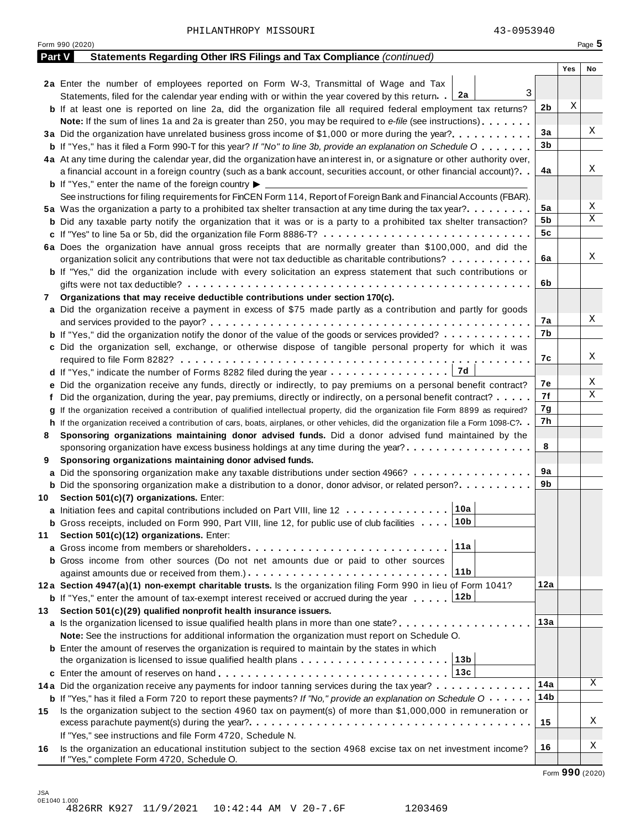|        | Form 990 (2020)                                                                                                                      |     |     | Page 5 |
|--------|--------------------------------------------------------------------------------------------------------------------------------------|-----|-----|--------|
| Part V | Statements Regarding Other IRS Filings and Tax Compliance (continued)                                                                |     |     |        |
|        |                                                                                                                                      |     | Yes | No     |
|        | 2a Enter the number of employees reported on Form W-3, Transmittal of Wage and Tax                                                   |     |     |        |
|        | 3<br>Statements, filed for the calendar year ending with or within the year covered by this return. [2a                              |     |     |        |
|        | <b>b</b> If at least one is reported on line 2a, did the organization file all required federal employment tax returns?              | 2b  | Χ   |        |
|        | <b>Note:</b> If the sum of lines 1a and 2a is greater than 250, you may be required to e-file (see instructions).                    |     |     |        |
|        | 3a Did the organization have unrelated business gross income of \$1,000 or more during the year?                                     | 3a  |     | Χ      |
|        | <b>b</b> If "Yes," has it filed a Form 990-T for this year? If "No" to line 3b, provide an explanation on Schedule O                 | 3b  |     |        |
|        | 4a At any time during the calendar year, did the organization have an interest in, or a signature or other authority over,           |     |     |        |
|        | a financial account in a foreign country (such as a bank account, securities account, or other financial account)?                   | 4a  |     | Χ      |
|        | <b>b</b> If "Yes," enter the name of the foreign country $\blacktriangleright$                                                       |     |     |        |
|        | See instructions for filing requirements for FinCEN Form 114, Report of Foreign Bank and Financial Accounts (FBAR).                  |     |     |        |
|        | 5a Was the organization a party to a prohibited tax shelter transaction at any time during the tax year?                             | 5a  |     | Χ      |
|        | <b>b</b> Did any taxable party notify the organization that it was or is a party to a prohibited tax shelter transaction?            | 5b  |     | Χ      |
|        | c If "Yes" to line 5a or 5b, did the organization file Form 8886-T?                                                                  | 5c  |     |        |
|        | 6a Does the organization have annual gross receipts that are normally greater than \$100,000, and did the                            |     |     |        |
|        |                                                                                                                                      | 6a  |     | Χ      |
|        | organization solicit any contributions that were not tax deductible as charitable contributions?                                     |     |     |        |
|        | <b>b</b> If "Yes," did the organization include with every solicitation an express statement that such contributions or              |     |     |        |
|        |                                                                                                                                      | 6b  |     |        |
| 7      | Organizations that may receive deductible contributions under section 170(c).                                                        |     |     |        |
|        | a Did the organization receive a payment in excess of \$75 made partly as a contribution and partly for goods                        |     |     |        |
|        |                                                                                                                                      | 7a  |     | Χ      |
|        | <b>b</b> If "Yes," did the organization notify the donor of the value of the goods or services provided?                             | 7b  |     |        |
|        | c Did the organization sell, exchange, or otherwise dispose of tangible personal property for which it was                           |     |     |        |
|        |                                                                                                                                      | 7c  |     | Χ      |
|        |                                                                                                                                      |     |     |        |
|        | e Did the organization receive any funds, directly or indirectly, to pay premiums on a personal benefit contract?                    | 7е  |     | Χ      |
|        | f Did the organization, during the year, pay premiums, directly or indirectly, on a personal benefit contract?                       | 7f  |     | Χ      |
|        | g If the organization received a contribution of qualified intellectual property, did the organization file Form 8899 as required?   | 7g  |     |        |
|        | h If the organization received a contribution of cars, boats, airplanes, or other vehicles, did the organization file a Form 1098-C? | 7h  |     |        |
| 8      | Sponsoring organizations maintaining donor advised funds. Did a donor advised fund maintained by the                                 |     |     |        |
|        | sponsoring organization have excess business holdings at any time during the year?                                                   | 8   |     |        |
| 9      | Sponsoring organizations maintaining donor advised funds.                                                                            |     |     |        |
|        | a Did the sponsoring organization make any taxable distributions under section 4966?                                                 | 9a  |     |        |
|        | <b>b</b> Did the sponsoring organization make a distribution to a donor, donor advisor, or related person?                           | 9b  |     |        |
| 10     | Section 501(c)(7) organizations. Enter:                                                                                              |     |     |        |
|        | 10a<br>a Initiation fees and capital contributions included on Part VIII, line 12                                                    |     |     |        |
|        | 10b<br><b>b</b> Gross receipts, included on Form 990, Part VIII, line 12, for public use of club facilities                          |     |     |        |
| 11     | Section 501(c)(12) organizations. Enter:                                                                                             |     |     |        |
|        | 11a<br>a Gross income from members or shareholders                                                                                   |     |     |        |
|        | b Gross income from other sources (Do not net amounts due or paid to other sources                                                   |     |     |        |
|        | 11 <sub>b</sub>                                                                                                                      |     |     |        |
|        |                                                                                                                                      | 12a |     |        |
|        | 12a Section 4947(a)(1) non-exempt charitable trusts. Is the organization filing Form 990 in lieu of Form 1041?                       |     |     |        |
|        | 12b<br><b>b</b> If "Yes," enter the amount of tax-exempt interest received or accrued during the year                                |     |     |        |
| 13     | Section 501(c)(29) qualified nonprofit health insurance issuers.                                                                     |     |     |        |
|        | a Is the organization licensed to issue qualified health plans in more than one state?                                               | 13а |     |        |
|        | Note: See the instructions for additional information the organization must report on Schedule O.                                    |     |     |        |
|        | <b>b</b> Enter the amount of reserves the organization is required to maintain by the states in which                                |     |     |        |
|        | the organization is licensed to issue qualified health plans $\ldots \ldots \ldots \ldots \ldots \ldots \ldots$                      |     |     |        |
|        | 13c                                                                                                                                  |     |     |        |
|        | 14a Did the organization receive any payments for indoor tanning services during the tax year?                                       | 14a |     | Χ      |
|        | <b>b</b> If "Yes," has it filed a Form 720 to report these payments? If "No," provide an explanation on Schedule O                   | 14b |     |        |
| 15     | Is the organization subject to the section 4960 tax on payment(s) of more than \$1,000,000 in remuneration or                        |     |     |        |
|        |                                                                                                                                      | 15  |     | Χ      |
|        | If "Yes," see instructions and file Form 4720, Schedule N.                                                                           |     |     |        |
| 16.    | Is the organization an educational institution subject to the section 4968 excise tax on net investment income?                      | 16  |     | Χ      |
|        | If "Yes," complete Form 4720, Schedule O.                                                                                            |     |     |        |

Form **990** (2020)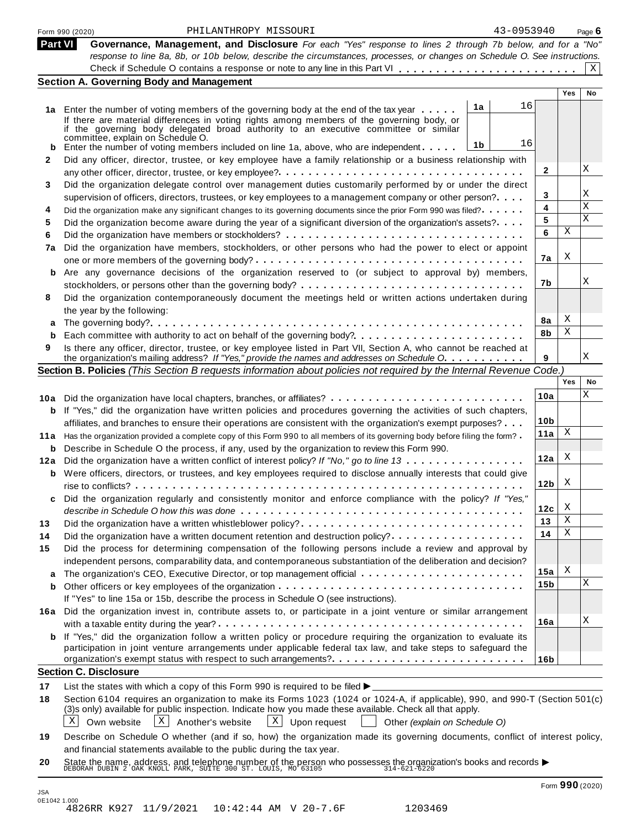|                                       | Form 990 (2020)                                                                                                                                                                                                                                                                | 43-0953940      |            | Page $6$  |
|---------------------------------------|--------------------------------------------------------------------------------------------------------------------------------------------------------------------------------------------------------------------------------------------------------------------------------|-----------------|------------|-----------|
|                                       | <b>Part VI</b><br>Governance, Management, and Disclosure For each "Yes" response to lines 2 through 7b below, and for a "No"                                                                                                                                                   |                 |            |           |
|                                       | response to line 8a, 8b, or 10b below, describe the circumstances, processes, or changes on Schedule O. See instructions.                                                                                                                                                      |                 |            |           |
|                                       |                                                                                                                                                                                                                                                                                |                 |            | X         |
|                                       | <b>Section A. Governing Body and Management</b>                                                                                                                                                                                                                                |                 | <b>Yes</b> | <b>No</b> |
|                                       | 16<br>1a                                                                                                                                                                                                                                                                       |                 |            |           |
|                                       | 1a Enter the number of voting members of the governing body at the end of the tax year<br>If there are material differences in voting rights among members of the governing body, or                                                                                           |                 |            |           |
|                                       | if the governing body delegated broad authority to an executive committee or similar                                                                                                                                                                                           |                 |            |           |
|                                       | committée, explain on Schedule O.                                                                                                                                                                                                                                              |                 |            |           |
|                                       | 16<br>1b<br>Enter the number of voting members included on line 1a, above, who are independent                                                                                                                                                                                 |                 |            |           |
| 2                                     | Did any officer, director, trustee, or key employee have a family relationship or a business relationship with                                                                                                                                                                 |                 |            |           |
|                                       |                                                                                                                                                                                                                                                                                | 2               |            | Χ         |
| 3                                     | Did the organization delegate control over management duties customarily performed by or under the direct                                                                                                                                                                      |                 |            |           |
|                                       | supervision of officers, directors, trustees, or key employees to a management company or other person?                                                                                                                                                                        | 3               |            | Χ         |
| 4                                     | Did the organization make any significant changes to its governing documents since the prior Form 990 was filed?                                                                                                                                                               | 4               |            | Χ         |
| 5                                     | Did the organization become aware during the year of a significant diversion of the organization's assets?                                                                                                                                                                     | 5               |            | Χ         |
| 6                                     |                                                                                                                                                                                                                                                                                | 6               | Χ          |           |
|                                       | Did the organization have members, stockholders, or other persons who had the power to elect or appoint                                                                                                                                                                        |                 |            |           |
| 7a                                    |                                                                                                                                                                                                                                                                                | 7a              | X          |           |
|                                       |                                                                                                                                                                                                                                                                                |                 |            |           |
| b                                     | Are any governance decisions of the organization reserved to (or subject to approval by) members,                                                                                                                                                                              |                 |            | Χ         |
|                                       |                                                                                                                                                                                                                                                                                | 7b              |            |           |
| 8                                     | Did the organization contemporaneously document the meetings held or written actions undertaken during                                                                                                                                                                         |                 |            |           |
|                                       | the year by the following:                                                                                                                                                                                                                                                     |                 |            |           |
| а                                     |                                                                                                                                                                                                                                                                                | 8a              | X          |           |
| b                                     |                                                                                                                                                                                                                                                                                | 8b              | Χ          |           |
| 9                                     | Is there any officer, director, trustee, or key employee listed in Part VII, Section A, who cannot be reached at                                                                                                                                                               |                 |            |           |
|                                       | the organization's mailing address? If "Yes," provide the names and addresses on Schedule O.                                                                                                                                                                                   | 9               |            | Χ         |
|                                       | Section B. Policies (This Section B requests information about policies not required by the Internal Revenue Code.)                                                                                                                                                            |                 |            |           |
|                                       |                                                                                                                                                                                                                                                                                |                 | Yes        | No        |
|                                       | 10a Did the organization have local chapters, branches, or affiliates?                                                                                                                                                                                                         | 10a             |            | Χ         |
|                                       |                                                                                                                                                                                                                                                                                |                 |            |           |
|                                       | <b>b</b> If "Yes," did the organization have written policies and procedures governing the activities of such chapters,                                                                                                                                                        | 10 <sub>b</sub> |            |           |
|                                       | affiliates, and branches to ensure their operations are consistent with the organization's exempt purposes?                                                                                                                                                                    | 11a             | X          |           |
|                                       | 11a Has the organization provided a complete copy of this Form 990 to all members of its governing body before filing the form?                                                                                                                                                |                 |            |           |
|                                       | <b>b</b> Describe in Schedule O the process, if any, used by the organization to review this Form 990.                                                                                                                                                                         |                 |            |           |
|                                       |                                                                                                                                                                                                                                                                                |                 |            |           |
|                                       | 12a Did the organization have a written conflict of interest policy? If "No," go to line 13                                                                                                                                                                                    | 12a             | X          |           |
|                                       | <b>b</b> Were officers, directors, or trustees, and key employees required to disclose annually interests that could give                                                                                                                                                      |                 |            |           |
|                                       |                                                                                                                                                                                                                                                                                | 12 <sub>b</sub> | X          |           |
|                                       | Did the organization regularly and consistently monitor and enforce compliance with the policy? If "Yes,"                                                                                                                                                                      |                 |            |           |
|                                       |                                                                                                                                                                                                                                                                                | 12c             | X          |           |
|                                       |                                                                                                                                                                                                                                                                                | 13              | X          |           |
|                                       | Did the organization have a written whistleblower policy?                                                                                                                                                                                                                      | 14              | Χ          |           |
|                                       | Did the organization have a written document retention and destruction policy?                                                                                                                                                                                                 |                 |            |           |
|                                       | Did the process for determining compensation of the following persons include a review and approval by                                                                                                                                                                         |                 |            |           |
|                                       | independent persons, comparability data, and contemporaneous substantiation of the deliberation and decision?                                                                                                                                                                  |                 |            |           |
|                                       | The organization's CEO, Executive Director, or top management official                                                                                                                                                                                                         | 15a             | X          |           |
|                                       |                                                                                                                                                                                                                                                                                | 15b             |            | Χ         |
|                                       | If "Yes" to line 15a or 15b, describe the process in Schedule O (see instructions).                                                                                                                                                                                            |                 |            |           |
|                                       | 16a Did the organization invest in, contribute assets to, or participate in a joint venture or similar arrangement                                                                                                                                                             |                 |            |           |
|                                       |                                                                                                                                                                                                                                                                                | 16a             |            | Χ         |
|                                       | <b>b</b> If "Yes," did the organization follow a written policy or procedure requiring the organization to evaluate its                                                                                                                                                        |                 |            |           |
|                                       | participation in joint venture arrangements under applicable federal tax law, and take steps to safeguard the                                                                                                                                                                  |                 |            |           |
|                                       |                                                                                                                                                                                                                                                                                | 16 <sub>b</sub> |            |           |
|                                       | <b>Section C. Disclosure</b>                                                                                                                                                                                                                                                   |                 |            |           |
|                                       |                                                                                                                                                                                                                                                                                |                 |            |           |
|                                       | List the states with which a copy of this Form 990 is required to be filed $\blacktriangleright$                                                                                                                                                                               |                 |            |           |
|                                       | Section 6104 requires an organization to make its Forms 1023 (1024 or 1024-A, if applicable), 990, and 990-T (Section 501(c)                                                                                                                                                   |                 |            |           |
|                                       | (3)s only) available for public inspection. Indicate how you made these available. Check all that apply.                                                                                                                                                                       |                 |            |           |
|                                       | Χ<br>$X$ Upon request<br>ΧI<br>Own website<br>Another's website<br>Other (explain on Schedule O)                                                                                                                                                                               |                 |            |           |
| 13<br>14<br>15<br>b<br>17<br>18<br>19 | Describe on Schedule O whether (and if so, how) the organization made its governing documents, conflict of interest policy,                                                                                                                                                    |                 |            |           |
|                                       | and financial statements available to the public during the tax year.<br>State the name, address, and telephone number of the person who possesses the organization's books and records $\blacktriangleright$<br>DEBORAH DUBIN 2 OAK KNOLL PARK, SUITE 300 ST. LOUIS, MO 63105 |                 |            |           |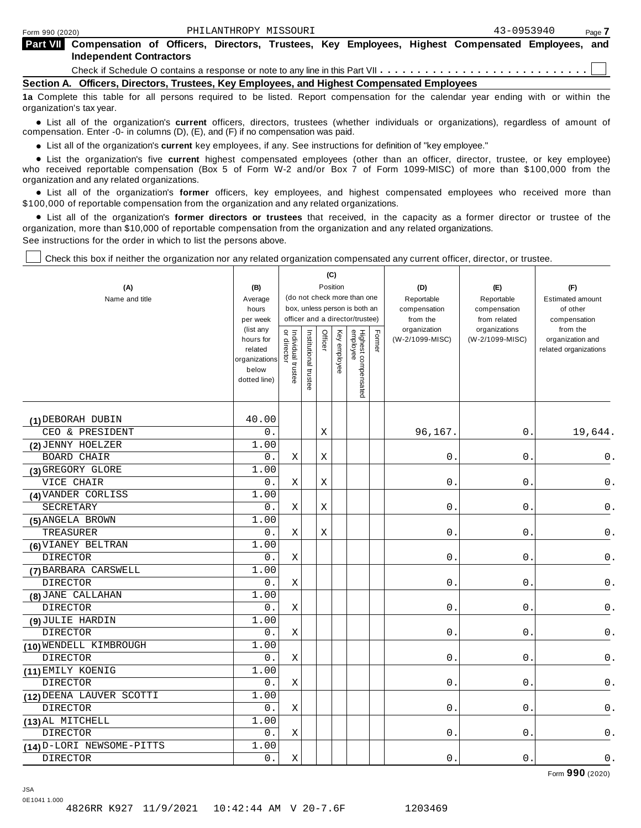| Part VII Compensation of Officers, Directors, Trustees, Key Employees, Highest Compensated Employees, and |  |  |  |  |  |
|-----------------------------------------------------------------------------------------------------------|--|--|--|--|--|
| <b>Independent Contractors</b>                                                                            |  |  |  |  |  |

Check if Schedule O contains a response or note to any line in this Part VII  $\dots \dots \dots \dots \dots \dots \dots \dots \dots \dots \dots \dots$ 

**Section A. Officers, Directors, Trustees, Key Employees, and Highest Compensated Employees**

**1a** Complete this table for all persons required to be listed. Report compensation for the calendar year ending with or within the organization's tax year.

anization's lax year.<br>● List all of the organization's **current** officers, directors, trustees (whether individuals or organizations), regardless of amount of<br>nnensation Enter -0- in columns (D) (E) and (E) if no compensa compensation. Enter -0- in columns (D), (E), and (F) if no compensation was paid.

• List all of the organization's current key employees, if any. See instructions for definition of "key employee."

■ List all of the organization's current key employees, if any. See instructions for definition of "key employee."<br>■ List the organization's five current highest compensated employees (other than an officer, director, tru who received reportable compensation (Box 5 of Form W-2 and/or Box 7 of Form 1099-MISC) of more than \$100,000 from the<br>organization and any related organizations.

organization and any related organizations.<br>• List all of the organization's **former** officers, key employees, and highest compensated employees who received more than<br>\$1.00.000 of reportable componention from the erganiza \$100,000 of reportable compensation from the organization and any related organizations.

% List all of the organization's **former directors or trustees** that received, in the capacity as a former director or trustee of the organization, more than \$10,000 of reportable compensation from the organization and any related organizations. See instructions for the order in which to list the persons above.

Check this box if neither the organization nor any related organization compensated any current officer, director, or trustee.

|                           |                                                                |                                   |                       | (C)         |              |                                 |        |                          |                               |                                           |
|---------------------------|----------------------------------------------------------------|-----------------------------------|-----------------------|-------------|--------------|---------------------------------|--------|--------------------------|-------------------------------|-------------------------------------------|
| (A)                       | (B)                                                            |                                   |                       |             | Position     |                                 |        | (D)                      | (E)                           | (F)                                       |
| Name and title            | Average                                                        |                                   |                       |             |              | (do not check more than one     |        | Reportable               | Reportable                    | <b>Estimated amount</b>                   |
|                           | hours                                                          |                                   |                       |             |              | box, unless person is both an   |        | compensation             | compensation                  | of other                                  |
|                           | per week<br>(list any                                          |                                   |                       |             |              | officer and a director/trustee) |        | from the<br>organization | from related<br>organizations | compensation<br>from the                  |
|                           | hours for<br>related<br>organizations<br>below<br>dotted line) | Individual trustee<br>or director | Institutional trustee | Officer     | Key employee | Highest compensated<br>employee | Former | (W-2/1099-MISC)          | (W-2/1099-MISC)               | organization and<br>related organizations |
|                           |                                                                |                                   |                       |             |              |                                 |        |                          |                               |                                           |
| (1) DEBORAH DUBIN         | 40.00                                                          |                                   |                       |             |              |                                 |        |                          |                               |                                           |
| CEO & PRESIDENT           | $0$ .                                                          |                                   |                       | Χ           |              |                                 |        | 96,167.                  | $\boldsymbol{0}$ .            | 19,644.                                   |
| (2) JENNY HOELZER         | 1.00                                                           |                                   |                       |             |              |                                 |        |                          |                               |                                           |
| BOARD CHAIR               | О.                                                             | X                                 |                       | $\mathbf X$ |              |                                 |        | 0                        | 0                             | 0.                                        |
| (3) GREGORY GLORE         | 1.00                                                           |                                   |                       |             |              |                                 |        |                          |                               |                                           |
| VICE CHAIR                | 0.                                                             | X                                 |                       | X           |              |                                 |        | 0                        | 0                             | $\mathsf 0$ .                             |
| (4) VANDER CORLISS        | 1.00                                                           |                                   |                       |             |              |                                 |        |                          |                               |                                           |
| SECRETARY                 | $0$ .                                                          | X                                 |                       | Χ           |              |                                 |        | $0$ .                    | 0                             | $\mathsf 0$ .                             |
| (5) ANGELA BROWN          | 1.00                                                           |                                   |                       |             |              |                                 |        |                          |                               |                                           |
| TREASURER                 | 0.                                                             | $\mathbf X$                       |                       | X           |              |                                 |        | 0                        | 0                             | $\mathsf 0$ .                             |
| (6) VIANEY BELTRAN        | 1.00                                                           |                                   |                       |             |              |                                 |        |                          |                               |                                           |
| <b>DIRECTOR</b>           | 0.                                                             | Χ                                 |                       |             |              |                                 |        | 0                        | 0                             | 0.                                        |
| (7) BARBARA CARSWELL      | 1.00                                                           |                                   |                       |             |              |                                 |        |                          |                               |                                           |
| <b>DIRECTOR</b>           | $0$ .                                                          | X                                 |                       |             |              |                                 |        | 0                        | 0                             | $\mathsf 0$ .                             |
| (8) JANE CALLAHAN         | 1.00                                                           |                                   |                       |             |              |                                 |        |                          |                               |                                           |
| <b>DIRECTOR</b>           | 0.                                                             | Х                                 |                       |             |              |                                 |        | $\mathsf 0$              | 0                             | $0$ .                                     |
| (9) JULIE HARDIN          | 1.00                                                           |                                   |                       |             |              |                                 |        |                          |                               |                                           |
| <b>DIRECTOR</b>           | $0$ .                                                          | Χ                                 |                       |             |              |                                 |        | 0                        | $0$ .                         | $0$ .                                     |
| (10) WENDELL KIMBROUGH    | 1.00                                                           |                                   |                       |             |              |                                 |        |                          |                               |                                           |
| <b>DIRECTOR</b>           | 0.                                                             | Χ                                 |                       |             |              |                                 |        | $\mathsf{O}$ .           | 0                             | $0$ .                                     |
| (11) EMILY KOENIG         | 1.00                                                           |                                   |                       |             |              |                                 |        |                          |                               |                                           |
| <b>DIRECTOR</b>           | 0.                                                             | Χ                                 |                       |             |              |                                 |        | 0                        | 0                             | $\mathsf 0$ .                             |
| (12) DEENA LAUVER SCOTTI  | 1.00                                                           |                                   |                       |             |              |                                 |        |                          |                               |                                           |
| DIRECTOR                  | $0$ .                                                          | Χ                                 |                       |             |              |                                 |        | 0                        | 0                             | $\mathsf 0$ .                             |
| (13) AL MITCHELL          | 1.00                                                           |                                   |                       |             |              |                                 |        |                          |                               |                                           |
| <b>DIRECTOR</b>           | 0.                                                             | Х                                 |                       |             |              |                                 |        | 0                        | 0                             | $\mathsf{0}$ .                            |
| (14) D-LORI NEWSOME-PITTS | 1.00                                                           |                                   |                       |             |              |                                 |        |                          |                               |                                           |
| <b>DIRECTOR</b>           | 0.                                                             | Χ                                 |                       |             |              |                                 |        | $0$ .                    | $0$ .                         | $\mathsf 0$ .                             |

Form **990** (2020)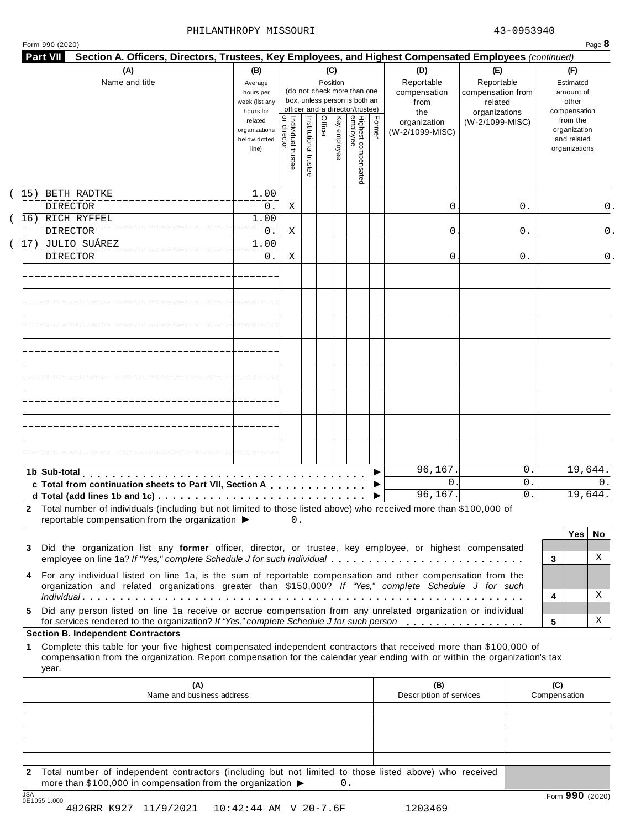| Name and title                                                                                                                                                                                                                                            | (B)<br>Average<br>hours per<br>week (list any<br>hours for |                                     |                       |         | (C)<br>Position | (do not check more than one<br>box, unless person is both an<br>officer and a director/trustee) |        | (D)<br>Reportable<br>compensation<br>from<br>the | (E)<br>Reportable<br>compensation from<br>related<br>organizations | (F)<br>Estimated<br>amount of<br>other<br>compensation   |
|-----------------------------------------------------------------------------------------------------------------------------------------------------------------------------------------------------------------------------------------------------------|------------------------------------------------------------|-------------------------------------|-----------------------|---------|-----------------|-------------------------------------------------------------------------------------------------|--------|--------------------------------------------------|--------------------------------------------------------------------|----------------------------------------------------------|
|                                                                                                                                                                                                                                                           | related<br>organizations<br>below dotted<br>line)          | Individual trustee<br>  or director | Institutional trustee | Officer | Key employee    | Highest compensated<br>employee                                                                 | Former | organization<br>(W-2/1099-MISC)                  | (W-2/1099-MISC)                                                    | from the<br>organization<br>and related<br>organizations |
| 15) BETH RADTKE                                                                                                                                                                                                                                           | 1.00                                                       |                                     |                       |         |                 |                                                                                                 |        |                                                  |                                                                    |                                                          |
| <b>DIRECTOR</b><br>16) RICH RYFFEL<br><b>DIRECTOR</b>                                                                                                                                                                                                     | $0$ .<br>1.00<br>0.                                        | Χ                                   |                       |         |                 |                                                                                                 |        | 0<br>0                                           | 0.<br>0.                                                           | 0.<br>0.                                                 |
| 17) JULIO SUÁREZ<br><b>DIRECTOR</b>                                                                                                                                                                                                                       | 1.00<br>0.                                                 | Χ<br>Χ                              |                       |         |                 |                                                                                                 |        | 0                                                | 0.                                                                 | 0.                                                       |
|                                                                                                                                                                                                                                                           |                                                            |                                     |                       |         |                 |                                                                                                 |        |                                                  |                                                                    |                                                          |
|                                                                                                                                                                                                                                                           |                                                            |                                     |                       |         |                 |                                                                                                 |        |                                                  |                                                                    |                                                          |
|                                                                                                                                                                                                                                                           |                                                            |                                     |                       |         |                 |                                                                                                 |        |                                                  |                                                                    |                                                          |
|                                                                                                                                                                                                                                                           |                                                            |                                     |                       |         |                 |                                                                                                 |        |                                                  |                                                                    |                                                          |
|                                                                                                                                                                                                                                                           |                                                            |                                     |                       |         |                 |                                                                                                 |        |                                                  |                                                                    |                                                          |
|                                                                                                                                                                                                                                                           |                                                            |                                     |                       |         |                 |                                                                                                 |        |                                                  |                                                                    |                                                          |
|                                                                                                                                                                                                                                                           |                                                            |                                     |                       |         |                 |                                                                                                 |        |                                                  |                                                                    |                                                          |
| 1b Sub-total<br>c Total from continuation sheets to Part VII, Section A                                                                                                                                                                                   |                                                            |                                     |                       |         |                 |                                                                                                 |        | 96,167.<br>$\mathbf{0}$                          | 0<br>0                                                             | 19,644.<br>0.                                            |
| 2 Total number of individuals (including but not limited to those listed above) who received more than \$100,000 of<br>reportable compensation from the organization ▶                                                                                    |                                                            | 0.                                  |                       |         |                 |                                                                                                 |        | 96,167.                                          | 0                                                                  | 19,644.                                                  |
| Did the organization list any former officer, director, or trustee, key employee, or highest compensated<br>employee on line 1a? If "Yes," complete Schedule J for such individual                                                                        |                                                            |                                     |                       |         |                 |                                                                                                 |        |                                                  |                                                                    | <b>Yes</b><br>No.<br>X<br>3                              |
| For any individual listed on line 1a, is the sum of reportable compensation and other compensation from the<br>organization and related organizations greater than \$150,000? If "Yes," complete Schedule J for such                                      |                                                            |                                     |                       |         |                 |                                                                                                 |        |                                                  |                                                                    | X<br>4                                                   |
| Did any person listed on line 1a receive or accrue compensation from any unrelated organization or individual<br>for services rendered to the organization? If "Yes," complete Schedule J for such person                                                 |                                                            |                                     |                       |         |                 |                                                                                                 |        |                                                  |                                                                    | х<br>5                                                   |
| <b>Section B. Independent Contractors</b>                                                                                                                                                                                                                 |                                                            |                                     |                       |         |                 |                                                                                                 |        |                                                  |                                                                    |                                                          |
| Complete this table for your five highest compensated independent contractors that received more than \$100,000 of<br>compensation from the organization. Report compensation for the calendar year ending with or within the organization's tax<br>year. |                                                            |                                     |                       |         |                 |                                                                                                 |        |                                                  |                                                                    |                                                          |
| (A)<br>Name and business address                                                                                                                                                                                                                          |                                                            |                                     |                       |         |                 |                                                                                                 |        | (B)<br>Description of services                   |                                                                    | (C)<br>Compensation                                      |
|                                                                                                                                                                                                                                                           |                                                            |                                     |                       |         |                 |                                                                                                 |        |                                                  |                                                                    |                                                          |
|                                                                                                                                                                                                                                                           |                                                            |                                     |                       |         |                 |                                                                                                 |        |                                                  |                                                                    |                                                          |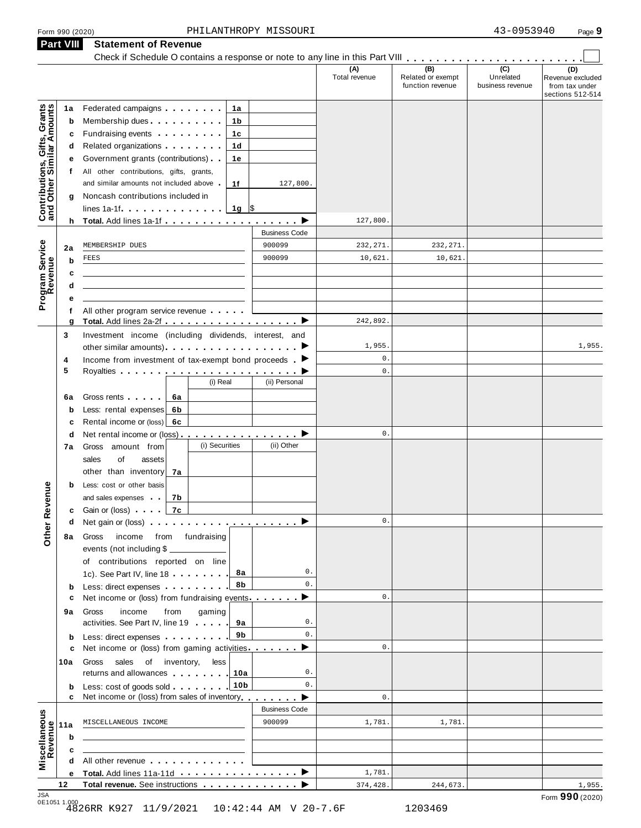**Part VIII Statement of Revenue**

|                                                           | <b>Part VIII</b> | Statement of Revenue                                                                                                                                                                                                                      |                      |                      |                                              |                                      |                                                               |
|-----------------------------------------------------------|------------------|-------------------------------------------------------------------------------------------------------------------------------------------------------------------------------------------------------------------------------------------|----------------------|----------------------|----------------------------------------------|--------------------------------------|---------------------------------------------------------------|
|                                                           |                  |                                                                                                                                                                                                                                           |                      | (A)<br>Total revenue | (B)<br>Related or exempt<br>function revenue | (C)<br>Unrelated<br>business revenue | (D)<br>Revenue excluded<br>from tax under<br>sections 512-514 |
|                                                           | 1a               | Federated campaigns <b>Federated</b><br>1a                                                                                                                                                                                                |                      |                      |                                              |                                      |                                                               |
| Contributions, Gifts, Grants<br>and Other Similar Amounts | b                | Membership dues <b>All Accords</b> Membership dues<br>1b                                                                                                                                                                                  |                      |                      |                                              |                                      |                                                               |
|                                                           | c                | Fundraising events <b>Example 2</b> is a set of the set of the set of the set of the set of the set of the set of the set of the set of the set of the set of the set of the set of the set of the set of the set of the set of the<br>1с |                      |                      |                                              |                                      |                                                               |
|                                                           | d                | Related organizations <b>contains</b> and the set of the set of the set of the set of the set of the set of the set of the set of the set of the set of the set of the set of the set of the set of the set of the set of the set o<br>1d |                      |                      |                                              |                                      |                                                               |
|                                                           | е                | Government grants (contributions).<br>1e                                                                                                                                                                                                  |                      |                      |                                              |                                      |                                                               |
|                                                           | t.               | All other contributions, gifts, grants,                                                                                                                                                                                                   |                      |                      |                                              |                                      |                                                               |
|                                                           |                  | and similar amounts not included above<br>1f                                                                                                                                                                                              | 127,800.             |                      |                                              |                                      |                                                               |
|                                                           | g                | Noncash contributions included in                                                                                                                                                                                                         |                      |                      |                                              |                                      |                                                               |
|                                                           |                  | $1g$ \$<br>lines 1a-1f                                                                                                                                                                                                                    |                      |                      |                                              |                                      |                                                               |
|                                                           |                  | h Total. Add lines 1a-1f $\ldots$ , $\ldots$ , $\ldots$ , $\blacktriangleright$                                                                                                                                                           |                      | 127,800              |                                              |                                      |                                                               |
|                                                           |                  |                                                                                                                                                                                                                                           | <b>Business Code</b> |                      |                                              |                                      |                                                               |
|                                                           | 2a               | MEMBERSHIP DUES                                                                                                                                                                                                                           | 900099               | 232,271.             | 232,271                                      |                                      |                                                               |
|                                                           | b                | FEES                                                                                                                                                                                                                                      | 900099               | 10,621.              | 10,621                                       |                                      |                                                               |
|                                                           | c                |                                                                                                                                                                                                                                           |                      |                      |                                              |                                      |                                                               |
|                                                           | d                |                                                                                                                                                                                                                                           |                      |                      |                                              |                                      |                                                               |
| Program Service<br>Revenue                                | е                |                                                                                                                                                                                                                                           |                      |                      |                                              |                                      |                                                               |
|                                                           | f                | All other program service revenue                                                                                                                                                                                                         |                      |                      |                                              |                                      |                                                               |
|                                                           | g                | Total. Add lines 2a-2f ▶                                                                                                                                                                                                                  |                      | 242,892.             |                                              |                                      |                                                               |
|                                                           | 3                | Investment income (including dividends, interest, and                                                                                                                                                                                     |                      |                      |                                              |                                      |                                                               |
|                                                           |                  |                                                                                                                                                                                                                                           |                      | 1,955.               |                                              |                                      | 1,955.                                                        |
|                                                           | 4                | Income from investment of tax-exempt bond proceeds $\blacktriangleright$                                                                                                                                                                  |                      | $\mathbf 0$ .        |                                              |                                      |                                                               |
|                                                           | 5                |                                                                                                                                                                                                                                           |                      | $0$ .                |                                              |                                      |                                                               |
|                                                           |                  | (i) Real                                                                                                                                                                                                                                  | (ii) Personal        |                      |                                              |                                      |                                                               |
|                                                           | 6a               | Gross rents<br>6a                                                                                                                                                                                                                         |                      |                      |                                              |                                      |                                                               |
|                                                           | b                | Less: rental expenses<br>6b                                                                                                                                                                                                               |                      |                      |                                              |                                      |                                                               |
|                                                           | c                | Rental income or (loss)<br>6с                                                                                                                                                                                                             |                      |                      |                                              |                                      |                                                               |
|                                                           | d                |                                                                                                                                                                                                                                           |                      | $0$ .                |                                              |                                      |                                                               |
|                                                           | 7а               | (i) Securities<br>Gross amount from                                                                                                                                                                                                       | (ii) Other           |                      |                                              |                                      |                                                               |
|                                                           |                  | sales<br>of<br>assets                                                                                                                                                                                                                     |                      |                      |                                              |                                      |                                                               |
|                                                           |                  | other than inventory<br>7а                                                                                                                                                                                                                |                      |                      |                                              |                                      |                                                               |
|                                                           | b                | Less: cost or other basis                                                                                                                                                                                                                 |                      |                      |                                              |                                      |                                                               |
| evenue                                                    |                  | and sales expenses<br>7b                                                                                                                                                                                                                  |                      |                      |                                              |                                      |                                                               |
|                                                           |                  | 7c<br><b>c</b> Gain or (loss) <b>c</b>                                                                                                                                                                                                    |                      |                      |                                              |                                      |                                                               |
| Other <sub>R</sub>                                        | d                | Net gain or (loss)                                                                                                                                                                                                                        | ▸                    | $0$ .                |                                              |                                      |                                                               |
|                                                           | 8a               | income<br>from fundraising<br>Gross                                                                                                                                                                                                       |                      |                      |                                              |                                      |                                                               |
|                                                           |                  | events (not including \$                                                                                                                                                                                                                  |                      |                      |                                              |                                      |                                                               |
|                                                           |                  | of contributions reported on line                                                                                                                                                                                                         |                      |                      |                                              |                                      |                                                               |
|                                                           |                  | 8а<br>1c). See Part IV, line 18                                                                                                                                                                                                           | 0.                   |                      |                                              |                                      |                                                               |
|                                                           | b                | 8b<br>Less: direct expenses                                                                                                                                                                                                               | 0.                   |                      |                                              |                                      |                                                               |
|                                                           | с                | Net income or (loss) from fundraising events.                                                                                                                                                                                             |                      | $\mathbf 0$ .        |                                              |                                      |                                                               |
|                                                           | 9а               | income<br>from<br>gaming<br>Gross                                                                                                                                                                                                         |                      |                      |                                              |                                      |                                                               |
|                                                           |                  | activities. See Part IV, line 19<br>9а                                                                                                                                                                                                    | 0.                   |                      |                                              |                                      |                                                               |
|                                                           | b                | 9b<br>Less: direct expenses                                                                                                                                                                                                               | 0.                   |                      |                                              |                                      |                                                               |
|                                                           | c                | Net income or (loss) from gaming activities.                                                                                                                                                                                              |                      | $0$ .                |                                              |                                      |                                                               |
|                                                           | 10a              | sales of inventory,<br>less<br>Gross                                                                                                                                                                                                      |                      |                      |                                              |                                      |                                                               |
|                                                           |                  | returns and allowances<br>10a                                                                                                                                                                                                             | 0.                   |                      |                                              |                                      |                                                               |
|                                                           | b                | 10 <sub>b</sub><br>Less: cost of goods sold                                                                                                                                                                                               | 0.                   |                      |                                              |                                      |                                                               |
|                                                           | c                | Net income or (loss) from sales of inventory                                                                                                                                                                                              |                      | $\mathbf{0}$ .       |                                              |                                      |                                                               |
|                                                           |                  |                                                                                                                                                                                                                                           | <b>Business Code</b> |                      |                                              |                                      |                                                               |
|                                                           | 11a              | MISCELLANEOUS INCOME                                                                                                                                                                                                                      | 900099               | 1,781.               | 1,781.                                       |                                      |                                                               |
|                                                           | b                |                                                                                                                                                                                                                                           |                      |                      |                                              |                                      |                                                               |
|                                                           | c                |                                                                                                                                                                                                                                           |                      |                      |                                              |                                      |                                                               |
| Miscellaneous<br>Revenue                                  | d                | All other revenue example and the state of the state of the state of the state of the state of the state of the                                                                                                                           |                      |                      |                                              |                                      |                                                               |
|                                                           | е                | Total. Add lines 11a-11d                                                                                                                                                                                                                  |                      | 1,781.               |                                              |                                      |                                                               |
| 10A                                                       | 12               | Total revenue. See instructions                                                                                                                                                                                                           |                      | 374,428.             | 244,673.                                     |                                      | 1,955.                                                        |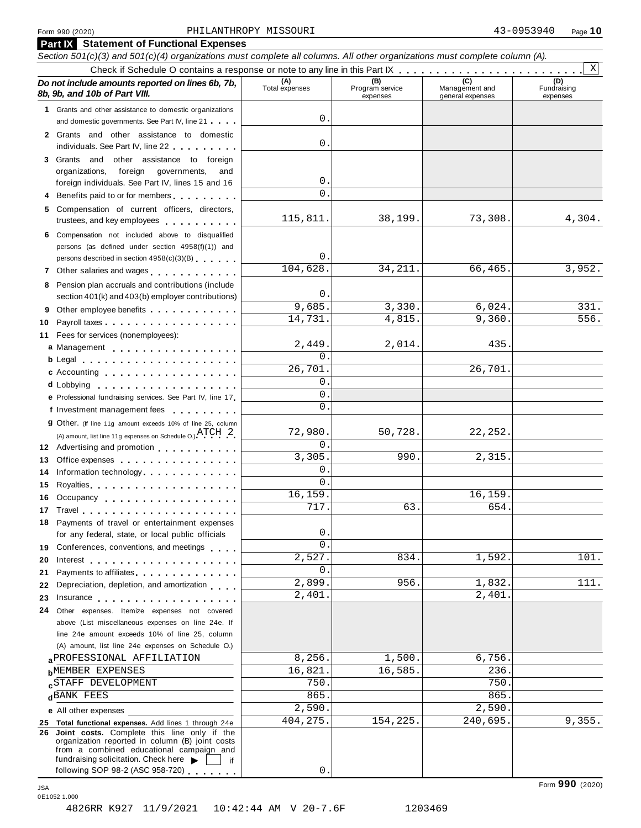#### Form <sup>990</sup> (2020) Page **10** PHILANTHROPY MISSOURI 43-0953940

| $\mathbf X$<br>(A)<br>Total expenses<br>(D)<br>(B)<br>Program service<br>Do not include amounts reported on lines 6b, 7b,<br>Fundraising<br>Management and<br>8b, 9b, and 10b of Part VIII.<br>general expenses<br>expenses<br>expenses<br>1 Grants and other assistance to domestic organizations<br>0<br>and domestic governments. See Part IV, line 21<br>2 Grants and other assistance to domestic<br>0<br>individuals. See Part IV, line 22<br>3 Grants and other assistance to foreign<br>organizations,<br>foreign<br>governments,<br>and<br>0<br>foreign individuals. See Part IV, lines 15 and 16<br>$\overline{0}$ .<br>Benefits paid to or for members<br>5 Compensation of current officers, directors,<br>115,811.<br>4,304.<br>38,199.<br>73,308.<br>trustees, and key employees expressed and the state of<br>6 Compensation not included above to disqualified<br>persons (as defined under section 4958(f)(1)) and<br>$\mathbf{0}$ .<br>persons described in section 4958(c)(3)(B)<br>3,952.<br>104,628.<br>34,211<br>66,465<br>Pension plan accruals and contributions (include<br>8<br>0<br>section 401(k) and 403(b) employer contributions)<br>9,685.<br>3,330.<br>6,024.<br>331.<br>Other employee benefits<br>9<br>556.<br>14,731.<br>4,815.<br>9,360<br>Payroll taxes<br>10<br>Fees for services (nonemployees):<br>11<br>2,449.<br>2,014.<br>435<br>a Management<br>$\Omega$ .<br>26,701.<br>26,701<br>c Accounting<br>$\mathbf 0$ .<br>$\mathbf{0}$ .<br>e Professional fundraising services. See Part IV, line 17<br>$^{\circ}$<br>f Investment management fees<br>9 Other. (If line 11g amount exceeds 10% of line 25, column<br>50,728.<br>72,980.<br>22, 252.<br>(A) amount, list line 11g expenses on Schedule O.) $\text{ATCH}$ 2<br>$\Omega$ .<br>12 Advertising and promotion<br>3,305.<br>990<br>2,315<br>Office expenses extensive and the set of the set of the set of the set of the set of the set of the set of the<br>13<br>$\mathbf{0}$ .<br>Information technology<br>14<br>$\Omega$ .<br>15<br>Royalties<br>16, 159.<br>16,159<br>16 Occupancy<br>717<br>63<br>654<br>18 Payments of travel or entertainment expenses<br>$\mathsf{O}$ .<br>for any federal, state, or local public officials<br>$\overline{0}$ .<br>19 Conferences, conventions, and meetings<br>2,527.<br>1,592.<br>101.<br>834.<br>20<br>Interest $\ldots$ , $\ldots$ , $\ldots$ , $\ldots$ , $\ldots$ , $\ldots$ , $\ldots$<br>0.<br>Payments to affiliates.<br>21<br>2,899.<br>1,832.<br>111.<br>956.<br>Depreciation, depletion, and amortization<br>22<br>2,401.<br>2,401<br>23<br>Insurance experience and the set of the set of the set of the set of the set of the set of the set of the set of the set of the set of the set of the set of the set of the set of the set of the set of the set of the set of<br>24 Other expenses. Itemize expenses not covered<br>above (List miscellaneous expenses on line 24e. If<br>line 24e amount exceeds 10% of line 25, column<br>(A) amount, list line 24e expenses on Schedule O.)<br>8,256.<br>1,500.<br>6,756.<br>a PROFESSIONAL AFFILIATION<br>16,821.<br>16,585.<br>236<br><b>b</b> MEMBER EXPENSES<br>750.<br>750<br><b>CSTAFF DEVELOPMENT</b><br>865.<br>dBANK FEES<br>865.<br>2,590.<br>2,590<br>e All other expenses<br>404,275.<br>154,225.<br>240,695.<br>9,355.<br>25 Total functional expenses. Add lines 1 through 24e<br>Joint costs. Complete this line only if the<br>26.<br>organization reported in column (B) joint costs<br>from a combined educational campaign and<br>fundraising solicitation. Check here<br>if | <b>Part IX</b> Statement of Functional Expenses<br>Section 501(c)(3) and 501(c)(4) organizations must complete all columns. All other organizations must complete column (A). |   |  |  |
|----------------------------------------------------------------------------------------------------------------------------------------------------------------------------------------------------------------------------------------------------------------------------------------------------------------------------------------------------------------------------------------------------------------------------------------------------------------------------------------------------------------------------------------------------------------------------------------------------------------------------------------------------------------------------------------------------------------------------------------------------------------------------------------------------------------------------------------------------------------------------------------------------------------------------------------------------------------------------------------------------------------------------------------------------------------------------------------------------------------------------------------------------------------------------------------------------------------------------------------------------------------------------------------------------------------------------------------------------------------------------------------------------------------------------------------------------------------------------------------------------------------------------------------------------------------------------------------------------------------------------------------------------------------------------------------------------------------------------------------------------------------------------------------------------------------------------------------------------------------------------------------------------------------------------------------------------------------------------------------------------------------------------------------------------------------------------------------------------------------------------------------------------------------------------------------------------------------------------------------------------------------------------------------------------------------------------------------------------------------------------------------------------------------------------------------------------------------------------------------------------------------------------------------------------------------------------------------------------------------------------------------------------------------------------------------------------------------------------------------------------------------------------------------------------------------------------------------------------------------------------------------------------------------------------------------------------------------------------------------------------------------------------------------------------------------------------------------------------------------------------------------------------------------------------------------------------------------------------------------------------------------------------------------------------------------------------------------------------------------------------------------------------------------------------------------------------------------------------------------------------------------------------------------------------------------------------------------------------------|-------------------------------------------------------------------------------------------------------------------------------------------------------------------------------|---|--|--|
|                                                                                                                                                                                                                                                                                                                                                                                                                                                                                                                                                                                                                                                                                                                                                                                                                                                                                                                                                                                                                                                                                                                                                                                                                                                                                                                                                                                                                                                                                                                                                                                                                                                                                                                                                                                                                                                                                                                                                                                                                                                                                                                                                                                                                                                                                                                                                                                                                                                                                                                                                                                                                                                                                                                                                                                                                                                                                                                                                                                                                                                                                                                                                                                                                                                                                                                                                                                                                                                                                                                                                                                                          |                                                                                                                                                                               |   |  |  |
|                                                                                                                                                                                                                                                                                                                                                                                                                                                                                                                                                                                                                                                                                                                                                                                                                                                                                                                                                                                                                                                                                                                                                                                                                                                                                                                                                                                                                                                                                                                                                                                                                                                                                                                                                                                                                                                                                                                                                                                                                                                                                                                                                                                                                                                                                                                                                                                                                                                                                                                                                                                                                                                                                                                                                                                                                                                                                                                                                                                                                                                                                                                                                                                                                                                                                                                                                                                                                                                                                                                                                                                                          |                                                                                                                                                                               |   |  |  |
|                                                                                                                                                                                                                                                                                                                                                                                                                                                                                                                                                                                                                                                                                                                                                                                                                                                                                                                                                                                                                                                                                                                                                                                                                                                                                                                                                                                                                                                                                                                                                                                                                                                                                                                                                                                                                                                                                                                                                                                                                                                                                                                                                                                                                                                                                                                                                                                                                                                                                                                                                                                                                                                                                                                                                                                                                                                                                                                                                                                                                                                                                                                                                                                                                                                                                                                                                                                                                                                                                                                                                                                                          |                                                                                                                                                                               |   |  |  |
|                                                                                                                                                                                                                                                                                                                                                                                                                                                                                                                                                                                                                                                                                                                                                                                                                                                                                                                                                                                                                                                                                                                                                                                                                                                                                                                                                                                                                                                                                                                                                                                                                                                                                                                                                                                                                                                                                                                                                                                                                                                                                                                                                                                                                                                                                                                                                                                                                                                                                                                                                                                                                                                                                                                                                                                                                                                                                                                                                                                                                                                                                                                                                                                                                                                                                                                                                                                                                                                                                                                                                                                                          |                                                                                                                                                                               |   |  |  |
|                                                                                                                                                                                                                                                                                                                                                                                                                                                                                                                                                                                                                                                                                                                                                                                                                                                                                                                                                                                                                                                                                                                                                                                                                                                                                                                                                                                                                                                                                                                                                                                                                                                                                                                                                                                                                                                                                                                                                                                                                                                                                                                                                                                                                                                                                                                                                                                                                                                                                                                                                                                                                                                                                                                                                                                                                                                                                                                                                                                                                                                                                                                                                                                                                                                                                                                                                                                                                                                                                                                                                                                                          |                                                                                                                                                                               |   |  |  |
|                                                                                                                                                                                                                                                                                                                                                                                                                                                                                                                                                                                                                                                                                                                                                                                                                                                                                                                                                                                                                                                                                                                                                                                                                                                                                                                                                                                                                                                                                                                                                                                                                                                                                                                                                                                                                                                                                                                                                                                                                                                                                                                                                                                                                                                                                                                                                                                                                                                                                                                                                                                                                                                                                                                                                                                                                                                                                                                                                                                                                                                                                                                                                                                                                                                                                                                                                                                                                                                                                                                                                                                                          |                                                                                                                                                                               |   |  |  |
|                                                                                                                                                                                                                                                                                                                                                                                                                                                                                                                                                                                                                                                                                                                                                                                                                                                                                                                                                                                                                                                                                                                                                                                                                                                                                                                                                                                                                                                                                                                                                                                                                                                                                                                                                                                                                                                                                                                                                                                                                                                                                                                                                                                                                                                                                                                                                                                                                                                                                                                                                                                                                                                                                                                                                                                                                                                                                                                                                                                                                                                                                                                                                                                                                                                                                                                                                                                                                                                                                                                                                                                                          |                                                                                                                                                                               |   |  |  |
|                                                                                                                                                                                                                                                                                                                                                                                                                                                                                                                                                                                                                                                                                                                                                                                                                                                                                                                                                                                                                                                                                                                                                                                                                                                                                                                                                                                                                                                                                                                                                                                                                                                                                                                                                                                                                                                                                                                                                                                                                                                                                                                                                                                                                                                                                                                                                                                                                                                                                                                                                                                                                                                                                                                                                                                                                                                                                                                                                                                                                                                                                                                                                                                                                                                                                                                                                                                                                                                                                                                                                                                                          |                                                                                                                                                                               |   |  |  |
|                                                                                                                                                                                                                                                                                                                                                                                                                                                                                                                                                                                                                                                                                                                                                                                                                                                                                                                                                                                                                                                                                                                                                                                                                                                                                                                                                                                                                                                                                                                                                                                                                                                                                                                                                                                                                                                                                                                                                                                                                                                                                                                                                                                                                                                                                                                                                                                                                                                                                                                                                                                                                                                                                                                                                                                                                                                                                                                                                                                                                                                                                                                                                                                                                                                                                                                                                                                                                                                                                                                                                                                                          |                                                                                                                                                                               |   |  |  |
|                                                                                                                                                                                                                                                                                                                                                                                                                                                                                                                                                                                                                                                                                                                                                                                                                                                                                                                                                                                                                                                                                                                                                                                                                                                                                                                                                                                                                                                                                                                                                                                                                                                                                                                                                                                                                                                                                                                                                                                                                                                                                                                                                                                                                                                                                                                                                                                                                                                                                                                                                                                                                                                                                                                                                                                                                                                                                                                                                                                                                                                                                                                                                                                                                                                                                                                                                                                                                                                                                                                                                                                                          |                                                                                                                                                                               |   |  |  |
|                                                                                                                                                                                                                                                                                                                                                                                                                                                                                                                                                                                                                                                                                                                                                                                                                                                                                                                                                                                                                                                                                                                                                                                                                                                                                                                                                                                                                                                                                                                                                                                                                                                                                                                                                                                                                                                                                                                                                                                                                                                                                                                                                                                                                                                                                                                                                                                                                                                                                                                                                                                                                                                                                                                                                                                                                                                                                                                                                                                                                                                                                                                                                                                                                                                                                                                                                                                                                                                                                                                                                                                                          |                                                                                                                                                                               |   |  |  |
|                                                                                                                                                                                                                                                                                                                                                                                                                                                                                                                                                                                                                                                                                                                                                                                                                                                                                                                                                                                                                                                                                                                                                                                                                                                                                                                                                                                                                                                                                                                                                                                                                                                                                                                                                                                                                                                                                                                                                                                                                                                                                                                                                                                                                                                                                                                                                                                                                                                                                                                                                                                                                                                                                                                                                                                                                                                                                                                                                                                                                                                                                                                                                                                                                                                                                                                                                                                                                                                                                                                                                                                                          |                                                                                                                                                                               |   |  |  |
|                                                                                                                                                                                                                                                                                                                                                                                                                                                                                                                                                                                                                                                                                                                                                                                                                                                                                                                                                                                                                                                                                                                                                                                                                                                                                                                                                                                                                                                                                                                                                                                                                                                                                                                                                                                                                                                                                                                                                                                                                                                                                                                                                                                                                                                                                                                                                                                                                                                                                                                                                                                                                                                                                                                                                                                                                                                                                                                                                                                                                                                                                                                                                                                                                                                                                                                                                                                                                                                                                                                                                                                                          |                                                                                                                                                                               |   |  |  |
|                                                                                                                                                                                                                                                                                                                                                                                                                                                                                                                                                                                                                                                                                                                                                                                                                                                                                                                                                                                                                                                                                                                                                                                                                                                                                                                                                                                                                                                                                                                                                                                                                                                                                                                                                                                                                                                                                                                                                                                                                                                                                                                                                                                                                                                                                                                                                                                                                                                                                                                                                                                                                                                                                                                                                                                                                                                                                                                                                                                                                                                                                                                                                                                                                                                                                                                                                                                                                                                                                                                                                                                                          |                                                                                                                                                                               |   |  |  |
|                                                                                                                                                                                                                                                                                                                                                                                                                                                                                                                                                                                                                                                                                                                                                                                                                                                                                                                                                                                                                                                                                                                                                                                                                                                                                                                                                                                                                                                                                                                                                                                                                                                                                                                                                                                                                                                                                                                                                                                                                                                                                                                                                                                                                                                                                                                                                                                                                                                                                                                                                                                                                                                                                                                                                                                                                                                                                                                                                                                                                                                                                                                                                                                                                                                                                                                                                                                                                                                                                                                                                                                                          |                                                                                                                                                                               |   |  |  |
|                                                                                                                                                                                                                                                                                                                                                                                                                                                                                                                                                                                                                                                                                                                                                                                                                                                                                                                                                                                                                                                                                                                                                                                                                                                                                                                                                                                                                                                                                                                                                                                                                                                                                                                                                                                                                                                                                                                                                                                                                                                                                                                                                                                                                                                                                                                                                                                                                                                                                                                                                                                                                                                                                                                                                                                                                                                                                                                                                                                                                                                                                                                                                                                                                                                                                                                                                                                                                                                                                                                                                                                                          |                                                                                                                                                                               |   |  |  |
|                                                                                                                                                                                                                                                                                                                                                                                                                                                                                                                                                                                                                                                                                                                                                                                                                                                                                                                                                                                                                                                                                                                                                                                                                                                                                                                                                                                                                                                                                                                                                                                                                                                                                                                                                                                                                                                                                                                                                                                                                                                                                                                                                                                                                                                                                                                                                                                                                                                                                                                                                                                                                                                                                                                                                                                                                                                                                                                                                                                                                                                                                                                                                                                                                                                                                                                                                                                                                                                                                                                                                                                                          |                                                                                                                                                                               |   |  |  |
|                                                                                                                                                                                                                                                                                                                                                                                                                                                                                                                                                                                                                                                                                                                                                                                                                                                                                                                                                                                                                                                                                                                                                                                                                                                                                                                                                                                                                                                                                                                                                                                                                                                                                                                                                                                                                                                                                                                                                                                                                                                                                                                                                                                                                                                                                                                                                                                                                                                                                                                                                                                                                                                                                                                                                                                                                                                                                                                                                                                                                                                                                                                                                                                                                                                                                                                                                                                                                                                                                                                                                                                                          |                                                                                                                                                                               |   |  |  |
|                                                                                                                                                                                                                                                                                                                                                                                                                                                                                                                                                                                                                                                                                                                                                                                                                                                                                                                                                                                                                                                                                                                                                                                                                                                                                                                                                                                                                                                                                                                                                                                                                                                                                                                                                                                                                                                                                                                                                                                                                                                                                                                                                                                                                                                                                                                                                                                                                                                                                                                                                                                                                                                                                                                                                                                                                                                                                                                                                                                                                                                                                                                                                                                                                                                                                                                                                                                                                                                                                                                                                                                                          |                                                                                                                                                                               |   |  |  |
|                                                                                                                                                                                                                                                                                                                                                                                                                                                                                                                                                                                                                                                                                                                                                                                                                                                                                                                                                                                                                                                                                                                                                                                                                                                                                                                                                                                                                                                                                                                                                                                                                                                                                                                                                                                                                                                                                                                                                                                                                                                                                                                                                                                                                                                                                                                                                                                                                                                                                                                                                                                                                                                                                                                                                                                                                                                                                                                                                                                                                                                                                                                                                                                                                                                                                                                                                                                                                                                                                                                                                                                                          |                                                                                                                                                                               |   |  |  |
|                                                                                                                                                                                                                                                                                                                                                                                                                                                                                                                                                                                                                                                                                                                                                                                                                                                                                                                                                                                                                                                                                                                                                                                                                                                                                                                                                                                                                                                                                                                                                                                                                                                                                                                                                                                                                                                                                                                                                                                                                                                                                                                                                                                                                                                                                                                                                                                                                                                                                                                                                                                                                                                                                                                                                                                                                                                                                                                                                                                                                                                                                                                                                                                                                                                                                                                                                                                                                                                                                                                                                                                                          |                                                                                                                                                                               |   |  |  |
|                                                                                                                                                                                                                                                                                                                                                                                                                                                                                                                                                                                                                                                                                                                                                                                                                                                                                                                                                                                                                                                                                                                                                                                                                                                                                                                                                                                                                                                                                                                                                                                                                                                                                                                                                                                                                                                                                                                                                                                                                                                                                                                                                                                                                                                                                                                                                                                                                                                                                                                                                                                                                                                                                                                                                                                                                                                                                                                                                                                                                                                                                                                                                                                                                                                                                                                                                                                                                                                                                                                                                                                                          |                                                                                                                                                                               |   |  |  |
|                                                                                                                                                                                                                                                                                                                                                                                                                                                                                                                                                                                                                                                                                                                                                                                                                                                                                                                                                                                                                                                                                                                                                                                                                                                                                                                                                                                                                                                                                                                                                                                                                                                                                                                                                                                                                                                                                                                                                                                                                                                                                                                                                                                                                                                                                                                                                                                                                                                                                                                                                                                                                                                                                                                                                                                                                                                                                                                                                                                                                                                                                                                                                                                                                                                                                                                                                                                                                                                                                                                                                                                                          |                                                                                                                                                                               |   |  |  |
|                                                                                                                                                                                                                                                                                                                                                                                                                                                                                                                                                                                                                                                                                                                                                                                                                                                                                                                                                                                                                                                                                                                                                                                                                                                                                                                                                                                                                                                                                                                                                                                                                                                                                                                                                                                                                                                                                                                                                                                                                                                                                                                                                                                                                                                                                                                                                                                                                                                                                                                                                                                                                                                                                                                                                                                                                                                                                                                                                                                                                                                                                                                                                                                                                                                                                                                                                                                                                                                                                                                                                                                                          |                                                                                                                                                                               |   |  |  |
|                                                                                                                                                                                                                                                                                                                                                                                                                                                                                                                                                                                                                                                                                                                                                                                                                                                                                                                                                                                                                                                                                                                                                                                                                                                                                                                                                                                                                                                                                                                                                                                                                                                                                                                                                                                                                                                                                                                                                                                                                                                                                                                                                                                                                                                                                                                                                                                                                                                                                                                                                                                                                                                                                                                                                                                                                                                                                                                                                                                                                                                                                                                                                                                                                                                                                                                                                                                                                                                                                                                                                                                                          |                                                                                                                                                                               |   |  |  |
|                                                                                                                                                                                                                                                                                                                                                                                                                                                                                                                                                                                                                                                                                                                                                                                                                                                                                                                                                                                                                                                                                                                                                                                                                                                                                                                                                                                                                                                                                                                                                                                                                                                                                                                                                                                                                                                                                                                                                                                                                                                                                                                                                                                                                                                                                                                                                                                                                                                                                                                                                                                                                                                                                                                                                                                                                                                                                                                                                                                                                                                                                                                                                                                                                                                                                                                                                                                                                                                                                                                                                                                                          |                                                                                                                                                                               |   |  |  |
|                                                                                                                                                                                                                                                                                                                                                                                                                                                                                                                                                                                                                                                                                                                                                                                                                                                                                                                                                                                                                                                                                                                                                                                                                                                                                                                                                                                                                                                                                                                                                                                                                                                                                                                                                                                                                                                                                                                                                                                                                                                                                                                                                                                                                                                                                                                                                                                                                                                                                                                                                                                                                                                                                                                                                                                                                                                                                                                                                                                                                                                                                                                                                                                                                                                                                                                                                                                                                                                                                                                                                                                                          |                                                                                                                                                                               |   |  |  |
|                                                                                                                                                                                                                                                                                                                                                                                                                                                                                                                                                                                                                                                                                                                                                                                                                                                                                                                                                                                                                                                                                                                                                                                                                                                                                                                                                                                                                                                                                                                                                                                                                                                                                                                                                                                                                                                                                                                                                                                                                                                                                                                                                                                                                                                                                                                                                                                                                                                                                                                                                                                                                                                                                                                                                                                                                                                                                                                                                                                                                                                                                                                                                                                                                                                                                                                                                                                                                                                                                                                                                                                                          |                                                                                                                                                                               |   |  |  |
|                                                                                                                                                                                                                                                                                                                                                                                                                                                                                                                                                                                                                                                                                                                                                                                                                                                                                                                                                                                                                                                                                                                                                                                                                                                                                                                                                                                                                                                                                                                                                                                                                                                                                                                                                                                                                                                                                                                                                                                                                                                                                                                                                                                                                                                                                                                                                                                                                                                                                                                                                                                                                                                                                                                                                                                                                                                                                                                                                                                                                                                                                                                                                                                                                                                                                                                                                                                                                                                                                                                                                                                                          |                                                                                                                                                                               |   |  |  |
|                                                                                                                                                                                                                                                                                                                                                                                                                                                                                                                                                                                                                                                                                                                                                                                                                                                                                                                                                                                                                                                                                                                                                                                                                                                                                                                                                                                                                                                                                                                                                                                                                                                                                                                                                                                                                                                                                                                                                                                                                                                                                                                                                                                                                                                                                                                                                                                                                                                                                                                                                                                                                                                                                                                                                                                                                                                                                                                                                                                                                                                                                                                                                                                                                                                                                                                                                                                                                                                                                                                                                                                                          |                                                                                                                                                                               |   |  |  |
|                                                                                                                                                                                                                                                                                                                                                                                                                                                                                                                                                                                                                                                                                                                                                                                                                                                                                                                                                                                                                                                                                                                                                                                                                                                                                                                                                                                                                                                                                                                                                                                                                                                                                                                                                                                                                                                                                                                                                                                                                                                                                                                                                                                                                                                                                                                                                                                                                                                                                                                                                                                                                                                                                                                                                                                                                                                                                                                                                                                                                                                                                                                                                                                                                                                                                                                                                                                                                                                                                                                                                                                                          |                                                                                                                                                                               |   |  |  |
|                                                                                                                                                                                                                                                                                                                                                                                                                                                                                                                                                                                                                                                                                                                                                                                                                                                                                                                                                                                                                                                                                                                                                                                                                                                                                                                                                                                                                                                                                                                                                                                                                                                                                                                                                                                                                                                                                                                                                                                                                                                                                                                                                                                                                                                                                                                                                                                                                                                                                                                                                                                                                                                                                                                                                                                                                                                                                                                                                                                                                                                                                                                                                                                                                                                                                                                                                                                                                                                                                                                                                                                                          |                                                                                                                                                                               |   |  |  |
|                                                                                                                                                                                                                                                                                                                                                                                                                                                                                                                                                                                                                                                                                                                                                                                                                                                                                                                                                                                                                                                                                                                                                                                                                                                                                                                                                                                                                                                                                                                                                                                                                                                                                                                                                                                                                                                                                                                                                                                                                                                                                                                                                                                                                                                                                                                                                                                                                                                                                                                                                                                                                                                                                                                                                                                                                                                                                                                                                                                                                                                                                                                                                                                                                                                                                                                                                                                                                                                                                                                                                                                                          |                                                                                                                                                                               |   |  |  |
|                                                                                                                                                                                                                                                                                                                                                                                                                                                                                                                                                                                                                                                                                                                                                                                                                                                                                                                                                                                                                                                                                                                                                                                                                                                                                                                                                                                                                                                                                                                                                                                                                                                                                                                                                                                                                                                                                                                                                                                                                                                                                                                                                                                                                                                                                                                                                                                                                                                                                                                                                                                                                                                                                                                                                                                                                                                                                                                                                                                                                                                                                                                                                                                                                                                                                                                                                                                                                                                                                                                                                                                                          |                                                                                                                                                                               |   |  |  |
|                                                                                                                                                                                                                                                                                                                                                                                                                                                                                                                                                                                                                                                                                                                                                                                                                                                                                                                                                                                                                                                                                                                                                                                                                                                                                                                                                                                                                                                                                                                                                                                                                                                                                                                                                                                                                                                                                                                                                                                                                                                                                                                                                                                                                                                                                                                                                                                                                                                                                                                                                                                                                                                                                                                                                                                                                                                                                                                                                                                                                                                                                                                                                                                                                                                                                                                                                                                                                                                                                                                                                                                                          |                                                                                                                                                                               |   |  |  |
|                                                                                                                                                                                                                                                                                                                                                                                                                                                                                                                                                                                                                                                                                                                                                                                                                                                                                                                                                                                                                                                                                                                                                                                                                                                                                                                                                                                                                                                                                                                                                                                                                                                                                                                                                                                                                                                                                                                                                                                                                                                                                                                                                                                                                                                                                                                                                                                                                                                                                                                                                                                                                                                                                                                                                                                                                                                                                                                                                                                                                                                                                                                                                                                                                                                                                                                                                                                                                                                                                                                                                                                                          |                                                                                                                                                                               |   |  |  |
|                                                                                                                                                                                                                                                                                                                                                                                                                                                                                                                                                                                                                                                                                                                                                                                                                                                                                                                                                                                                                                                                                                                                                                                                                                                                                                                                                                                                                                                                                                                                                                                                                                                                                                                                                                                                                                                                                                                                                                                                                                                                                                                                                                                                                                                                                                                                                                                                                                                                                                                                                                                                                                                                                                                                                                                                                                                                                                                                                                                                                                                                                                                                                                                                                                                                                                                                                                                                                                                                                                                                                                                                          |                                                                                                                                                                               |   |  |  |
|                                                                                                                                                                                                                                                                                                                                                                                                                                                                                                                                                                                                                                                                                                                                                                                                                                                                                                                                                                                                                                                                                                                                                                                                                                                                                                                                                                                                                                                                                                                                                                                                                                                                                                                                                                                                                                                                                                                                                                                                                                                                                                                                                                                                                                                                                                                                                                                                                                                                                                                                                                                                                                                                                                                                                                                                                                                                                                                                                                                                                                                                                                                                                                                                                                                                                                                                                                                                                                                                                                                                                                                                          |                                                                                                                                                                               |   |  |  |
|                                                                                                                                                                                                                                                                                                                                                                                                                                                                                                                                                                                                                                                                                                                                                                                                                                                                                                                                                                                                                                                                                                                                                                                                                                                                                                                                                                                                                                                                                                                                                                                                                                                                                                                                                                                                                                                                                                                                                                                                                                                                                                                                                                                                                                                                                                                                                                                                                                                                                                                                                                                                                                                                                                                                                                                                                                                                                                                                                                                                                                                                                                                                                                                                                                                                                                                                                                                                                                                                                                                                                                                                          |                                                                                                                                                                               |   |  |  |
|                                                                                                                                                                                                                                                                                                                                                                                                                                                                                                                                                                                                                                                                                                                                                                                                                                                                                                                                                                                                                                                                                                                                                                                                                                                                                                                                                                                                                                                                                                                                                                                                                                                                                                                                                                                                                                                                                                                                                                                                                                                                                                                                                                                                                                                                                                                                                                                                                                                                                                                                                                                                                                                                                                                                                                                                                                                                                                                                                                                                                                                                                                                                                                                                                                                                                                                                                                                                                                                                                                                                                                                                          |                                                                                                                                                                               |   |  |  |
|                                                                                                                                                                                                                                                                                                                                                                                                                                                                                                                                                                                                                                                                                                                                                                                                                                                                                                                                                                                                                                                                                                                                                                                                                                                                                                                                                                                                                                                                                                                                                                                                                                                                                                                                                                                                                                                                                                                                                                                                                                                                                                                                                                                                                                                                                                                                                                                                                                                                                                                                                                                                                                                                                                                                                                                                                                                                                                                                                                                                                                                                                                                                                                                                                                                                                                                                                                                                                                                                                                                                                                                                          |                                                                                                                                                                               |   |  |  |
|                                                                                                                                                                                                                                                                                                                                                                                                                                                                                                                                                                                                                                                                                                                                                                                                                                                                                                                                                                                                                                                                                                                                                                                                                                                                                                                                                                                                                                                                                                                                                                                                                                                                                                                                                                                                                                                                                                                                                                                                                                                                                                                                                                                                                                                                                                                                                                                                                                                                                                                                                                                                                                                                                                                                                                                                                                                                                                                                                                                                                                                                                                                                                                                                                                                                                                                                                                                                                                                                                                                                                                                                          |                                                                                                                                                                               |   |  |  |
|                                                                                                                                                                                                                                                                                                                                                                                                                                                                                                                                                                                                                                                                                                                                                                                                                                                                                                                                                                                                                                                                                                                                                                                                                                                                                                                                                                                                                                                                                                                                                                                                                                                                                                                                                                                                                                                                                                                                                                                                                                                                                                                                                                                                                                                                                                                                                                                                                                                                                                                                                                                                                                                                                                                                                                                                                                                                                                                                                                                                                                                                                                                                                                                                                                                                                                                                                                                                                                                                                                                                                                                                          |                                                                                                                                                                               |   |  |  |
|                                                                                                                                                                                                                                                                                                                                                                                                                                                                                                                                                                                                                                                                                                                                                                                                                                                                                                                                                                                                                                                                                                                                                                                                                                                                                                                                                                                                                                                                                                                                                                                                                                                                                                                                                                                                                                                                                                                                                                                                                                                                                                                                                                                                                                                                                                                                                                                                                                                                                                                                                                                                                                                                                                                                                                                                                                                                                                                                                                                                                                                                                                                                                                                                                                                                                                                                                                                                                                                                                                                                                                                                          |                                                                                                                                                                               |   |  |  |
|                                                                                                                                                                                                                                                                                                                                                                                                                                                                                                                                                                                                                                                                                                                                                                                                                                                                                                                                                                                                                                                                                                                                                                                                                                                                                                                                                                                                                                                                                                                                                                                                                                                                                                                                                                                                                                                                                                                                                                                                                                                                                                                                                                                                                                                                                                                                                                                                                                                                                                                                                                                                                                                                                                                                                                                                                                                                                                                                                                                                                                                                                                                                                                                                                                                                                                                                                                                                                                                                                                                                                                                                          |                                                                                                                                                                               |   |  |  |
|                                                                                                                                                                                                                                                                                                                                                                                                                                                                                                                                                                                                                                                                                                                                                                                                                                                                                                                                                                                                                                                                                                                                                                                                                                                                                                                                                                                                                                                                                                                                                                                                                                                                                                                                                                                                                                                                                                                                                                                                                                                                                                                                                                                                                                                                                                                                                                                                                                                                                                                                                                                                                                                                                                                                                                                                                                                                                                                                                                                                                                                                                                                                                                                                                                                                                                                                                                                                                                                                                                                                                                                                          |                                                                                                                                                                               |   |  |  |
|                                                                                                                                                                                                                                                                                                                                                                                                                                                                                                                                                                                                                                                                                                                                                                                                                                                                                                                                                                                                                                                                                                                                                                                                                                                                                                                                                                                                                                                                                                                                                                                                                                                                                                                                                                                                                                                                                                                                                                                                                                                                                                                                                                                                                                                                                                                                                                                                                                                                                                                                                                                                                                                                                                                                                                                                                                                                                                                                                                                                                                                                                                                                                                                                                                                                                                                                                                                                                                                                                                                                                                                                          |                                                                                                                                                                               |   |  |  |
|                                                                                                                                                                                                                                                                                                                                                                                                                                                                                                                                                                                                                                                                                                                                                                                                                                                                                                                                                                                                                                                                                                                                                                                                                                                                                                                                                                                                                                                                                                                                                                                                                                                                                                                                                                                                                                                                                                                                                                                                                                                                                                                                                                                                                                                                                                                                                                                                                                                                                                                                                                                                                                                                                                                                                                                                                                                                                                                                                                                                                                                                                                                                                                                                                                                                                                                                                                                                                                                                                                                                                                                                          |                                                                                                                                                                               |   |  |  |
|                                                                                                                                                                                                                                                                                                                                                                                                                                                                                                                                                                                                                                                                                                                                                                                                                                                                                                                                                                                                                                                                                                                                                                                                                                                                                                                                                                                                                                                                                                                                                                                                                                                                                                                                                                                                                                                                                                                                                                                                                                                                                                                                                                                                                                                                                                                                                                                                                                                                                                                                                                                                                                                                                                                                                                                                                                                                                                                                                                                                                                                                                                                                                                                                                                                                                                                                                                                                                                                                                                                                                                                                          |                                                                                                                                                                               |   |  |  |
|                                                                                                                                                                                                                                                                                                                                                                                                                                                                                                                                                                                                                                                                                                                                                                                                                                                                                                                                                                                                                                                                                                                                                                                                                                                                                                                                                                                                                                                                                                                                                                                                                                                                                                                                                                                                                                                                                                                                                                                                                                                                                                                                                                                                                                                                                                                                                                                                                                                                                                                                                                                                                                                                                                                                                                                                                                                                                                                                                                                                                                                                                                                                                                                                                                                                                                                                                                                                                                                                                                                                                                                                          |                                                                                                                                                                               |   |  |  |
|                                                                                                                                                                                                                                                                                                                                                                                                                                                                                                                                                                                                                                                                                                                                                                                                                                                                                                                                                                                                                                                                                                                                                                                                                                                                                                                                                                                                                                                                                                                                                                                                                                                                                                                                                                                                                                                                                                                                                                                                                                                                                                                                                                                                                                                                                                                                                                                                                                                                                                                                                                                                                                                                                                                                                                                                                                                                                                                                                                                                                                                                                                                                                                                                                                                                                                                                                                                                                                                                                                                                                                                                          |                                                                                                                                                                               |   |  |  |
|                                                                                                                                                                                                                                                                                                                                                                                                                                                                                                                                                                                                                                                                                                                                                                                                                                                                                                                                                                                                                                                                                                                                                                                                                                                                                                                                                                                                                                                                                                                                                                                                                                                                                                                                                                                                                                                                                                                                                                                                                                                                                                                                                                                                                                                                                                                                                                                                                                                                                                                                                                                                                                                                                                                                                                                                                                                                                                                                                                                                                                                                                                                                                                                                                                                                                                                                                                                                                                                                                                                                                                                                          | following SOP 98-2 (ASC 958-720)                                                                                                                                              | 0 |  |  |

Form **990** (2020) JSA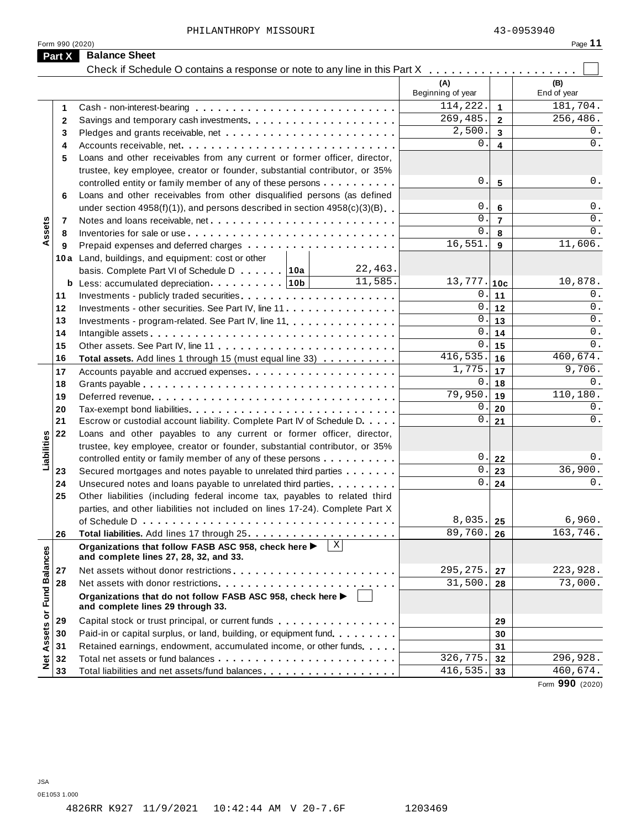|                                | Check if Schedule O contains a response or note to any line in this Part X                                        | (A)               |                         | (B)         |
|--------------------------------|-------------------------------------------------------------------------------------------------------------------|-------------------|-------------------------|-------------|
|                                |                                                                                                                   | Beginning of year |                         | End of year |
| 1                              |                                                                                                                   | 114,222.          | $\mathbf{1}$            | 181,704.    |
| $\mathbf{2}$                   |                                                                                                                   | 269,485.          | $\overline{2}$          | 256,486.    |
| 3                              |                                                                                                                   | 2,500.            | $\mathbf{3}$            | 0.          |
| 4                              |                                                                                                                   | 0.                | $\overline{\mathbf{4}}$ | 0.          |
| 5                              | Loans and other receivables from any current or former officer, director,                                         |                   |                         |             |
|                                | trustee, key employee, creator or founder, substantial contributor, or 35%                                        |                   |                         |             |
|                                | controlled entity or family member of any of these persons                                                        | 0.                | $5\phantom{1}$          | 0.          |
| 6                              | Loans and other receivables from other disqualified persons (as defined                                           |                   |                         |             |
|                                | under section $4958(f)(1)$ , and persons described in section $4958(c)(3)(B)$                                     | 0.                | $6\phantom{1}6$         | 0.          |
| 7                              |                                                                                                                   | $\mathbf{0}$ .    | $\overline{7}$          | 0.          |
| Assets<br>8                    |                                                                                                                   | 0.                | 8                       | 0.          |
| 9                              |                                                                                                                   | 16,551.           | 9                       | 11,606.     |
|                                | 10a Land, buildings, and equipment: cost or other                                                                 |                   |                         |             |
|                                | 22,463.<br>basis. Complete Part VI of Schedule D 10a                                                              |                   |                         |             |
|                                | 11,585.<br><b>b</b> Less: accumulated depreciation $\ldots$ 10b                                                   | $13,777.$ 10c     |                         | 10,878.     |
| 11                             |                                                                                                                   | $0$ .             | 11                      | 0.          |
| 12                             | Investments - other securities. See Part IV, line 11                                                              | $0$ .             | 12                      | $0$ .       |
| 13                             | Investments - program-related. See Part IV, line 11.                                                              | 0.                | 13                      | 0.          |
| 14                             |                                                                                                                   | 0.                | 14                      | 0.          |
| 15                             |                                                                                                                   | 0.                | 15                      | $0$ .       |
| 16                             | Total assets. Add lines 1 through 15 (must equal line 33)                                                         | 416,535.          | 16                      | 460,674.    |
| 17                             | Accounts payable and accrued expenses                                                                             | 1,775.            | 17                      | 9,706.      |
| 18                             |                                                                                                                   | 0.                | 18                      | $0$ .       |
| 19                             |                                                                                                                   | 79,950.           | 19                      | 110,180.    |
| 20                             |                                                                                                                   | 0.                | 20                      | 0.          |
| 21                             | Escrow or custodial account liability. Complete Part IV of Schedule D.                                            | $0$ .             | 21                      | 0.          |
| 22                             | Loans and other payables to any current or former officer, director,                                              |                   |                         |             |
| Liabilities                    | trustee, key employee, creator or founder, substantial contributor, or 35%                                        |                   |                         |             |
|                                | controlled entity or family member of any of these persons                                                        | 0.                | 22                      | 0.          |
| 23                             | Secured mortgages and notes payable to unrelated third parties                                                    | 0.                | 23                      | 36,900.     |
| 24                             | Unsecured notes and loans payable to unrelated third parties.                                                     | 0.1               | 24                      | 0.          |
| 25                             | Other liabilities (including federal income tax, payables to related third                                        |                   |                         |             |
|                                | parties, and other liabilities not included on lines 17-24). Complete Part X                                      |                   |                         |             |
|                                |                                                                                                                   | 8,035.            | 25                      | 6,960.      |
| 26                             |                                                                                                                   | 89,760.           | 26                      | 163,746.    |
|                                | $\vert X \vert$<br>Organizations that follow FASB ASC 958, check here ▶<br>and complete lines 27, 28, 32, and 33. |                   |                         |             |
| 27                             | Net assets without donor restrictions                                                                             | 295, 275.         | 27                      | 223,928.    |
| 28                             |                                                                                                                   | 31,500.           | 28                      | 73,000.     |
|                                |                                                                                                                   |                   |                         |             |
| <b>Assets or Fund Balances</b> | Organizations that do not follow FASB ASC 958, check here ▶<br>and complete lines 29 through 33.                  |                   |                         |             |
| 29                             | Capital stock or trust principal, or current funds                                                                |                   | 29                      |             |
| 30                             | Paid-in or capital surplus, or land, building, or equipment fund.                                                 |                   | 30                      |             |
| 31                             | Retained earnings, endowment, accumulated income, or other funds                                                  |                   | 31                      |             |
| Net<br>32                      |                                                                                                                   | 326, 775.         | 32                      | 296,928.    |
| 33                             | Total liabilities and net assets/fund balances                                                                    | 416, 535.         | 33                      | 460,674.    |

Form **990** (2020)

JSA 0E1053 1.000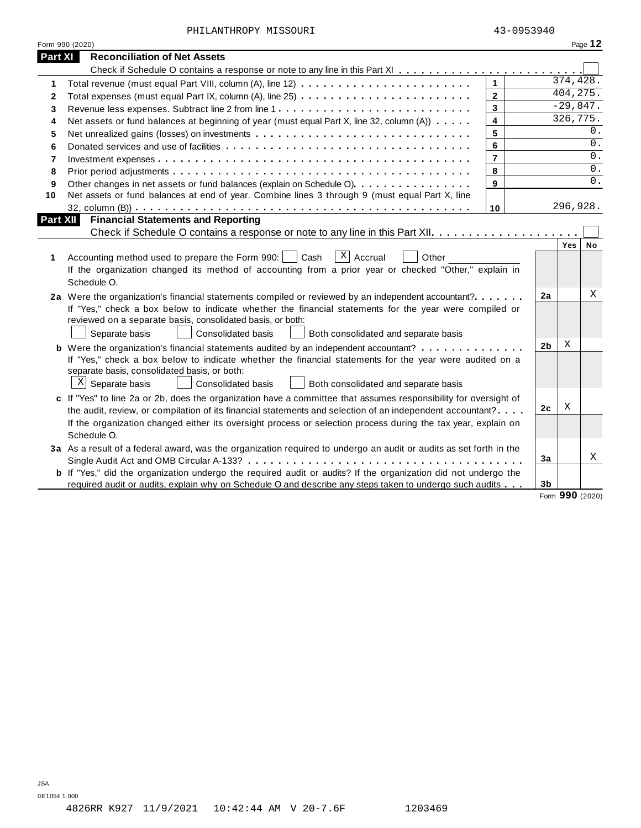|                 | PHILANTHROPY MISSOURI                                                                                                                                                                                                                                                                                                                                      |                         | 43-0953940 |                |            |                  |
|-----------------|------------------------------------------------------------------------------------------------------------------------------------------------------------------------------------------------------------------------------------------------------------------------------------------------------------------------------------------------------------|-------------------------|------------|----------------|------------|------------------|
|                 | Form 990 (2020)                                                                                                                                                                                                                                                                                                                                            |                         |            |                |            | Page 12          |
| <b>Part XI</b>  | <b>Reconciliation of Net Assets</b>                                                                                                                                                                                                                                                                                                                        |                         |            |                |            |                  |
|                 |                                                                                                                                                                                                                                                                                                                                                            |                         |            |                |            |                  |
| 1               |                                                                                                                                                                                                                                                                                                                                                            | $\mathbf{1}$            |            |                | 374,428.   |                  |
| $\mathbf{2}$    |                                                                                                                                                                                                                                                                                                                                                            | $\overline{2}$          |            |                | 404, 275.  |                  |
| 3               |                                                                                                                                                                                                                                                                                                                                                            | $\overline{3}$          |            |                | $-29,847.$ |                  |
| 4               | Net assets or fund balances at beginning of year (must equal Part X, line 32, column (A))                                                                                                                                                                                                                                                                  | $\overline{\mathbf{4}}$ |            |                | 326,775.   |                  |
| 5               | Net unrealized gains (losses) on investments                                                                                                                                                                                                                                                                                                               | 5                       |            |                |            | 0.               |
| 6               |                                                                                                                                                                                                                                                                                                                                                            | 6                       |            |                |            | 0.               |
| 7               |                                                                                                                                                                                                                                                                                                                                                            | $\overline{7}$          |            |                |            | $0$ .            |
| 8               |                                                                                                                                                                                                                                                                                                                                                            | $\bf{8}$                |            |                |            | $\overline{0}$ . |
| 9               | Other changes in net assets or fund balances (explain on Schedule O).                                                                                                                                                                                                                                                                                      | 9                       |            |                |            | 0.               |
| 10              | Net assets or fund balances at end of year. Combine lines 3 through 9 (must equal Part X, line                                                                                                                                                                                                                                                             |                         |            |                |            |                  |
|                 |                                                                                                                                                                                                                                                                                                                                                            | 10                      |            |                | 296,928.   |                  |
| <b>Part XII</b> | <b>Financial Statements and Reporting</b>                                                                                                                                                                                                                                                                                                                  |                         |            |                |            |                  |
|                 |                                                                                                                                                                                                                                                                                                                                                            |                         |            |                |            |                  |
| 1               | $X$ Accrual<br>Accounting method used to prepare the Form 990:     Cash<br>Other<br>If the organization changed its method of accounting from a prior year or checked "Other," explain in<br>Schedule O.                                                                                                                                                   |                         |            |                | Yes        | No               |
|                 | 2a Were the organization's financial statements compiled or reviewed by an independent accountant?<br>If "Yes," check a box below to indicate whether the financial statements for the year were compiled or<br>reviewed on a separate basis, consolidated basis, or both:<br>Consolidated basis<br>Separate basis<br>Both consolidated and separate basis |                         |            | 2a             |            | Χ                |
|                 | <b>b</b> Were the organization's financial statements audited by an independent accountant?<br>If "Yes," check a box below to indicate whether the financial statements for the year were audited on a<br>separate basis, consolidated basis, or both:<br>$X$ Separate basis<br>Consolidated basis<br>Both consolidated and separate basis                 |                         |            | 2 <sub>b</sub> | X          |                  |
|                 | c If "Yes" to line 2a or 2b, does the organization have a committee that assumes responsibility for oversight of                                                                                                                                                                                                                                           |                         |            |                |            |                  |
|                 | the audit, review, or compilation of its financial statements and selection of an independent accountant?                                                                                                                                                                                                                                                  |                         |            | 2c             | X          |                  |
|                 | If the organization changed either its oversight process or selection process during the tax year, explain on<br>Schedule O.                                                                                                                                                                                                                               |                         |            |                |            |                  |
|                 | 3a As a result of a federal award, was the organization required to undergo an audit or audits as set forth in the                                                                                                                                                                                                                                         |                         |            |                |            |                  |
|                 |                                                                                                                                                                                                                                                                                                                                                            |                         |            | 3a             |            | Χ                |
|                 | <b>b</b> If "Yes," did the organization undergo the required audit or audits? If the organization did not undergo the                                                                                                                                                                                                                                      |                         |            |                |            |                  |
|                 | required audit or audits, explain why on Schedule O and describe any steps taken to undergo such audits                                                                                                                                                                                                                                                    |                         |            | 3b             |            |                  |

Form **990** (2020)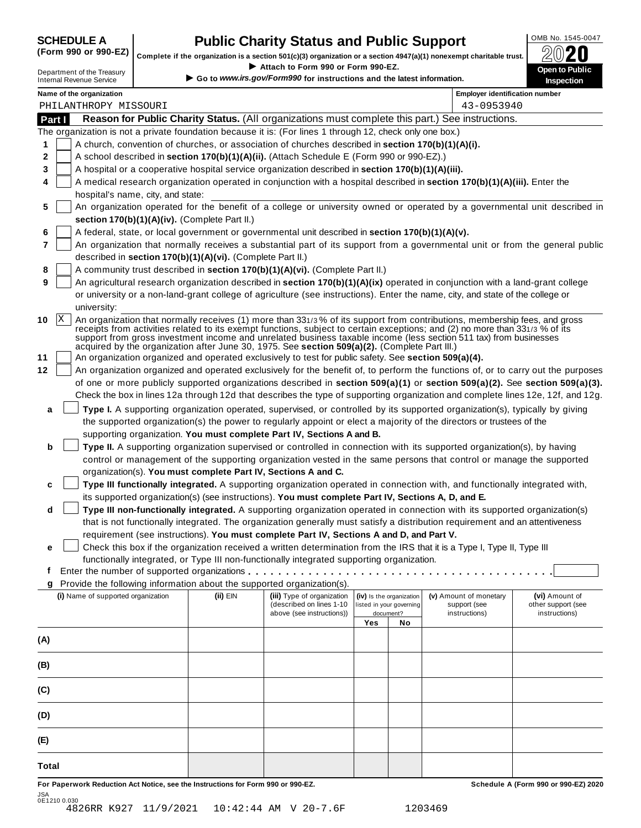# **SCHEDULE A Public Charity Status and Public Support**<br>(Form 990 or 990-EZ) complete if the craanization is a section 501(c)(3) organization or a section 4947(a)(1) popexempt charitable trust  $\mathcal{D}(\mathbf{Q})$

(Form 990 or 990-EZ) complete if the organization is a section 501(c)(3) organization or a section 4947(a)(1) nonexempt charitable trust.  $2020$ 

|          |                                                               |                                   |                                                                                  | Complete if the organization is a section 501(c)(3) organization or a section 4947(a)(1) nonexempt charitable trust.  |     |                          |                                                                                                                                                                                                                                                           | ZWŁU                                                                                                                             |
|----------|---------------------------------------------------------------|-----------------------------------|----------------------------------------------------------------------------------|-----------------------------------------------------------------------------------------------------------------------|-----|--------------------------|-----------------------------------------------------------------------------------------------------------------------------------------------------------------------------------------------------------------------------------------------------------|----------------------------------------------------------------------------------------------------------------------------------|
|          | Department of the Treasury<br><b>Internal Revenue Service</b> |                                   |                                                                                  | Attach to Form 990 or Form 990-EZ.<br>Go to www.irs.gov/Form990 for instructions and the latest information.          |     |                          |                                                                                                                                                                                                                                                           | Open to Public<br><b>Inspection</b>                                                                                              |
|          | Name of the organization                                      |                                   |                                                                                  |                                                                                                                       |     |                          | <b>Employer identification number</b>                                                                                                                                                                                                                     |                                                                                                                                  |
|          | PHILANTHROPY MISSOURI                                         |                                   |                                                                                  |                                                                                                                       |     |                          | 43-0953940                                                                                                                                                                                                                                                |                                                                                                                                  |
| Part I   |                                                               |                                   |                                                                                  |                                                                                                                       |     |                          | Reason for Public Charity Status. (All organizations must complete this part.) See instructions.                                                                                                                                                          |                                                                                                                                  |
|          |                                                               |                                   |                                                                                  | The organization is not a private foundation because it is: (For lines 1 through 12, check only one box.)             |     |                          |                                                                                                                                                                                                                                                           |                                                                                                                                  |
| 1        |                                                               |                                   |                                                                                  | A church, convention of churches, or association of churches described in section 170(b)(1)(A)(i).                    |     |                          |                                                                                                                                                                                                                                                           |                                                                                                                                  |
| 2        |                                                               |                                   |                                                                                  | A school described in section 170(b)(1)(A)(ii). (Attach Schedule E (Form 990 or 990-EZ).)                             |     |                          |                                                                                                                                                                                                                                                           |                                                                                                                                  |
| 3        |                                                               |                                   |                                                                                  | A hospital or a cooperative hospital service organization described in section 170(b)(1)(A)(iii).                     |     |                          |                                                                                                                                                                                                                                                           |                                                                                                                                  |
| 4        |                                                               |                                   |                                                                                  |                                                                                                                       |     |                          | A medical research organization operated in conjunction with a hospital described in section 170(b)(1)(A)(iii). Enter the                                                                                                                                 |                                                                                                                                  |
| 5        |                                                               | hospital's name, city, and state: |                                                                                  |                                                                                                                       |     |                          |                                                                                                                                                                                                                                                           | An organization operated for the benefit of a college or university owned or operated by a governmental unit described in        |
|          |                                                               |                                   | section 170(b)(1)(A)(iv). (Complete Part II.)                                    |                                                                                                                       |     |                          |                                                                                                                                                                                                                                                           |                                                                                                                                  |
| 6        |                                                               |                                   |                                                                                  | A federal, state, or local government or governmental unit described in section 170(b)(1)(A)(v).                      |     |                          |                                                                                                                                                                                                                                                           |                                                                                                                                  |
| 7        |                                                               |                                   |                                                                                  |                                                                                                                       |     |                          |                                                                                                                                                                                                                                                           | An organization that normally receives a substantial part of its support from a governmental unit or from the general public     |
|          |                                                               |                                   | described in section 170(b)(1)(A)(vi). (Complete Part II.)                       |                                                                                                                       |     |                          |                                                                                                                                                                                                                                                           |                                                                                                                                  |
| 8        |                                                               |                                   |                                                                                  | A community trust described in section 170(b)(1)(A)(vi). (Complete Part II.)                                          |     |                          |                                                                                                                                                                                                                                                           |                                                                                                                                  |
| 9        |                                                               |                                   |                                                                                  |                                                                                                                       |     |                          | An agricultural research organization described in section 170(b)(1)(A)(ix) operated in conjunction with a land-grant college                                                                                                                             |                                                                                                                                  |
|          |                                                               |                                   |                                                                                  |                                                                                                                       |     |                          | or university or a non-land-grant college of agriculture (see instructions). Enter the name, city, and state of the college or                                                                                                                            |                                                                                                                                  |
|          | university:                                                   |                                   |                                                                                  |                                                                                                                       |     |                          |                                                                                                                                                                                                                                                           |                                                                                                                                  |
| X <br>10 |                                                               |                                   |                                                                                  |                                                                                                                       |     |                          | An organization that normally receives (1) more than 331/3% of its support from contributions, membership fees, and gross<br>receipts from activities related to its exempt functions, subject to certain exceptions; and (2) no more than 331/3 % of its |                                                                                                                                  |
|          |                                                               |                                   |                                                                                  | acquired by the organization after June 30, 1975. See section 509(a)(2). (Complete Part III.)                         |     |                          | support from gross investment income and unrelated business taxable income (less section 511 tax) from businesses                                                                                                                                         |                                                                                                                                  |
| 11       |                                                               |                                   |                                                                                  | An organization organized and operated exclusively to test for public safety. See section 509(a)(4).                  |     |                          |                                                                                                                                                                                                                                                           |                                                                                                                                  |
| 12       |                                                               |                                   |                                                                                  |                                                                                                                       |     |                          |                                                                                                                                                                                                                                                           | An organization organized and operated exclusively for the benefit of, to perform the functions of, or to carry out the purposes |
|          |                                                               |                                   |                                                                                  |                                                                                                                       |     |                          |                                                                                                                                                                                                                                                           | of one or more publicly supported organizations described in section 509(a)(1) or section 509(a)(2). See section 509(a)(3).      |
|          |                                                               |                                   |                                                                                  |                                                                                                                       |     |                          |                                                                                                                                                                                                                                                           | Check the box in lines 12a through 12d that describes the type of supporting organization and complete lines 12e, 12f, and 12g.  |
| a        |                                                               |                                   |                                                                                  |                                                                                                                       |     |                          | Type I. A supporting organization operated, supervised, or controlled by its supported organization(s), typically by giving                                                                                                                               |                                                                                                                                  |
|          |                                                               |                                   |                                                                                  |                                                                                                                       |     |                          | the supported organization(s) the power to regularly appoint or elect a majority of the directors or trustees of the                                                                                                                                      |                                                                                                                                  |
|          |                                                               |                                   |                                                                                  | supporting organization. You must complete Part IV, Sections A and B.                                                 |     |                          |                                                                                                                                                                                                                                                           |                                                                                                                                  |
| b        |                                                               |                                   |                                                                                  |                                                                                                                       |     |                          | Type II. A supporting organization supervised or controlled in connection with its supported organization(s), by having                                                                                                                                   |                                                                                                                                  |
|          |                                                               |                                   |                                                                                  |                                                                                                                       |     |                          | control or management of the supporting organization vested in the same persons that control or manage the supported                                                                                                                                      |                                                                                                                                  |
| c        |                                                               |                                   |                                                                                  | organization(s). You must complete Part IV, Sections A and C.                                                         |     |                          | Type III functionally integrated. A supporting organization operated in connection with, and functionally integrated with,                                                                                                                                |                                                                                                                                  |
|          |                                                               |                                   |                                                                                  | its supported organization(s) (see instructions). You must complete Part IV, Sections A, D, and E.                    |     |                          |                                                                                                                                                                                                                                                           |                                                                                                                                  |
| d        |                                                               |                                   |                                                                                  |                                                                                                                       |     |                          | Type III non-functionally integrated. A supporting organization operated in connection with its supported organization(s)                                                                                                                                 |                                                                                                                                  |
|          |                                                               |                                   |                                                                                  |                                                                                                                       |     |                          | that is not functionally integrated. The organization generally must satisfy a distribution requirement and an attentiveness                                                                                                                              |                                                                                                                                  |
|          |                                                               |                                   |                                                                                  | requirement (see instructions). You must complete Part IV, Sections A and D, and Part V.                              |     |                          |                                                                                                                                                                                                                                                           |                                                                                                                                  |
| e        |                                                               |                                   |                                                                                  |                                                                                                                       |     |                          | Check this box if the organization received a written determination from the IRS that it is a Type I, Type II, Type III                                                                                                                                   |                                                                                                                                  |
|          |                                                               |                                   |                                                                                  | functionally integrated, or Type III non-functionally integrated supporting organization.                             |     |                          |                                                                                                                                                                                                                                                           |                                                                                                                                  |
| f        |                                                               |                                   |                                                                                  | Enter the number of supported organizations<br>Provide the following information about the supported organization(s). |     |                          |                                                                                                                                                                                                                                                           |                                                                                                                                  |
| g        | (i) Name of supported organization                            |                                   | (ii) EIN                                                                         | (iii) Type of organization                                                                                            |     | (iv) Is the organization | (v) Amount of monetary                                                                                                                                                                                                                                    | (vi) Amount of                                                                                                                   |
|          |                                                               |                                   |                                                                                  | (described on lines 1-10                                                                                              |     | listed in your governing | support (see                                                                                                                                                                                                                                              | other support (see                                                                                                               |
|          |                                                               |                                   |                                                                                  | above (see instructions))                                                                                             | Yes | document?<br>No          | instructions)                                                                                                                                                                                                                                             | instructions)                                                                                                                    |
| (A)      |                                                               |                                   |                                                                                  |                                                                                                                       |     |                          |                                                                                                                                                                                                                                                           |                                                                                                                                  |
|          |                                                               |                                   |                                                                                  |                                                                                                                       |     |                          |                                                                                                                                                                                                                                                           |                                                                                                                                  |
| (B)      |                                                               |                                   |                                                                                  |                                                                                                                       |     |                          |                                                                                                                                                                                                                                                           |                                                                                                                                  |
| (C)      |                                                               |                                   |                                                                                  |                                                                                                                       |     |                          |                                                                                                                                                                                                                                                           |                                                                                                                                  |
| (D)      |                                                               |                                   |                                                                                  |                                                                                                                       |     |                          |                                                                                                                                                                                                                                                           |                                                                                                                                  |
| (E)      |                                                               |                                   |                                                                                  |                                                                                                                       |     |                          |                                                                                                                                                                                                                                                           |                                                                                                                                  |
| Total    |                                                               |                                   |                                                                                  |                                                                                                                       |     |                          |                                                                                                                                                                                                                                                           |                                                                                                                                  |
|          |                                                               |                                   | For Paperwork Reduction Act Notice, see the Instructions for Form 990 or 990-EZ. |                                                                                                                       |     |                          |                                                                                                                                                                                                                                                           | Schedule A (Form 990 or 990-EZ) 2020                                                                                             |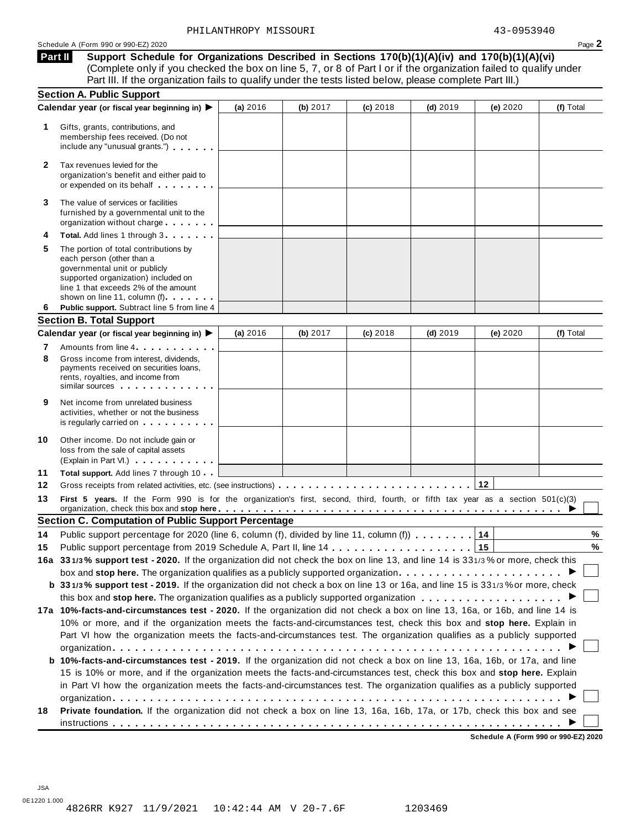#### Schedule <sup>A</sup> (Form <sup>990</sup> or 990-EZ) <sup>2020</sup> Page **2**

**Support Schedule for Organizations Described in Sections 170(b)(1)(A)(iv) and 170(b)(1)(A)(vi)** (Complete only if you checked the box on line 5, 7, or 8 of Part I or if the organization failed to qualify under Part III. If the organization fails to qualify under the tests listed below, please complete Part III.) **Part II**

|        | <b>Section A. Public Support</b>                                                                                                                                                                                                                                                                                                                                  |          |          |            |            |          |           |
|--------|-------------------------------------------------------------------------------------------------------------------------------------------------------------------------------------------------------------------------------------------------------------------------------------------------------------------------------------------------------------------|----------|----------|------------|------------|----------|-----------|
|        | Calendar year (or fiscal year beginning in) ▶                                                                                                                                                                                                                                                                                                                     | (a) 2016 | (b) 2017 | $(c)$ 2018 | $(d)$ 2019 | (e) 2020 | (f) Total |
| 1.     | Gifts, grants, contributions, and<br>membership fees received. (Do not<br>include any "unusual grants.")                                                                                                                                                                                                                                                          |          |          |            |            |          |           |
| 2      | Tax revenues levied for the<br>organization's benefit and either paid to<br>or expended on its behalf                                                                                                                                                                                                                                                             |          |          |            |            |          |           |
| 3      | The value of services or facilities<br>furnished by a governmental unit to the<br>organization without charge                                                                                                                                                                                                                                                     |          |          |            |            |          |           |
| 4      | Total. Add lines 1 through 3                                                                                                                                                                                                                                                                                                                                      |          |          |            |            |          |           |
| 5      | The portion of total contributions by<br>each person (other than a<br>governmental unit or publicly<br>supported organization) included on<br>line 1 that exceeds 2% of the amount<br>shown on line 11, column (f)<br>Public support. Subtract line 5 from line 4                                                                                                 |          |          |            |            |          |           |
| 6      | <b>Section B. Total Support</b>                                                                                                                                                                                                                                                                                                                                   |          |          |            |            |          |           |
|        | Calendar year (or fiscal year beginning in) ▶                                                                                                                                                                                                                                                                                                                     | (a) 2016 | (b) 2017 | $(c)$ 2018 | $(d)$ 2019 | (e) 2020 | (f) Total |
|        |                                                                                                                                                                                                                                                                                                                                                                   |          |          |            |            |          |           |
| 7<br>8 | Amounts from line 4<br>Gross income from interest, dividends,<br>payments received on securities loans,<br>rents, royalties, and income from<br>similar sources experiences                                                                                                                                                                                       |          |          |            |            |          |           |
| 9      | Net income from unrelated business<br>activities, whether or not the business<br>is regularly carried on the control of the set of the set of the set of the set of the set of the set of the s                                                                                                                                                                   |          |          |            |            |          |           |
| 10     | Other income. Do not include gain or<br>loss from the sale of capital assets<br>(Explain in Part VI.)                                                                                                                                                                                                                                                             |          |          |            |            |          |           |
| 11     | Total support. Add lines 7 through 10                                                                                                                                                                                                                                                                                                                             |          |          |            |            |          |           |
| 12     |                                                                                                                                                                                                                                                                                                                                                                   |          |          |            |            |          |           |
| 13     | First 5 years. If the Form 990 is for the organization's first, second, third, fourth, or fifth tax year as a section 501(c)(3)<br>organization, check this box and stop here entitled to provide the set of the set of the set of the set of the set of the set of the set of the set of the set of the set of the set of the set of the set of the set of the s |          |          |            |            |          |           |
|        | <b>Section C. Computation of Public Support Percentage</b>                                                                                                                                                                                                                                                                                                        |          |          |            |            |          |           |
| 14     | Public support percentage for 2020 (line 6, column (f), divided by line 11, column (f))                                                                                                                                                                                                                                                                           |          |          |            |            | 14       | %         |
| 15     |                                                                                                                                                                                                                                                                                                                                                                   |          |          |            |            |          | $\%$      |
|        | 16a 331/3% support test - 2020. If the organization did not check the box on line 13, and line 14 is 331/3% or more, check this                                                                                                                                                                                                                                   |          |          |            |            |          |           |
|        | box and stop here. The organization qualifies as a publicly supported organization                                                                                                                                                                                                                                                                                |          |          |            |            |          |           |
|        | b 331/3% support test - 2019. If the organization did not check a box on line 13 or 16a, and line 15 is 331/3% or more, check                                                                                                                                                                                                                                     |          |          |            |            |          |           |
|        |                                                                                                                                                                                                                                                                                                                                                                   |          |          |            |            |          |           |
|        | 17a 10%-facts-and-circumstances test - 2020. If the organization did not check a box on line 13, 16a, or 16b, and line 14 is                                                                                                                                                                                                                                      |          |          |            |            |          |           |
|        | 10% or more, and if the organization meets the facts-and-circumstances test, check this box and stop here. Explain in                                                                                                                                                                                                                                             |          |          |            |            |          |           |
|        | Part VI how the organization meets the facts-and-circumstances test. The organization qualifies as a publicly supported                                                                                                                                                                                                                                           |          |          |            |            |          |           |
|        |                                                                                                                                                                                                                                                                                                                                                                   |          |          |            |            |          |           |
|        | b 10%-facts-and-circumstances test - 2019. If the organization did not check a box on line 13, 16a, 16b, or 17a, and line                                                                                                                                                                                                                                         |          |          |            |            |          |           |
|        | 15 is 10% or more, and if the organization meets the facts-and-circumstances test, check this box and stop here. Explain                                                                                                                                                                                                                                          |          |          |            |            |          |           |
|        | in Part VI how the organization meets the facts-and-circumstances test. The organization qualifies as a publicly supported                                                                                                                                                                                                                                        |          |          |            |            |          |           |
| 18     | Private foundation. If the organization did not check a box on line 13, 16a, 16b, 17a, or 17b, check this box and see                                                                                                                                                                                                                                             |          |          |            |            |          |           |
|        |                                                                                                                                                                                                                                                                                                                                                                   |          |          |            |            |          |           |

**Schedule A (Form 990 or 990-EZ) 2020**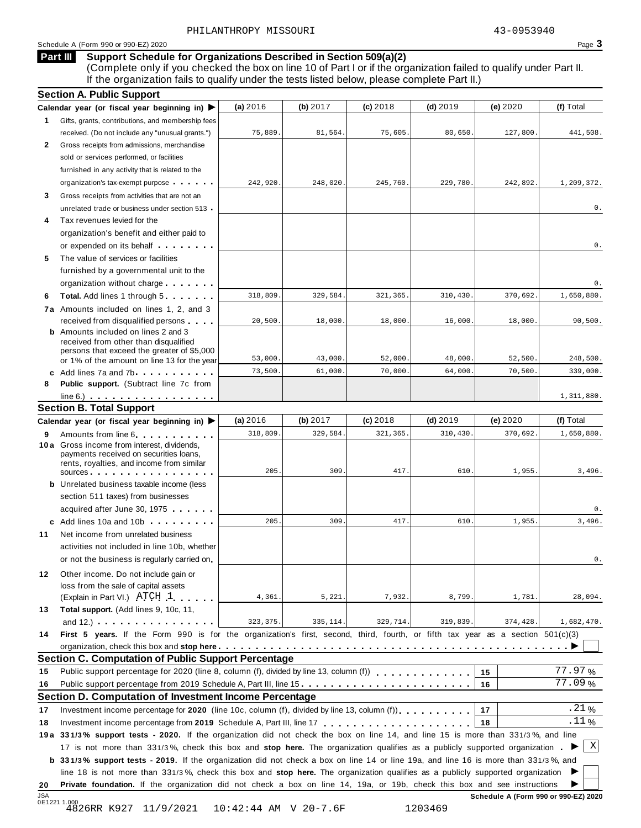#### Schedule A (Form 990 or 990-EZ) 2020 Page 3

#### **Support Schedule for Organizations Described in Section 509(a)(2) Part III**

(Complete only if you checked the box on line 10 of Part I or if the organization failed to qualify under Part II. If the organization fails to qualify under the tests listed below, please complete Part II.)

| <b>Section A. Public Support</b> |                                                                                                                                                                                                                                      |            |            |            |            |                                      |            |
|----------------------------------|--------------------------------------------------------------------------------------------------------------------------------------------------------------------------------------------------------------------------------------|------------|------------|------------|------------|--------------------------------------|------------|
|                                  | Calendar year (or fiscal year beginning in) ▶                                                                                                                                                                                        | (a) 2016   | (b) $2017$ | $(c)$ 2018 | $(d)$ 2019 | (e) 2020                             | (f) Total  |
| 1                                | Gifts, grants, contributions, and membership fees                                                                                                                                                                                    |            |            |            |            |                                      |            |
|                                  | received. (Do not include any "unusual grants.")                                                                                                                                                                                     | 75,889.    | 81,564.    | 75,605.    | 80,650     | 127,800.                             | 441,508.   |
| $\mathbf{2}$                     | Gross receipts from admissions, merchandise                                                                                                                                                                                          |            |            |            |            |                                      |            |
|                                  | sold or services performed, or facilities                                                                                                                                                                                            |            |            |            |            |                                      |            |
|                                  | furnished in any activity that is related to the                                                                                                                                                                                     |            |            |            |            |                                      |            |
|                                  | organization's tax-exempt purpose                                                                                                                                                                                                    | 242,920.   | 248,020.   | 245,760.   | 229,780.   | 242,892                              | 1,209,372. |
| 3                                | Gross receipts from activities that are not an                                                                                                                                                                                       |            |            |            |            |                                      |            |
|                                  | unrelated trade or business under section 513                                                                                                                                                                                        |            |            |            |            |                                      | 0.         |
| 4                                | Tax revenues levied for the                                                                                                                                                                                                          |            |            |            |            |                                      |            |
|                                  | organization's benefit and either paid to                                                                                                                                                                                            |            |            |            |            |                                      |            |
|                                  | or expended on its behalf <b>contains the set of the set of the set of the set of the set of the set of the set of the set of the set of the set of the set of the set of the set of the set of the set of the set of the set of</b> |            |            |            |            |                                      | 0.         |
| 5                                | The value of services or facilities                                                                                                                                                                                                  |            |            |            |            |                                      |            |
|                                  | furnished by a governmental unit to the                                                                                                                                                                                              |            |            |            |            |                                      |            |
|                                  | organization without charge                                                                                                                                                                                                          |            |            |            |            |                                      | 0.         |
| 6                                | <b>Total.</b> Add lines 1 through 5                                                                                                                                                                                                  | 318,809.   | 329,584    | 321,365.   | 310,430    | 370,692                              | 1,650,880. |
|                                  | 7a Amounts included on lines 1, 2, and 3                                                                                                                                                                                             |            |            |            |            |                                      |            |
|                                  | received from disqualified persons                                                                                                                                                                                                   | 20,500.    | 18,000     | 18,000.    | 16,000.    | 18,000                               | 90,500.    |
|                                  | <b>b</b> Amounts included on lines 2 and 3                                                                                                                                                                                           |            |            |            |            |                                      |            |
|                                  | received from other than disqualified                                                                                                                                                                                                |            |            |            |            |                                      |            |
|                                  | persons that exceed the greater of \$5,000<br>or 1% of the amount on line 13 for the year                                                                                                                                            | 53,000.    | 43,000.    | 52,000.    | 48,000.    | 52,500                               | 248,500.   |
|                                  | c Add lines 7a and 7b.                                                                                                                                                                                                               | 73,500.    | 61,000     | 70,000     | 64,000     | 70,500                               | 339,000.   |
| 8                                | Public support. (Subtract line 7c from                                                                                                                                                                                               |            |            |            |            |                                      |            |
|                                  | $line 6.)$ $\ldots$ $\ldots$ $\ldots$ $\ldots$ $\ldots$ $\ldots$ $\ldots$                                                                                                                                                            |            |            |            |            |                                      | 1,311,880. |
| <b>Section B. Total Support</b>  |                                                                                                                                                                                                                                      |            |            |            |            |                                      |            |
|                                  | Calendar year (or fiscal year beginning in) $\blacktriangleright$                                                                                                                                                                    | (a) $2016$ | (b) $2017$ | $(c)$ 2018 | $(d)$ 2019 | (e) 2020                             | (f) Total  |
| 9                                | Amounts from line 6                                                                                                                                                                                                                  | 318,809.   | 329,584    | 321, 365.  | 310,430.   | 370,692                              | 1,650,880. |
|                                  | 10 a Gross income from interest, dividends,                                                                                                                                                                                          |            |            |            |            |                                      |            |
|                                  | payments received on securities loans,                                                                                                                                                                                               |            |            |            |            |                                      |            |
|                                  | rents, royalties, and income from similar<br>SOUICES                                                                                                                                                                                 | 205.       | 309        | 417.       | 610.       | 1,955.                               | 3,496.     |
|                                  | <b>b</b> Unrelated business taxable income (less                                                                                                                                                                                     |            |            |            |            |                                      |            |
|                                  | section 511 taxes) from businesses                                                                                                                                                                                                   |            |            |            |            |                                      |            |
|                                  | acquired after June 30, 1975                                                                                                                                                                                                         |            |            |            |            |                                      | 0.         |
|                                  | c Add lines 10a and 10b                                                                                                                                                                                                              | 205.       | 309        | 417        | 610        | 1,955                                | 3,496.     |
| 11                               | Net income from unrelated business                                                                                                                                                                                                   |            |            |            |            |                                      |            |
|                                  | activities not included in line 10b, whether                                                                                                                                                                                         |            |            |            |            |                                      |            |
|                                  |                                                                                                                                                                                                                                      |            |            |            |            |                                      | 0.         |
|                                  | or not the business is regularly carried on                                                                                                                                                                                          |            |            |            |            |                                      |            |
| 12                               | Other income. Do not include gain or                                                                                                                                                                                                 |            |            |            |            |                                      |            |
|                                  | loss from the sale of capital assets                                                                                                                                                                                                 | 4,361.     | 5,221      | 7,932.     | 8,799      | 1,781                                | 28,094.    |
| 13                               | (Explain in Part VI.) ATCH 1<br>Total support. (Add lines 9, 10c, 11,                                                                                                                                                                |            |            |            |            |                                      |            |
|                                  | and $12.$ ) $\cdots$ $\cdots$ $\cdots$ $\cdots$ $\cdots$                                                                                                                                                                             | 323, 375.  | 335,114.   | 329,714.   | 319,839.   | 374,428                              | 1,682,470. |
|                                  | First 5 years. If the Form 990 is for the organization's first, second, third, fourth, or fifth tax year as a section 501(c)(3)                                                                                                      |            |            |            |            |                                      |            |
| 14                               |                                                                                                                                                                                                                                      |            |            |            |            |                                      |            |
|                                  | <b>Section C. Computation of Public Support Percentage</b>                                                                                                                                                                           |            |            |            |            |                                      |            |
| 15                               |                                                                                                                                                                                                                                      |            |            |            |            | 15                                   | 77.97%     |
| 16                               | Public support percentage from 2019 Schedule A, Part III, line 15                                                                                                                                                                    |            |            |            |            |                                      | 77.09%     |
|                                  | Section D. Computation of Investment Income Percentage                                                                                                                                                                               |            |            |            |            | 16                                   |            |
|                                  |                                                                                                                                                                                                                                      |            |            |            |            |                                      | .21%       |
| 17                               | Investment income percentage for 2020 (line 10c, column (f), divided by line 13, column (f)                                                                                                                                          |            |            |            |            | 17                                   | $-11%$     |
| 18                               |                                                                                                                                                                                                                                      |            |            |            |            | 18                                   |            |
|                                  | 19a 331/3% support tests - 2020. If the organization did not check the box on line 14, and line 15 is more than 331/3%, and line                                                                                                     |            |            |            |            |                                      |            |
|                                  | 17 is not more than 331/3%, check this box and stop here. The organization qualifies as a publicly supported organization.                                                                                                           |            |            |            |            |                                      | X          |
|                                  |                                                                                                                                                                                                                                      |            |            |            |            |                                      |            |
|                                  | <b>b</b> 331/3% support tests - 2019. If the organization did not check a box on line 14 or line 19a, and line 16 is more than 331/3%, and                                                                                           |            |            |            |            |                                      |            |
|                                  | line 18 is not more than 331/3%, check this box and stop here. The organization qualifies as a publicly supported organization                                                                                                       |            |            |            |            |                                      |            |
| 20<br><b>JSA</b>                 | Private foundation. If the organization did not check a box on line 14, 19a, or 19b, check this box and see instructions                                                                                                             |            |            |            |            | Schedule A (Form 990 or 990-EZ) 2020 |            |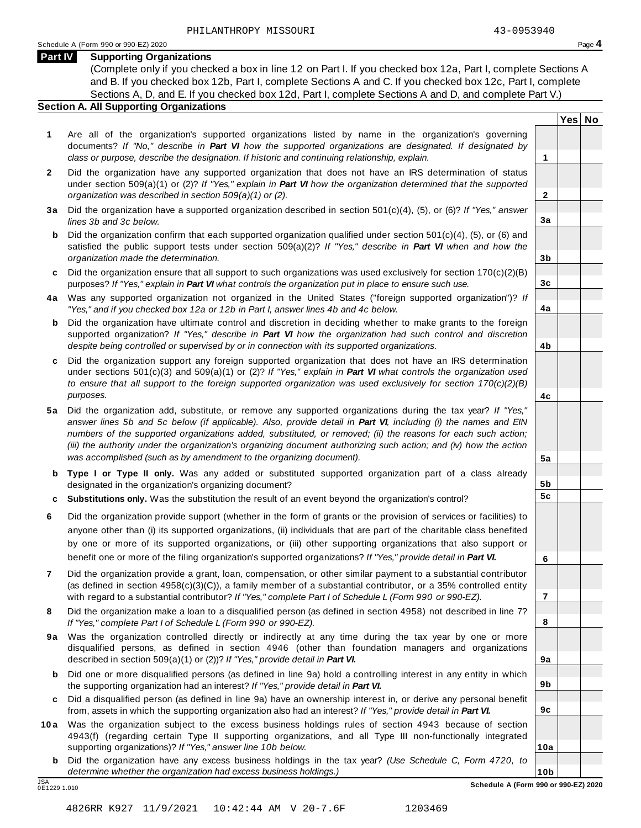**Yes No**

**2**

**3a**

**3b**

**3c**

**4a**

**4b**

**4c**

**5a**

**5b 5c**

**6**

**7**

**8**

**9a**

**9b**

**9c**

**10a**

#### **Part IV Supporting Organizations**

(Complete only if you checked a box in line 12 on Part I. If you checked box 12a, Part I, complete Sections A and B. If you checked box 12b, Part I, complete Sections A and C. If you checked box 12c, Part I, complete Sections A, D, and E. If you checked box 12d, Part I, complete Sections A and D, and complete Part V.)

#### **Section A. All Supporting Organizations**

- **1** Are all of the organization's supported organizations listed by name in the organization's governing documents? *If "No," describe in Part VI how the supported organizations are designated. If designated by class or purpose, describe the designation. If historic and continuing relationship, explain.* **1**
- **2** Did the organization have any supported organization that does not have an IRS determination of status under section 509(a)(1) or (2)? *If"Yes," explain in Part VI how the organization determined that the supported organization was described in section 509(a)(1) or (2).*
- **3 a** Did the organization have a supported organization described in section 501(c)(4), (5), or (6)? *If "Yes," answer lines 3b and 3c below.*
- **b** Did the organization confirm that each supported organization qualified under section 501(c)(4), (5), or (6) and | satisfied the public support tests under section 509(a)(2)? *If "Yes," describe in Part VI when and how the organization made the determination.*
- **c** Did the organization ensure that all support to such organizations was used exclusively for section 170(c)(2)(B) purposes? *If"Yes," explain in Part VI what controls the organization put in place to ensure such use.*
- **4 a** Was any supported organization not organized in the United States ("foreign supported organization")? *If "Yes," and if you checked box 12a or 12b in Part I, answer lines 4b and 4c below.*
- **b** Did the organization have ultimate control and discretion in deciding whether to make grants to the foreign | supported organization? *If "Yes," describe in Part VI how the organization had such control and discretion despite being controlled or supervised by or in connection with its supported organizations.*
- **c** Did the organization support any foreign supported organization that does not have an IRS determination | under sections 501(c)(3) and 509(a)(1) or (2)? *If "Yes," explain in Part VI what controls the organization used to ensure that all support to the foreign supported organization was used exclusively for section 170(c)(2)(B) purposes.*
- **5 a** Did the organization add, substitute, or remove any supported organizations during the tax year? *If "Yes,"* answer lines 5b and 5c below (if applicable). Also, provide detail in Part VI, including (i) the names and EIN *numbers of the supported organizations added, substituted, or removed; (ii) the reasons for each such action;* (iii) the authority under the organization's organizing document authorizing such action; and (iv) how the action *was accomplished (such as by amendment to the organizing document).*
- **b Type I or Type II only.** Was any added or substituted supported organization part of a class already designated in the organization's organizing document?
- **c Substitutions only.** Was the substitution the result of an event beyond the organization's control?
- **6** Did the organization provide support (whether in the form of grants or the provision of services or facilities) to anyone other than (i) its supported organizations, (ii) individuals that are part of the charitable class benefited by one or more of its supported organizations, or (iii) other supporting organizations that also support or benefit one or more of the filing organization's supported organizations? *If"Yes," provide detail in Part VI.*
- **7** Did the organization provide a grant, loan, compensation, or other similar payment to a substantial contributor (as defined in section 4958(c)(3)(C)), a family member of a substantial contributor, or a 35% controlled entity with regard to a substantial contributor? *If"Yes," complete Part I of Schedule L (Form 990 or 990-EZ).*
- **8** Did the organization make a loan to a disqualified person (as defined in section 4958) not described in line 7? *If "Yes," complete Part I of Schedule L (Form 990 or 990-EZ).*
- **9a** Was the organization controlled directly or indirectly at any time during the tax year by one or more | disqualified persons, as defined in section 4946 (other than foundation managers and organizations described in section 509(a)(1) or (2))? *If"Yes," provide detail in Part VI.*
- **b** Did one or more disqualified persons (as defined in line 9a) hold a controlling interest in any entity in which | the supporting organization had an interest? *If"Yes," provide detail in Part VI.*
- **c** Did a disqualified person (as defined in line 9a) have an ownership interest in, or derive any personal benefit from, assets in which the supporting organization also had an interest? *If"Yes," provide detail in Part VI.*
- **10a** Was the organization subject to the excess business holdings rules of section 4943 because of section | 4943(f) (regarding certain Type II supporting organizations, and all Type III non-functionally integrated supporting organizations)? *If"Yes," answer line 10b below.*
- **b** Did the organization have any excess business holdings in the tax year? *(Use Schedule C, Form 4720, to determine whether the organization had excess business holdings.)*

0E1229 1.010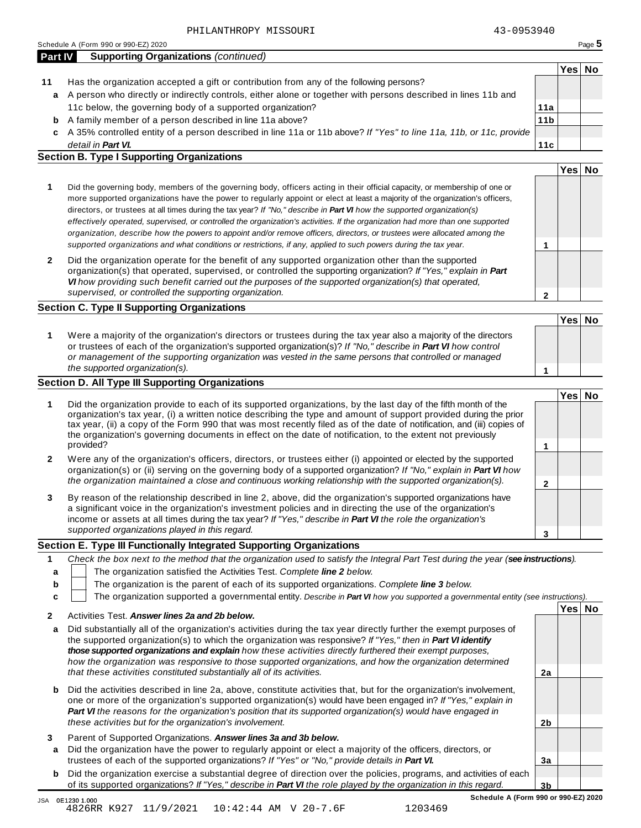- **11** Has the organization accepted a gift or contribution from any of the following persons? A person who directly or indirectly controls, either alone or together with persons described in lines 11b and **a** 11c below, the governing body of a supported organization? A family member of a person described in line 11a above? **b 11a 11b**
	- A 35% controlled entity of a person described in line 11a or 11b above? *If"Yes" to line 11a, 11b, or 11c, provide* **c** *detail in Part VI.*

#### **Section B. Type I Supporting Organizations**

|                                                                                                                                                                                                                                                                                                                                                                                                                                                                                                                                                                                                                                                                                                                                                                                 |   | Yes |  |
|---------------------------------------------------------------------------------------------------------------------------------------------------------------------------------------------------------------------------------------------------------------------------------------------------------------------------------------------------------------------------------------------------------------------------------------------------------------------------------------------------------------------------------------------------------------------------------------------------------------------------------------------------------------------------------------------------------------------------------------------------------------------------------|---|-----|--|
| Did the governing body, members of the governing body, officers acting in their official capacity, or membership of one or<br>more supported organizations have the power to regularly appoint or elect at least a majority of the organization's officers,<br>directors, or trustees at all times during the tax year? If "No," describe in <b>Part VI</b> how the supported organization(s)<br>effectively operated, supervised, or controlled the organization's activities. If the organization had more than one supported<br>organization, describe how the powers to appoint and/or remove officers, directors, or trustees were allocated among the<br>supported organizations and what conditions or restrictions, if any, applied to such powers during the tax year. |   |     |  |
| Did the organization operate for the benefit of any supported organization other than the supported<br>organization(s) that operated, supervised, or controlled the supporting organization? If "Yes," explain in Part<br>VI how providing such benefit carried out the purposes of the supported organization(s) that operated,                                                                                                                                                                                                                                                                                                                                                                                                                                                |   |     |  |
| supervised, or controlled the supporting organization.                                                                                                                                                                                                                                                                                                                                                                                                                                                                                                                                                                                                                                                                                                                          | ົ |     |  |

#### **Section C. Type II Supporting Organizations**

**1 Yes No 1** Were a majority of the organization's directors or trustees during the tax year also a majority of the directors or trustees of each of the organization's supported organization(s)? *If"No," describe in Part VI how control or management of the supporting organization was vested in the same persons that controlled or managed the supported organization(s).*

#### **Section D. All Type III Supporting Organizations**

|              |                                                                                                                                                                                                                                                                                                                                                                                                                                                                                          |  | Yes⊺ |  |
|--------------|------------------------------------------------------------------------------------------------------------------------------------------------------------------------------------------------------------------------------------------------------------------------------------------------------------------------------------------------------------------------------------------------------------------------------------------------------------------------------------------|--|------|--|
|              | Did the organization provide to each of its supported organizations, by the last day of the fifth month of the<br>organization's tax year, (i) a written notice describing the type and amount of support provided during the prior<br>tax year, (ii) a copy of the Form 990 that was most recently filed as of the date of notification, and (iii) copies of<br>the organization's governing documents in effect on the date of notification, to the extent not previously<br>provided? |  |      |  |
|              |                                                                                                                                                                                                                                                                                                                                                                                                                                                                                          |  |      |  |
| $\mathbf{2}$ | Were any of the organization's officers, directors, or trustees either (i) appointed or elected by the supported<br>organization(s) or (ii) serving on the governing body of a supported organization? If "No," explain in <b>Part VI</b> how<br>the organization maintained a close and continuous working relationship with the supported organization(s).                                                                                                                             |  |      |  |
|              |                                                                                                                                                                                                                                                                                                                                                                                                                                                                                          |  |      |  |
| 3            | By reason of the relationship described in line 2, above, did the organization's supported organizations have<br>a significant voice in the organization's investment policies and in directing the use of the organization's<br>income or assets at all times during the tax year? If "Yes," describe in Part VI the role the organization's                                                                                                                                            |  |      |  |
|              | supported organizations played in this regard.                                                                                                                                                                                                                                                                                                                                                                                                                                           |  |      |  |

#### **Section E. Type III Functionally Integrated Supporting Organizations**

|                                                | Check the box next to the method that the organization used to satisfy the Integral Part Test during the year (see instructions). |  |  |  |  |  |  |
|------------------------------------------------|-----------------------------------------------------------------------------------------------------------------------------------|--|--|--|--|--|--|
|                                                | The organization satisfied the Activities Test. Complete line 2 below.                                                            |  |  |  |  |  |  |
| b                                              | The organization is the parent of each of its supported organizations. Complete line 3 below.                                     |  |  |  |  |  |  |
|                                                | The organization supported a governmental entity. Describe in Part VI how you supported a governmental entity (see instructions). |  |  |  |  |  |  |
|                                                |                                                                                                                                   |  |  |  |  |  |  |
| Activities Test. Answer lines 2a and 2b below. |                                                                                                                                   |  |  |  |  |  |  |

|        | , wuwuwu Tuul. Ahanyi iihoo la qha lad wolyn                                                                                                                                                                                                                                                                                                                                                                                                                                                                                        |                |  |
|--------|-------------------------------------------------------------------------------------------------------------------------------------------------------------------------------------------------------------------------------------------------------------------------------------------------------------------------------------------------------------------------------------------------------------------------------------------------------------------------------------------------------------------------------------|----------------|--|
| a      | Did substantially all of the organization's activities during the tax year directly further the exempt purposes of<br>the supported organization(s) to which the organization was responsive? If "Yes," then in Part VI identify<br>those supported organizations and explain how these activities directly furthered their exempt purposes.<br>how the organization was responsive to those supported organizations, and how the organization determined<br>that these activities constituted substantially all of its activities. | 2a             |  |
|        | <b>b</b> Did the activities described in line 2a, above, constitute activities that, but for the organization's involvement,<br>one or more of the organization's supported organization(s) would have been engaged in? If "Yes," explain in<br>Part VI the reasons for the organization's position that its supported organization(s) would have engaged in<br>these activities but for the organization's involvement.                                                                                                            | 2b             |  |
| 3<br>a | Parent of Supported Organizations. Answer lines 3a and 3b below.<br>Did the organization have the power to regularly appoint or elect a majority of the officers, directors, or<br>trustees of each of the supported organizations? If "Yes" or "No," provide details in Part VI.                                                                                                                                                                                                                                                   | 3a             |  |
| b      | Did the organization exercise a substantial degree of direction over the policies, programs, and activities of each<br>of its supported organizations? If "Yes," describe in <b>Part VI</b> the role played by the organization in this regard.                                                                                                                                                                                                                                                                                     | 3 <sub>b</sub> |  |

| JSA 0E1230 1.000 |                                             |         |
|------------------|---------------------------------------------|---------|
|                  | 4826RR K927 11/9/2021 10:42:44 AM V 20-7.6F | 1203469 |

**11c**

**2**

**Yes No**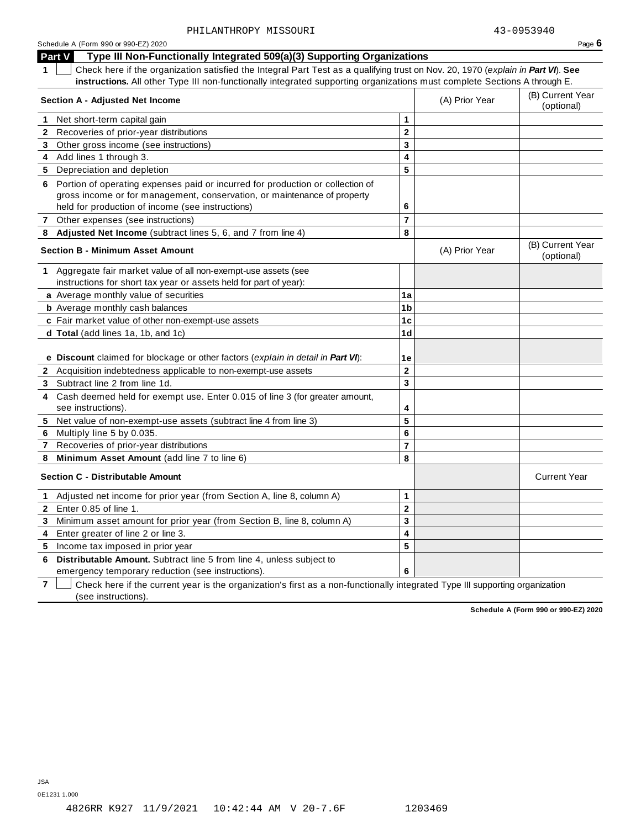|              | Schedule A (Form 990 or 990-EZ) 2020                                                                                             |                         |                | Page $6$                       |
|--------------|----------------------------------------------------------------------------------------------------------------------------------|-------------------------|----------------|--------------------------------|
|              | Part V<br>Type III Non-Functionally Integrated 509(a)(3) Supporting Organizations                                                |                         |                |                                |
| $\mathbf 1$  | Check here if the organization satisfied the Integral Part Test as a qualifying trust on Nov. 20, 1970 (explain in Part VI). See |                         |                |                                |
|              | instructions. All other Type III non-functionally integrated supporting organizations must complete Sections A through E.        |                         |                |                                |
|              | Section A - Adjusted Net Income                                                                                                  |                         | (A) Prior Year | (B) Current Year<br>(optional) |
| $\mathbf 1$  | Net short-term capital gain                                                                                                      | 1                       |                |                                |
|              | 2 Recoveries of prior-year distributions                                                                                         | $\mathbf 2$             |                |                                |
|              | 3 Other gross income (see instructions)                                                                                          | 3                       |                |                                |
|              | 4 Add lines 1 through 3.                                                                                                         | 4                       |                |                                |
|              | 5 Depreciation and depletion                                                                                                     | 5                       |                |                                |
|              | 6 Portion of operating expenses paid or incurred for production or collection of                                                 |                         |                |                                |
|              | gross income or for management, conservation, or maintenance of property                                                         |                         |                |                                |
|              | held for production of income (see instructions)                                                                                 | 6                       |                |                                |
|              | 7 Other expenses (see instructions)                                                                                              | 7                       |                |                                |
|              | 8 Adjusted Net Income (subtract lines 5, 6, and 7 from line 4)                                                                   | 8                       |                |                                |
|              | <b>Section B - Minimum Asset Amount</b>                                                                                          |                         | (A) Prior Year | (B) Current Year<br>(optional) |
|              | 1 Aggregate fair market value of all non-exempt-use assets (see                                                                  |                         |                |                                |
|              | instructions for short tax year or assets held for part of year):                                                                |                         |                |                                |
|              | a Average monthly value of securities                                                                                            | 1a                      |                |                                |
|              | <b>b</b> Average monthly cash balances                                                                                           | 1b                      |                |                                |
|              | c Fair market value of other non-exempt-use assets                                                                               | 1 <sub>c</sub>          |                |                                |
|              | d Total (add lines 1a, 1b, and 1c)                                                                                               | 1d                      |                |                                |
|              |                                                                                                                                  |                         |                |                                |
|              | e Discount claimed for blockage or other factors (explain in detail in Part VI):                                                 | 1e                      |                |                                |
|              | 2 Acquisition indebtedness applicable to non-exempt-use assets                                                                   | $\mathbf 2$             |                |                                |
| 3            | Subtract line 2 from line 1d.                                                                                                    | 3                       |                |                                |
| 4            | Cash deemed held for exempt use. Enter 0.015 of line 3 (for greater amount,                                                      |                         |                |                                |
|              | see instructions).                                                                                                               | 4                       |                |                                |
|              | 5 Net value of non-exempt-use assets (subtract line 4 from line 3)                                                               | 5                       |                |                                |
| 6            | Multiply line 5 by 0.035.                                                                                                        | 6                       |                |                                |
| $\mathbf{7}$ | Recoveries of prior-year distributions                                                                                           | $\overline{7}$          |                |                                |
| 8            | Minimum Asset Amount (add line 7 to line 6)                                                                                      | 8                       |                |                                |
|              | <b>Section C - Distributable Amount</b>                                                                                          |                         |                | <b>Current Year</b>            |
| 1            | Adjusted net income for prior year (from Section A, line 8, column A)                                                            | 1                       |                |                                |
| $\mathbf{2}$ | Enter 0.85 of line 1.                                                                                                            | $\overline{\mathbf{2}}$ |                |                                |
| 3            | Minimum asset amount for prior year (from Section B, line 8, column A)                                                           | 3                       |                |                                |
| 4            | Enter greater of line 2 or line 3.                                                                                               | 4                       |                |                                |
| 5            | Income tax imposed in prior year                                                                                                 | 5                       |                |                                |
| 6            | Distributable Amount. Subtract line 5 from line 4, unless subject to                                                             |                         |                |                                |
|              | emergency temporary reduction (see instructions).                                                                                | 6                       |                |                                |

**7** Check here if the current year is the organization's first as a non-functionally integrated Type III supporting organization (see instructions).

**Schedule A (Form 990 or 990-EZ) 2020**

0E1231 1.000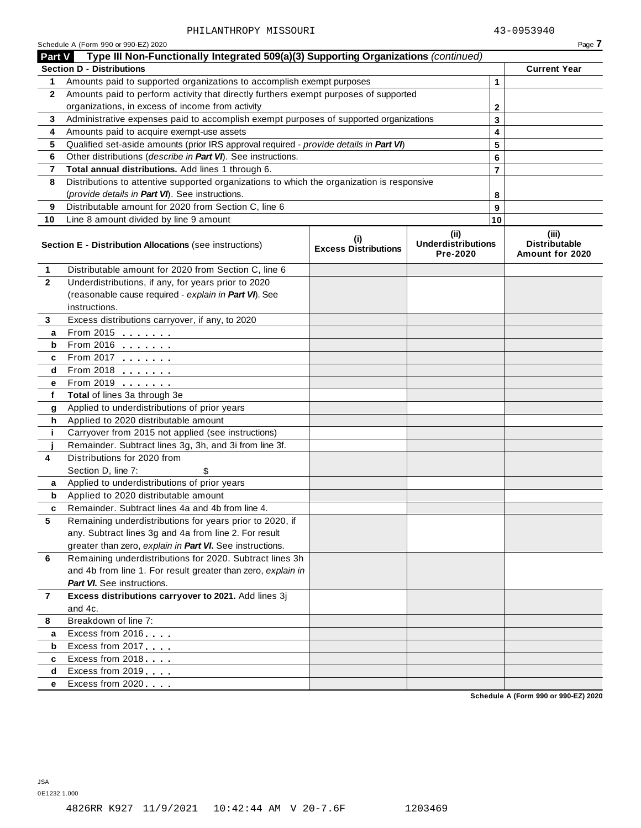| Type III Non-Functionally Integrated 509(a)(3) Supporting Organizations (continued)<br><b>Part V</b><br><b>Section D - Distributions</b><br>Amounts paid to supported organizations to accomplish exempt purposes<br>1.<br>$\mathbf{1}$<br>Amounts paid to perform activity that directly furthers exempt purposes of supported<br>2<br>organizations, in excess of income from activity<br>2<br>Administrative expenses paid to accomplish exempt purposes of supported organizations<br>3<br>3<br>4<br>Amounts paid to acquire exempt-use assets<br>4<br>Qualified set-aside amounts (prior IRS approval required - provide details in Part VI)<br>5<br>5<br>6<br>Other distributions (describe in Part VI). See instructions.<br>6<br>Total annual distributions. Add lines 1 through 6.<br>$\overline{7}$<br>7<br>Distributions to attentive supported organizations to which the organization is responsive<br>8<br>(provide details in Part VI). See instructions.<br>8<br>Distributable amount for 2020 from Section C, line 6<br>9<br>9<br>Line 8 amount divided by line 9 amount<br>10<br>10<br>(ii)<br>(iii)<br>$\sf^{(i)}$<br><b>Underdistributions</b><br><b>Section E - Distribution Allocations (see instructions)</b><br><b>Excess Distributions</b><br>Pre-2020<br>Distributable amount for 2020 from Section C, line 6<br>1<br>$\overline{2}$<br>Underdistributions, if any, for years prior to 2020<br>(reasonable cause required - explain in Part VI). See<br>instructions.<br>Excess distributions carryover, if any, to 2020<br>3<br>From 2015<br>a<br>From 2016 $\frac{2016}{200}$<br>b<br>From 2017<br>c<br>From 2018<br>d<br>From 2019 <b></b><br>е<br>Total of lines 3a through 3e<br>f<br>Applied to underdistributions of prior years<br>g<br>Applied to 2020 distributable amount<br>h<br>Carryover from 2015 not applied (see instructions)<br>j.<br>Remainder. Subtract lines 3g, 3h, and 3i from line 3f.<br>4<br>Distributions for 2020 from<br>Section D, line 7:<br>Applied to underdistributions of prior years<br>a<br>Applied to 2020 distributable amount<br>b<br>Remainder. Subtract lines 4a and 4b from line 4.<br>c<br>5<br>Remaining underdistributions for years prior to 2020, if<br>any. Subtract lines 3g and 4a from line 2. For result<br>greater than zero, explain in Part VI. See instructions.<br>Remaining underdistributions for 2020. Subtract lines 3h<br>6<br>and 4b from line 1. For result greater than zero, explain in<br><b>Part VI.</b> See instructions.<br>Excess distributions carryover to 2021. Add lines 3j<br>7<br>and 4c.<br>Breakdown of line 7:<br>8<br>Excess from 2016<br>а<br>Excess from 2017<br>b<br>Excess from 2018<br>c |   | Schedule A (Form 990 or 990-EZ) 2020 |  | Page 7                           |
|------------------------------------------------------------------------------------------------------------------------------------------------------------------------------------------------------------------------------------------------------------------------------------------------------------------------------------------------------------------------------------------------------------------------------------------------------------------------------------------------------------------------------------------------------------------------------------------------------------------------------------------------------------------------------------------------------------------------------------------------------------------------------------------------------------------------------------------------------------------------------------------------------------------------------------------------------------------------------------------------------------------------------------------------------------------------------------------------------------------------------------------------------------------------------------------------------------------------------------------------------------------------------------------------------------------------------------------------------------------------------------------------------------------------------------------------------------------------------------------------------------------------------------------------------------------------------------------------------------------------------------------------------------------------------------------------------------------------------------------------------------------------------------------------------------------------------------------------------------------------------------------------------------------------------------------------------------------------------------------------------------------------------------------------------------------------------------------------------------------------------------------------------------------------------------------------------------------------------------------------------------------------------------------------------------------------------------------------------------------------------------------------------------------------------------------------------------------------------------------------------------------------------------------------------------------------------------------------------------------------------------------------------------------------------------------------------------|---|--------------------------------------|--|----------------------------------|
|                                                                                                                                                                                                                                                                                                                                                                                                                                                                                                                                                                                                                                                                                                                                                                                                                                                                                                                                                                                                                                                                                                                                                                                                                                                                                                                                                                                                                                                                                                                                                                                                                                                                                                                                                                                                                                                                                                                                                                                                                                                                                                                                                                                                                                                                                                                                                                                                                                                                                                                                                                                                                                                                                                            |   |                                      |  |                                  |
|                                                                                                                                                                                                                                                                                                                                                                                                                                                                                                                                                                                                                                                                                                                                                                                                                                                                                                                                                                                                                                                                                                                                                                                                                                                                                                                                                                                                                                                                                                                                                                                                                                                                                                                                                                                                                                                                                                                                                                                                                                                                                                                                                                                                                                                                                                                                                                                                                                                                                                                                                                                                                                                                                                            |   |                                      |  | <b>Current Year</b>              |
|                                                                                                                                                                                                                                                                                                                                                                                                                                                                                                                                                                                                                                                                                                                                                                                                                                                                                                                                                                                                                                                                                                                                                                                                                                                                                                                                                                                                                                                                                                                                                                                                                                                                                                                                                                                                                                                                                                                                                                                                                                                                                                                                                                                                                                                                                                                                                                                                                                                                                                                                                                                                                                                                                                            |   |                                      |  |                                  |
|                                                                                                                                                                                                                                                                                                                                                                                                                                                                                                                                                                                                                                                                                                                                                                                                                                                                                                                                                                                                                                                                                                                                                                                                                                                                                                                                                                                                                                                                                                                                                                                                                                                                                                                                                                                                                                                                                                                                                                                                                                                                                                                                                                                                                                                                                                                                                                                                                                                                                                                                                                                                                                                                                                            |   |                                      |  |                                  |
|                                                                                                                                                                                                                                                                                                                                                                                                                                                                                                                                                                                                                                                                                                                                                                                                                                                                                                                                                                                                                                                                                                                                                                                                                                                                                                                                                                                                                                                                                                                                                                                                                                                                                                                                                                                                                                                                                                                                                                                                                                                                                                                                                                                                                                                                                                                                                                                                                                                                                                                                                                                                                                                                                                            |   |                                      |  |                                  |
|                                                                                                                                                                                                                                                                                                                                                                                                                                                                                                                                                                                                                                                                                                                                                                                                                                                                                                                                                                                                                                                                                                                                                                                                                                                                                                                                                                                                                                                                                                                                                                                                                                                                                                                                                                                                                                                                                                                                                                                                                                                                                                                                                                                                                                                                                                                                                                                                                                                                                                                                                                                                                                                                                                            |   |                                      |  |                                  |
|                                                                                                                                                                                                                                                                                                                                                                                                                                                                                                                                                                                                                                                                                                                                                                                                                                                                                                                                                                                                                                                                                                                                                                                                                                                                                                                                                                                                                                                                                                                                                                                                                                                                                                                                                                                                                                                                                                                                                                                                                                                                                                                                                                                                                                                                                                                                                                                                                                                                                                                                                                                                                                                                                                            |   |                                      |  |                                  |
|                                                                                                                                                                                                                                                                                                                                                                                                                                                                                                                                                                                                                                                                                                                                                                                                                                                                                                                                                                                                                                                                                                                                                                                                                                                                                                                                                                                                                                                                                                                                                                                                                                                                                                                                                                                                                                                                                                                                                                                                                                                                                                                                                                                                                                                                                                                                                                                                                                                                                                                                                                                                                                                                                                            |   |                                      |  |                                  |
|                                                                                                                                                                                                                                                                                                                                                                                                                                                                                                                                                                                                                                                                                                                                                                                                                                                                                                                                                                                                                                                                                                                                                                                                                                                                                                                                                                                                                                                                                                                                                                                                                                                                                                                                                                                                                                                                                                                                                                                                                                                                                                                                                                                                                                                                                                                                                                                                                                                                                                                                                                                                                                                                                                            |   |                                      |  |                                  |
|                                                                                                                                                                                                                                                                                                                                                                                                                                                                                                                                                                                                                                                                                                                                                                                                                                                                                                                                                                                                                                                                                                                                                                                                                                                                                                                                                                                                                                                                                                                                                                                                                                                                                                                                                                                                                                                                                                                                                                                                                                                                                                                                                                                                                                                                                                                                                                                                                                                                                                                                                                                                                                                                                                            |   |                                      |  |                                  |
|                                                                                                                                                                                                                                                                                                                                                                                                                                                                                                                                                                                                                                                                                                                                                                                                                                                                                                                                                                                                                                                                                                                                                                                                                                                                                                                                                                                                                                                                                                                                                                                                                                                                                                                                                                                                                                                                                                                                                                                                                                                                                                                                                                                                                                                                                                                                                                                                                                                                                                                                                                                                                                                                                                            |   |                                      |  |                                  |
|                                                                                                                                                                                                                                                                                                                                                                                                                                                                                                                                                                                                                                                                                                                                                                                                                                                                                                                                                                                                                                                                                                                                                                                                                                                                                                                                                                                                                                                                                                                                                                                                                                                                                                                                                                                                                                                                                                                                                                                                                                                                                                                                                                                                                                                                                                                                                                                                                                                                                                                                                                                                                                                                                                            |   |                                      |  |                                  |
|                                                                                                                                                                                                                                                                                                                                                                                                                                                                                                                                                                                                                                                                                                                                                                                                                                                                                                                                                                                                                                                                                                                                                                                                                                                                                                                                                                                                                                                                                                                                                                                                                                                                                                                                                                                                                                                                                                                                                                                                                                                                                                                                                                                                                                                                                                                                                                                                                                                                                                                                                                                                                                                                                                            |   |                                      |  |                                  |
|                                                                                                                                                                                                                                                                                                                                                                                                                                                                                                                                                                                                                                                                                                                                                                                                                                                                                                                                                                                                                                                                                                                                                                                                                                                                                                                                                                                                                                                                                                                                                                                                                                                                                                                                                                                                                                                                                                                                                                                                                                                                                                                                                                                                                                                                                                                                                                                                                                                                                                                                                                                                                                                                                                            |   |                                      |  |                                  |
|                                                                                                                                                                                                                                                                                                                                                                                                                                                                                                                                                                                                                                                                                                                                                                                                                                                                                                                                                                                                                                                                                                                                                                                                                                                                                                                                                                                                                                                                                                                                                                                                                                                                                                                                                                                                                                                                                                                                                                                                                                                                                                                                                                                                                                                                                                                                                                                                                                                                                                                                                                                                                                                                                                            |   |                                      |  | Distributable<br>Amount for 2020 |
|                                                                                                                                                                                                                                                                                                                                                                                                                                                                                                                                                                                                                                                                                                                                                                                                                                                                                                                                                                                                                                                                                                                                                                                                                                                                                                                                                                                                                                                                                                                                                                                                                                                                                                                                                                                                                                                                                                                                                                                                                                                                                                                                                                                                                                                                                                                                                                                                                                                                                                                                                                                                                                                                                                            |   |                                      |  |                                  |
|                                                                                                                                                                                                                                                                                                                                                                                                                                                                                                                                                                                                                                                                                                                                                                                                                                                                                                                                                                                                                                                                                                                                                                                                                                                                                                                                                                                                                                                                                                                                                                                                                                                                                                                                                                                                                                                                                                                                                                                                                                                                                                                                                                                                                                                                                                                                                                                                                                                                                                                                                                                                                                                                                                            |   |                                      |  |                                  |
|                                                                                                                                                                                                                                                                                                                                                                                                                                                                                                                                                                                                                                                                                                                                                                                                                                                                                                                                                                                                                                                                                                                                                                                                                                                                                                                                                                                                                                                                                                                                                                                                                                                                                                                                                                                                                                                                                                                                                                                                                                                                                                                                                                                                                                                                                                                                                                                                                                                                                                                                                                                                                                                                                                            |   |                                      |  |                                  |
|                                                                                                                                                                                                                                                                                                                                                                                                                                                                                                                                                                                                                                                                                                                                                                                                                                                                                                                                                                                                                                                                                                                                                                                                                                                                                                                                                                                                                                                                                                                                                                                                                                                                                                                                                                                                                                                                                                                                                                                                                                                                                                                                                                                                                                                                                                                                                                                                                                                                                                                                                                                                                                                                                                            |   |                                      |  |                                  |
|                                                                                                                                                                                                                                                                                                                                                                                                                                                                                                                                                                                                                                                                                                                                                                                                                                                                                                                                                                                                                                                                                                                                                                                                                                                                                                                                                                                                                                                                                                                                                                                                                                                                                                                                                                                                                                                                                                                                                                                                                                                                                                                                                                                                                                                                                                                                                                                                                                                                                                                                                                                                                                                                                                            |   |                                      |  |                                  |
|                                                                                                                                                                                                                                                                                                                                                                                                                                                                                                                                                                                                                                                                                                                                                                                                                                                                                                                                                                                                                                                                                                                                                                                                                                                                                                                                                                                                                                                                                                                                                                                                                                                                                                                                                                                                                                                                                                                                                                                                                                                                                                                                                                                                                                                                                                                                                                                                                                                                                                                                                                                                                                                                                                            |   |                                      |  |                                  |
|                                                                                                                                                                                                                                                                                                                                                                                                                                                                                                                                                                                                                                                                                                                                                                                                                                                                                                                                                                                                                                                                                                                                                                                                                                                                                                                                                                                                                                                                                                                                                                                                                                                                                                                                                                                                                                                                                                                                                                                                                                                                                                                                                                                                                                                                                                                                                                                                                                                                                                                                                                                                                                                                                                            |   |                                      |  |                                  |
|                                                                                                                                                                                                                                                                                                                                                                                                                                                                                                                                                                                                                                                                                                                                                                                                                                                                                                                                                                                                                                                                                                                                                                                                                                                                                                                                                                                                                                                                                                                                                                                                                                                                                                                                                                                                                                                                                                                                                                                                                                                                                                                                                                                                                                                                                                                                                                                                                                                                                                                                                                                                                                                                                                            |   |                                      |  |                                  |
|                                                                                                                                                                                                                                                                                                                                                                                                                                                                                                                                                                                                                                                                                                                                                                                                                                                                                                                                                                                                                                                                                                                                                                                                                                                                                                                                                                                                                                                                                                                                                                                                                                                                                                                                                                                                                                                                                                                                                                                                                                                                                                                                                                                                                                                                                                                                                                                                                                                                                                                                                                                                                                                                                                            |   |                                      |  |                                  |
|                                                                                                                                                                                                                                                                                                                                                                                                                                                                                                                                                                                                                                                                                                                                                                                                                                                                                                                                                                                                                                                                                                                                                                                                                                                                                                                                                                                                                                                                                                                                                                                                                                                                                                                                                                                                                                                                                                                                                                                                                                                                                                                                                                                                                                                                                                                                                                                                                                                                                                                                                                                                                                                                                                            |   |                                      |  |                                  |
|                                                                                                                                                                                                                                                                                                                                                                                                                                                                                                                                                                                                                                                                                                                                                                                                                                                                                                                                                                                                                                                                                                                                                                                                                                                                                                                                                                                                                                                                                                                                                                                                                                                                                                                                                                                                                                                                                                                                                                                                                                                                                                                                                                                                                                                                                                                                                                                                                                                                                                                                                                                                                                                                                                            |   |                                      |  |                                  |
|                                                                                                                                                                                                                                                                                                                                                                                                                                                                                                                                                                                                                                                                                                                                                                                                                                                                                                                                                                                                                                                                                                                                                                                                                                                                                                                                                                                                                                                                                                                                                                                                                                                                                                                                                                                                                                                                                                                                                                                                                                                                                                                                                                                                                                                                                                                                                                                                                                                                                                                                                                                                                                                                                                            |   |                                      |  |                                  |
|                                                                                                                                                                                                                                                                                                                                                                                                                                                                                                                                                                                                                                                                                                                                                                                                                                                                                                                                                                                                                                                                                                                                                                                                                                                                                                                                                                                                                                                                                                                                                                                                                                                                                                                                                                                                                                                                                                                                                                                                                                                                                                                                                                                                                                                                                                                                                                                                                                                                                                                                                                                                                                                                                                            |   |                                      |  |                                  |
|                                                                                                                                                                                                                                                                                                                                                                                                                                                                                                                                                                                                                                                                                                                                                                                                                                                                                                                                                                                                                                                                                                                                                                                                                                                                                                                                                                                                                                                                                                                                                                                                                                                                                                                                                                                                                                                                                                                                                                                                                                                                                                                                                                                                                                                                                                                                                                                                                                                                                                                                                                                                                                                                                                            |   |                                      |  |                                  |
|                                                                                                                                                                                                                                                                                                                                                                                                                                                                                                                                                                                                                                                                                                                                                                                                                                                                                                                                                                                                                                                                                                                                                                                                                                                                                                                                                                                                                                                                                                                                                                                                                                                                                                                                                                                                                                                                                                                                                                                                                                                                                                                                                                                                                                                                                                                                                                                                                                                                                                                                                                                                                                                                                                            |   |                                      |  |                                  |
|                                                                                                                                                                                                                                                                                                                                                                                                                                                                                                                                                                                                                                                                                                                                                                                                                                                                                                                                                                                                                                                                                                                                                                                                                                                                                                                                                                                                                                                                                                                                                                                                                                                                                                                                                                                                                                                                                                                                                                                                                                                                                                                                                                                                                                                                                                                                                                                                                                                                                                                                                                                                                                                                                                            |   |                                      |  |                                  |
|                                                                                                                                                                                                                                                                                                                                                                                                                                                                                                                                                                                                                                                                                                                                                                                                                                                                                                                                                                                                                                                                                                                                                                                                                                                                                                                                                                                                                                                                                                                                                                                                                                                                                                                                                                                                                                                                                                                                                                                                                                                                                                                                                                                                                                                                                                                                                                                                                                                                                                                                                                                                                                                                                                            |   |                                      |  |                                  |
|                                                                                                                                                                                                                                                                                                                                                                                                                                                                                                                                                                                                                                                                                                                                                                                                                                                                                                                                                                                                                                                                                                                                                                                                                                                                                                                                                                                                                                                                                                                                                                                                                                                                                                                                                                                                                                                                                                                                                                                                                                                                                                                                                                                                                                                                                                                                                                                                                                                                                                                                                                                                                                                                                                            |   |                                      |  |                                  |
|                                                                                                                                                                                                                                                                                                                                                                                                                                                                                                                                                                                                                                                                                                                                                                                                                                                                                                                                                                                                                                                                                                                                                                                                                                                                                                                                                                                                                                                                                                                                                                                                                                                                                                                                                                                                                                                                                                                                                                                                                                                                                                                                                                                                                                                                                                                                                                                                                                                                                                                                                                                                                                                                                                            |   |                                      |  |                                  |
|                                                                                                                                                                                                                                                                                                                                                                                                                                                                                                                                                                                                                                                                                                                                                                                                                                                                                                                                                                                                                                                                                                                                                                                                                                                                                                                                                                                                                                                                                                                                                                                                                                                                                                                                                                                                                                                                                                                                                                                                                                                                                                                                                                                                                                                                                                                                                                                                                                                                                                                                                                                                                                                                                                            |   |                                      |  |                                  |
|                                                                                                                                                                                                                                                                                                                                                                                                                                                                                                                                                                                                                                                                                                                                                                                                                                                                                                                                                                                                                                                                                                                                                                                                                                                                                                                                                                                                                                                                                                                                                                                                                                                                                                                                                                                                                                                                                                                                                                                                                                                                                                                                                                                                                                                                                                                                                                                                                                                                                                                                                                                                                                                                                                            |   |                                      |  |                                  |
|                                                                                                                                                                                                                                                                                                                                                                                                                                                                                                                                                                                                                                                                                                                                                                                                                                                                                                                                                                                                                                                                                                                                                                                                                                                                                                                                                                                                                                                                                                                                                                                                                                                                                                                                                                                                                                                                                                                                                                                                                                                                                                                                                                                                                                                                                                                                                                                                                                                                                                                                                                                                                                                                                                            |   |                                      |  |                                  |
|                                                                                                                                                                                                                                                                                                                                                                                                                                                                                                                                                                                                                                                                                                                                                                                                                                                                                                                                                                                                                                                                                                                                                                                                                                                                                                                                                                                                                                                                                                                                                                                                                                                                                                                                                                                                                                                                                                                                                                                                                                                                                                                                                                                                                                                                                                                                                                                                                                                                                                                                                                                                                                                                                                            |   |                                      |  |                                  |
|                                                                                                                                                                                                                                                                                                                                                                                                                                                                                                                                                                                                                                                                                                                                                                                                                                                                                                                                                                                                                                                                                                                                                                                                                                                                                                                                                                                                                                                                                                                                                                                                                                                                                                                                                                                                                                                                                                                                                                                                                                                                                                                                                                                                                                                                                                                                                                                                                                                                                                                                                                                                                                                                                                            |   |                                      |  |                                  |
|                                                                                                                                                                                                                                                                                                                                                                                                                                                                                                                                                                                                                                                                                                                                                                                                                                                                                                                                                                                                                                                                                                                                                                                                                                                                                                                                                                                                                                                                                                                                                                                                                                                                                                                                                                                                                                                                                                                                                                                                                                                                                                                                                                                                                                                                                                                                                                                                                                                                                                                                                                                                                                                                                                            |   |                                      |  |                                  |
|                                                                                                                                                                                                                                                                                                                                                                                                                                                                                                                                                                                                                                                                                                                                                                                                                                                                                                                                                                                                                                                                                                                                                                                                                                                                                                                                                                                                                                                                                                                                                                                                                                                                                                                                                                                                                                                                                                                                                                                                                                                                                                                                                                                                                                                                                                                                                                                                                                                                                                                                                                                                                                                                                                            |   |                                      |  |                                  |
|                                                                                                                                                                                                                                                                                                                                                                                                                                                                                                                                                                                                                                                                                                                                                                                                                                                                                                                                                                                                                                                                                                                                                                                                                                                                                                                                                                                                                                                                                                                                                                                                                                                                                                                                                                                                                                                                                                                                                                                                                                                                                                                                                                                                                                                                                                                                                                                                                                                                                                                                                                                                                                                                                                            |   |                                      |  |                                  |
|                                                                                                                                                                                                                                                                                                                                                                                                                                                                                                                                                                                                                                                                                                                                                                                                                                                                                                                                                                                                                                                                                                                                                                                                                                                                                                                                                                                                                                                                                                                                                                                                                                                                                                                                                                                                                                                                                                                                                                                                                                                                                                                                                                                                                                                                                                                                                                                                                                                                                                                                                                                                                                                                                                            |   |                                      |  |                                  |
|                                                                                                                                                                                                                                                                                                                                                                                                                                                                                                                                                                                                                                                                                                                                                                                                                                                                                                                                                                                                                                                                                                                                                                                                                                                                                                                                                                                                                                                                                                                                                                                                                                                                                                                                                                                                                                                                                                                                                                                                                                                                                                                                                                                                                                                                                                                                                                                                                                                                                                                                                                                                                                                                                                            |   |                                      |  |                                  |
|                                                                                                                                                                                                                                                                                                                                                                                                                                                                                                                                                                                                                                                                                                                                                                                                                                                                                                                                                                                                                                                                                                                                                                                                                                                                                                                                                                                                                                                                                                                                                                                                                                                                                                                                                                                                                                                                                                                                                                                                                                                                                                                                                                                                                                                                                                                                                                                                                                                                                                                                                                                                                                                                                                            |   |                                      |  |                                  |
|                                                                                                                                                                                                                                                                                                                                                                                                                                                                                                                                                                                                                                                                                                                                                                                                                                                                                                                                                                                                                                                                                                                                                                                                                                                                                                                                                                                                                                                                                                                                                                                                                                                                                                                                                                                                                                                                                                                                                                                                                                                                                                                                                                                                                                                                                                                                                                                                                                                                                                                                                                                                                                                                                                            |   |                                      |  |                                  |
|                                                                                                                                                                                                                                                                                                                                                                                                                                                                                                                                                                                                                                                                                                                                                                                                                                                                                                                                                                                                                                                                                                                                                                                                                                                                                                                                                                                                                                                                                                                                                                                                                                                                                                                                                                                                                                                                                                                                                                                                                                                                                                                                                                                                                                                                                                                                                                                                                                                                                                                                                                                                                                                                                                            |   |                                      |  |                                  |
|                                                                                                                                                                                                                                                                                                                                                                                                                                                                                                                                                                                                                                                                                                                                                                                                                                                                                                                                                                                                                                                                                                                                                                                                                                                                                                                                                                                                                                                                                                                                                                                                                                                                                                                                                                                                                                                                                                                                                                                                                                                                                                                                                                                                                                                                                                                                                                                                                                                                                                                                                                                                                                                                                                            | d | Excess from 2019                     |  |                                  |
| Excess from 2020<br>е<br>$\sim$                                                                                                                                                                                                                                                                                                                                                                                                                                                                                                                                                                                                                                                                                                                                                                                                                                                                                                                                                                                                                                                                                                                                                                                                                                                                                                                                                                                                                                                                                                                                                                                                                                                                                                                                                                                                                                                                                                                                                                                                                                                                                                                                                                                                                                                                                                                                                                                                                                                                                                                                                                                                                                                                            |   |                                      |  | 0.00052000                       |

**Schedule A (Form 990 or 990-EZ) 2020**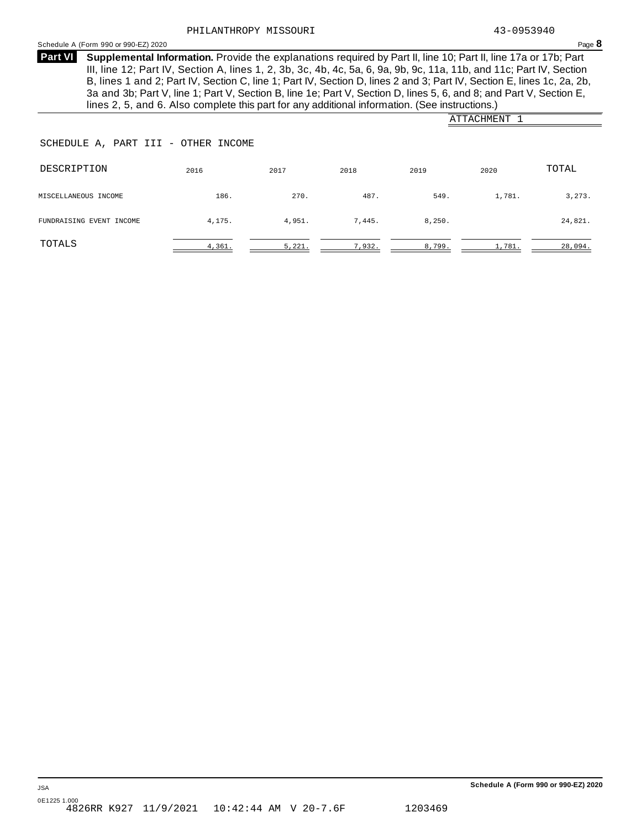#### <span id="page-20-0"></span>Schedule <sup>A</sup> (Form <sup>990</sup> or 990-EZ) <sup>2020</sup> Page **8**

**Supplemental Information.** Provide the explanations required by Part II, line 10; Part II, line 17a or 17b; Part **Part VI** III, line 12; Part IV, Section A, lines 1, 2, 3b, 3c, 4b, 4c, 5a, 6, 9a, 9b, 9c, 11a, 11b, and 11c; Part IV, Section B, lines 1 and 2; Part IV, Section C, line 1; Part IV, Section D, lines 2 and 3; Part IV, Section E, lines 1c, 2a, 2b, 3a and 3b; Part V, line 1; Part V, Section B, line 1e; Part V, Section D, lines 5, 6, and 8; and Part V, Section E, lines 2, 5, and 6. Also complete this part for any additional information. (See instructions.)

|                                     |        |        |        |        | ATTACHMENT |         |
|-------------------------------------|--------|--------|--------|--------|------------|---------|
| SCHEDULE A, PART III - OTHER INCOME |        |        |        |        |            |         |
| DESCRIPTION                         | 2016   | 2017   | 2018   | 2019   | 2020       | TOTAL   |
| MISCELLANEOUS INCOME                | 186.   | 270.   | 487.   | 549.   | 1,781.     | 3,273.  |
| FUNDRAISING EVENT INCOME            | 4,175. | 4,951. | 7,445. | 8,250. |            | 24,821. |
| TOTALS                              | 4,361. | 5,221. | 7,932. | 8,799. | 1,781.     | 28,094. |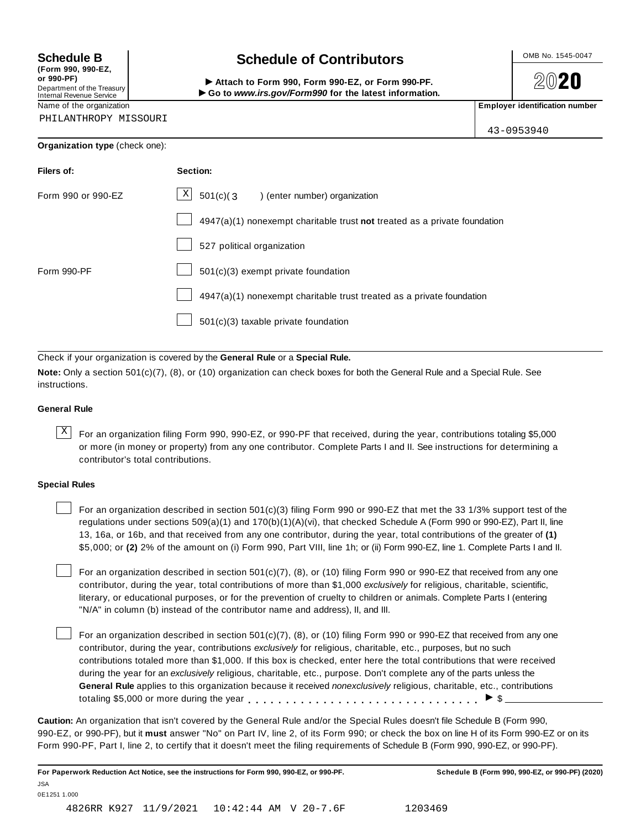**(Form 990, 990-EZ, or 990-PF)** Department of the Treasury<br>Internal Revenue Service

## **Schedule B chedule of Contributors**

(Form 990, 990-EZ,<br>
or 990-PF,<br>
Department of the Treasury **COLOCY**<br>
Internal Revenue Service **COLOCY**<br>
Name of the organization<br>
Name of the organization

**2020** 

43-0953940

PHILANTHROPY MISSOURI

|  | Organization type (check one): |
|--|--------------------------------|
|--|--------------------------------|

| Filers of:         | Section:                                                                  |
|--------------------|---------------------------------------------------------------------------|
| Form 990 or 990-EZ | $\mathbf{x}$<br>501(c)(3) (enter number) organization                     |
|                    | 4947(a)(1) nonexempt charitable trust not treated as a private foundation |
|                    | 527 political organization                                                |
| Form 990-PF        | 501(c)(3) exempt private foundation                                       |
|                    | 4947(a)(1) nonexempt charitable trust treated as a private foundation     |
|                    | 501(c)(3) taxable private foundation                                      |

Check if your organization is covered by the **General Rule** or a **Special Rule.**

**Note:** Only a section 501(c)(7), (8), or (10) organization can check boxes for both the General Rule and a Special Rule. See instructions.

#### **General Rule**

 $\overline{X}$  For an organization filing Form 990, 990-EZ, or 990-PF that received, during the year, contributions totaling \$5,000 or more (in money or property) from any one contributor. Complete Parts I and II. See instructions for determining a contributor's total contributions.

#### **Special Rules**

For an organization described in section 501(c)(3) filing Form 990 or 990-EZ that met the 33 1/3% support test of the regulations under sections 509(a)(1) and 170(b)(1)(A)(vi), that checked Schedule A (Form 990 or 990-EZ), Part II, line 13, 16a, or 16b, and that received from any one contributor, during the year, total contributions of the greater of **(1)** \$5,000; or **(2)** 2% of the amount on (i) Form 990, Part VIII, line 1h; or (ii) Form 990-EZ, line 1. Complete Parts I and II.

For an organization described in section 501(c)(7), (8), or (10) filing Form 990 or 990-EZ that received from any one contributor, during the year, total contributions of more than \$1,000 *exclusively* for religious, charitable, scientific, literary, or educational purposes, or for the prevention of cruelty to children or animals. Complete Parts I (entering "N/A" in column (b) instead of the contributor name and address), II, and III.

For an organization described in section  $501(c)(7)$ , (8), or (10) filing Form 990 or 990-EZ that received from any one contributor, during the year, contributions *exclusively* for religious, charitable, etc., purposes, but no such contributions totaled more than \$1,000. If this box is checked, enter here the total contributions that were received during the year for an *exclusively* religious, charitable, etc., purpose. Don't complete any of the parts unless the **General Rule** applies to this organization because it received *nonexclusively* religious, charitable, etc., contributions totaling \$5,000 or more during the year  $\ldots \ldots \ldots \ldots \ldots \ldots \ldots \ldots \ldots \vdots$ 

**Caution:** An organization that isn't covered by the General Rule and/or the Special Rules doesn't file Schedule B (Form 990, 990-EZ, or 990-PF), but it **must** answer "No" on Part IV, line 2, of its Form 990; or check the box on line H of its Form 990-EZ or on its Form 990-PF, Part I, line 2, to certify that it doesn't meet the filing requirements of Schedule B (Form 990, 990-EZ, or 990-PF).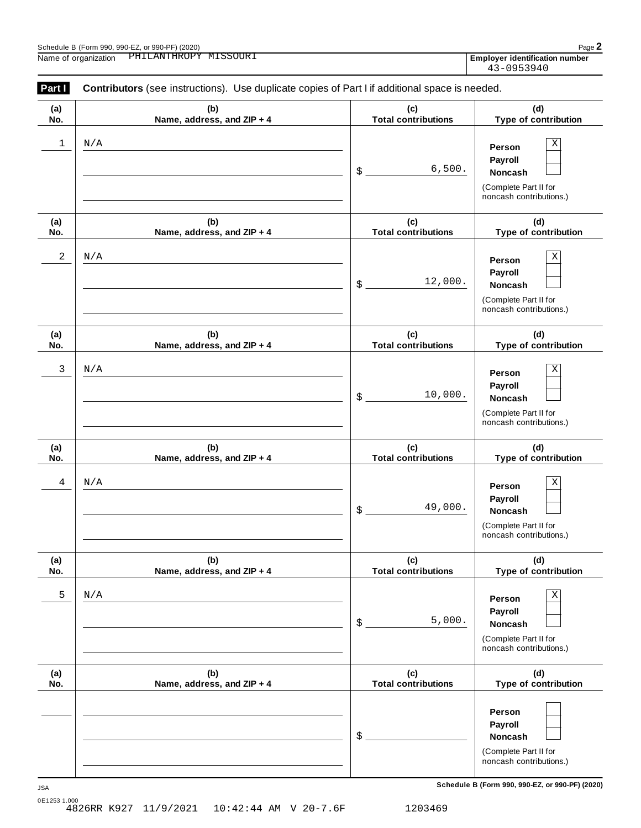| Schedule B (Form 990, 990-EZ, or 990-PF) | (2020)                                       | Page                                |
|------------------------------------------|----------------------------------------------|-------------------------------------|
| Name<br>, organization<br>്∪⊧            | PHT<br>T.HKOPA<br>M<br>∵∪∪k⊥<br>I AN'<br>550 | Emplover<br>identification number : |

| <b>Employer identification number</b> |  |
|---------------------------------------|--|
| $43 - 0953940$                        |  |

| Part I       | Contributors (see instructions). Use duplicate copies of Part I if additional space is needed. |                                   |                                                                                                 |  |  |  |  |  |  |
|--------------|------------------------------------------------------------------------------------------------|-----------------------------------|-------------------------------------------------------------------------------------------------|--|--|--|--|--|--|
| (a)<br>No.   | (b)<br>Name, address, and ZIP + 4                                                              | (c)<br><b>Total contributions</b> | (d)<br>Type of contribution                                                                     |  |  |  |  |  |  |
| $\mathbf{1}$ | N/A                                                                                            | 6,500.<br>\$                      | $\mathbf X$<br>Person<br>Payroll<br>Noncash<br>(Complete Part II for<br>noncash contributions.) |  |  |  |  |  |  |
| (a)<br>No.   | (b)<br>Name, address, and ZIP + 4                                                              | (c)<br><b>Total contributions</b> | (d)<br>Type of contribution                                                                     |  |  |  |  |  |  |
| 2            | N/A                                                                                            | 12,000.<br>\$                     | $\mathbf X$<br>Person<br>Payroll<br>Noncash<br>(Complete Part II for<br>noncash contributions.) |  |  |  |  |  |  |
| (a)<br>No.   | (b)<br>Name, address, and ZIP + 4                                                              | (c)<br><b>Total contributions</b> | (d)<br>Type of contribution                                                                     |  |  |  |  |  |  |
| 3            | N/A                                                                                            | 10,000.<br>\$                     | Χ<br>Person<br>Payroll<br>Noncash<br>(Complete Part II for<br>noncash contributions.)           |  |  |  |  |  |  |
| (a)<br>No.   | (b)<br>Name, address, and ZIP + 4                                                              | (c)<br><b>Total contributions</b> | (d)<br>Type of contribution                                                                     |  |  |  |  |  |  |
| 4            | N/A                                                                                            | 49,000.<br>\$                     | Χ<br>Person<br>Payroll<br>Noncash<br>(Complete Part II for<br>noncash contributions.)           |  |  |  |  |  |  |
| (a)<br>No.   | (b)<br>Name, address, and ZIP + 4                                                              | (c)<br><b>Total contributions</b> | (d)<br>Type of contribution                                                                     |  |  |  |  |  |  |
| 5            | N/A                                                                                            | 5,000.<br>\$                      | Χ<br>Person<br>Payroll<br>Noncash<br>(Complete Part II for<br>noncash contributions.)           |  |  |  |  |  |  |
| (a)<br>No.   | (b)<br>Name, address, and ZIP + 4                                                              | (c)<br><b>Total contributions</b> | (d)<br>Type of contribution                                                                     |  |  |  |  |  |  |
|              |                                                                                                | \$                                | Person<br>Payroll<br><b>Noncash</b><br>(Complete Part II for<br>noncash contributions.)         |  |  |  |  |  |  |

**Schedule B (Form 990, 990-EZ, or 990-PF) (2020)** JSA 0E1253 1.000 4826RR K927 11/9/2021 10:42:44 AM V 20-7.6F 1203469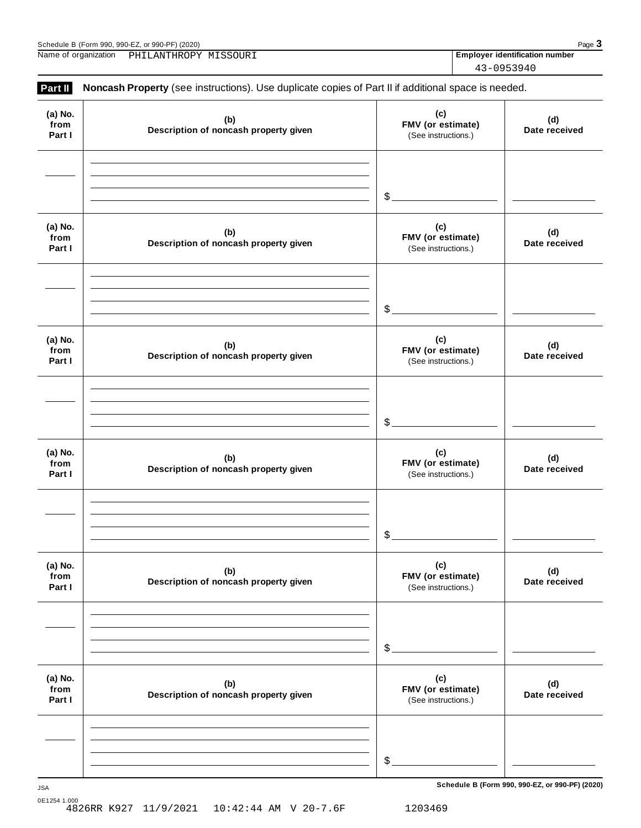| or 990-PF) (2020)<br>Schedule B<br>990-EZ<br>(Form 990.<br>. ог | $P$ aq $\epsilon$ |
|-----------------------------------------------------------------|-------------------|
|                                                                 |                   |

| Name of organization | DН<br>.LANTHROPY | MISSOURI | .<br><b>Employer identification number</b> |
|----------------------|------------------|----------|--------------------------------------------|
|                      |                  |          | 3940<br>- ------<br>- ⊥ -                  |

| (a) No.<br>from<br>Part I | (b)<br>Description of noncash property given | (c)<br>FMV (or estimate)<br>(See instructions.) | (d)<br>Date received |
|---------------------------|----------------------------------------------|-------------------------------------------------|----------------------|
|                           |                                              | \$                                              |                      |
| (a) No.<br>from<br>Part I | (b)<br>Description of noncash property given | (c)<br>FMV (or estimate)<br>(See instructions.) | (d)<br>Date received |
|                           |                                              | \$                                              |                      |
| (a) No.<br>from<br>Part I | (b)<br>Description of noncash property given | (c)<br>FMV (or estimate)<br>(See instructions.) | (d)<br>Date received |
|                           |                                              | \$                                              |                      |
| (a) No.<br>from<br>Part I | (b)<br>Description of noncash property given | (c)<br>FMV (or estimate)<br>(See instructions.) | (d)<br>Date received |
|                           |                                              | \$                                              |                      |
| (a) No.<br>from<br>Part I | (b)<br>Description of noncash property given | (c)<br>FMV (or estimate)<br>(See instructions.) | (d)<br>Date received |
|                           |                                              | \$                                              |                      |
| (a) No.<br>from<br>Part I | (b)<br>Description of noncash property given | (c)<br>FMV (or estimate)<br>(See instructions.) | (d)<br>Date received |
|                           |                                              | \$                                              |                      |

0E1254 1.000 4826RR K927 11/9/2021 10:42:44 AM V 20-7.6F 1203469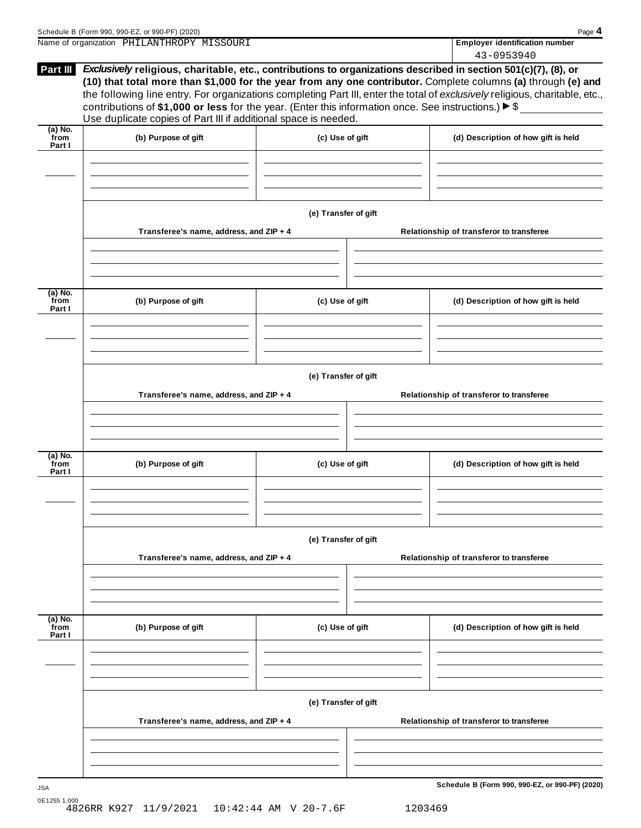|                             | Name of organization PHILANTHROPY MISSOURI                                                                                                                                             |                      | <b>Employer identification number</b><br>43-0953940                                                                                                                                                                                                                                                                                                              |  |  |
|-----------------------------|----------------------------------------------------------------------------------------------------------------------------------------------------------------------------------------|----------------------|------------------------------------------------------------------------------------------------------------------------------------------------------------------------------------------------------------------------------------------------------------------------------------------------------------------------------------------------------------------|--|--|
| Part III                    | contributions of \$1,000 or less for the year. (Enter this information once. See instructions.) $\triangleright$ \$<br>Use duplicate copies of Part III if additional space is needed. |                      | Exclusively religious, charitable, etc., contributions to organizations described in section 501(c)(7), (8), or<br>(10) that total more than \$1,000 for the year from any one contributor. Complete columns (a) through (e) and<br>the following line entry. For organizations completing Part III, enter the total of exclusively religious, charitable, etc., |  |  |
| $(a)$ No.<br>from<br>Part I | (b) Purpose of gift                                                                                                                                                                    | (c) Use of gift      | (d) Description of how gift is held                                                                                                                                                                                                                                                                                                                              |  |  |
|                             |                                                                                                                                                                                        |                      |                                                                                                                                                                                                                                                                                                                                                                  |  |  |
|                             | Transferee's name, address, and ZIP + 4                                                                                                                                                | (e) Transfer of gift | Relationship of transferor to transferee                                                                                                                                                                                                                                                                                                                         |  |  |
|                             |                                                                                                                                                                                        |                      |                                                                                                                                                                                                                                                                                                                                                                  |  |  |
| (a) No.<br>from<br>Part I   | (b) Purpose of gift                                                                                                                                                                    | (c) Use of gift      | (d) Description of how gift is held                                                                                                                                                                                                                                                                                                                              |  |  |
|                             |                                                                                                                                                                                        |                      |                                                                                                                                                                                                                                                                                                                                                                  |  |  |
|                             | Transferee's name, address, and ZIP + 4                                                                                                                                                | (e) Transfer of gift | Relationship of transferor to transferee                                                                                                                                                                                                                                                                                                                         |  |  |
|                             |                                                                                                                                                                                        |                      |                                                                                                                                                                                                                                                                                                                                                                  |  |  |
| (a) No.<br>from<br>Part I   | (b) Purpose of gift                                                                                                                                                                    | (c) Use of gift      | (d) Description of how gift is held                                                                                                                                                                                                                                                                                                                              |  |  |
|                             |                                                                                                                                                                                        |                      |                                                                                                                                                                                                                                                                                                                                                                  |  |  |
|                             | Transferee's name, address, and ZIP + 4                                                                                                                                                | (e) Transfer of gift | Relationship of transferor to transferee                                                                                                                                                                                                                                                                                                                         |  |  |
| (a) No.                     |                                                                                                                                                                                        |                      |                                                                                                                                                                                                                                                                                                                                                                  |  |  |
| from<br>Part I              | (b) Purpose of gift                                                                                                                                                                    | (c) Use of gift      | (d) Description of how gift is held                                                                                                                                                                                                                                                                                                                              |  |  |
|                             | (e) Transfer of gift                                                                                                                                                                   |                      |                                                                                                                                                                                                                                                                                                                                                                  |  |  |
|                             |                                                                                                                                                                                        |                      | Relationship of transferor to transferee                                                                                                                                                                                                                                                                                                                         |  |  |

**Schedule B (Form 990, 990-EZ, or 990-PF) (2020)** JSA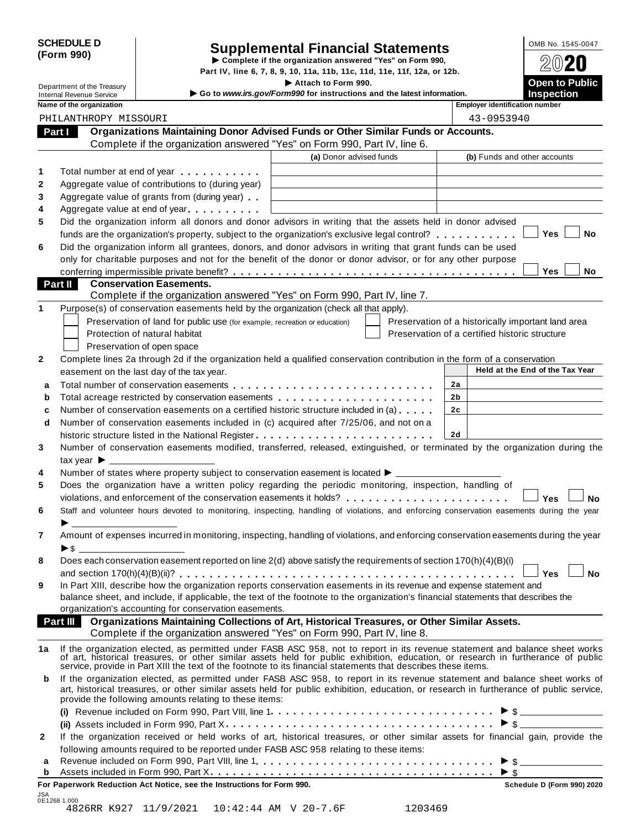| <b>SCHEDULE D</b> |  |
|-------------------|--|
| (Form 990)        |  |

# SCHEDULE D<br>
Supplemental Financial Statements<br>
Form 990)<br>
Part IV, line 6, 7, 8, 9, 10, 11a, 11b, 11c, 11d, 11e, 11f, 12a, or 12b.<br>
Part IV, line 6, 7, 8, 9, 10, 11a, 11b, 11c, 11d, 11e, 11f, 12a, or 12b.

|                   |                                                                                           |                                                        | Part IV, line 6, 7, 8, 9, 10, 11a, 11b, 11c, 11d, 11e, 11f, 12a, or 12b.                                                                                                                                                                                                                                                                            |  |                |                                                |                                                    |           |
|-------------------|-------------------------------------------------------------------------------------------|--------------------------------------------------------|-----------------------------------------------------------------------------------------------------------------------------------------------------------------------------------------------------------------------------------------------------------------------------------------------------------------------------------------------------|--|----------------|------------------------------------------------|----------------------------------------------------|-----------|
|                   | Department of the Treasury<br><b>Internal Revenue Service</b><br>Name of the organization |                                                        | Attach to Form 990.<br>Go to www.irs.gov/Form990 for instructions and the latest information.                                                                                                                                                                                                                                                       |  |                | <b>Employer identification number</b>          | <b>Open to Public</b><br><b>Inspection</b>         |           |
|                   | PHILANTHROPY MISSOURI                                                                     |                                                        |                                                                                                                                                                                                                                                                                                                                                     |  |                | 43-0953940                                     |                                                    |           |
|                   | Part I                                                                                    |                                                        | Organizations Maintaining Donor Advised Funds or Other Similar Funds or Accounts.                                                                                                                                                                                                                                                                   |  |                |                                                |                                                    |           |
|                   |                                                                                           |                                                        | Complete if the organization answered "Yes" on Form 990, Part IV, line 6.                                                                                                                                                                                                                                                                           |  |                |                                                |                                                    |           |
|                   |                                                                                           |                                                        | (a) Donor advised funds                                                                                                                                                                                                                                                                                                                             |  |                |                                                | (b) Funds and other accounts                       |           |
|                   |                                                                                           |                                                        |                                                                                                                                                                                                                                                                                                                                                     |  |                |                                                |                                                    |           |
| 1                 |                                                                                           | Total number at end of year example.                   |                                                                                                                                                                                                                                                                                                                                                     |  |                |                                                |                                                    |           |
| $\mathbf{2}$<br>3 |                                                                                           | Aggregate value of contributions to (during year)      |                                                                                                                                                                                                                                                                                                                                                     |  |                |                                                |                                                    |           |
|                   |                                                                                           | Aggregate value of grants from (during year)           |                                                                                                                                                                                                                                                                                                                                                     |  |                |                                                |                                                    |           |
| 4<br>5            |                                                                                           | Aggregate value at end of year                         | Did the organization inform all donors and donor advisors in writing that the assets held in donor advised                                                                                                                                                                                                                                          |  |                |                                                |                                                    |           |
|                   |                                                                                           |                                                        | funds are the organization's property, subject to the organization's exclusive legal control?                                                                                                                                                                                                                                                       |  |                |                                                | Yes                                                | No        |
| 6                 |                                                                                           |                                                        | Did the organization inform all grantees, donors, and donor advisors in writing that grant funds can be used                                                                                                                                                                                                                                        |  |                |                                                |                                                    |           |
|                   |                                                                                           |                                                        | only for charitable purposes and not for the benefit of the donor or donor advisor, or for any other purpose                                                                                                                                                                                                                                        |  |                |                                                |                                                    |           |
|                   |                                                                                           |                                                        |                                                                                                                                                                                                                                                                                                                                                     |  |                |                                                | Yes                                                | No.       |
|                   | Part II                                                                                   | <b>Conservation Easements.</b>                         |                                                                                                                                                                                                                                                                                                                                                     |  |                |                                                |                                                    |           |
|                   |                                                                                           |                                                        | Complete if the organization answered "Yes" on Form 990, Part IV, line 7.                                                                                                                                                                                                                                                                           |  |                |                                                |                                                    |           |
| 1                 |                                                                                           |                                                        | Purpose(s) of conservation easements held by the organization (check all that apply).                                                                                                                                                                                                                                                               |  |                |                                                |                                                    |           |
|                   |                                                                                           |                                                        | Preservation of land for public use (for example, recreation or education)                                                                                                                                                                                                                                                                          |  |                |                                                | Preservation of a historically important land area |           |
|                   |                                                                                           | Protection of natural habitat                          |                                                                                                                                                                                                                                                                                                                                                     |  |                | Preservation of a certified historic structure |                                                    |           |
|                   |                                                                                           | Preservation of open space                             |                                                                                                                                                                                                                                                                                                                                                     |  |                |                                                |                                                    |           |
| $\mathbf{2}$      |                                                                                           |                                                        | Complete lines 2a through 2d if the organization held a qualified conservation contribution in the form of a conservation                                                                                                                                                                                                                           |  |                |                                                |                                                    |           |
|                   |                                                                                           | easement on the last day of the tax year.              |                                                                                                                                                                                                                                                                                                                                                     |  |                |                                                | Held at the End of the Tax Year                    |           |
|                   |                                                                                           |                                                        |                                                                                                                                                                                                                                                                                                                                                     |  | 2a             |                                                |                                                    |           |
| a                 |                                                                                           |                                                        | Total acreage restricted by conservation easements                                                                                                                                                                                                                                                                                                  |  | 2b             |                                                |                                                    |           |
| b                 |                                                                                           |                                                        |                                                                                                                                                                                                                                                                                                                                                     |  | 2 <sub>c</sub> |                                                |                                                    |           |
| c                 |                                                                                           |                                                        | Number of conservation easements on a certified historic structure included in (a)                                                                                                                                                                                                                                                                  |  |                |                                                |                                                    |           |
| d                 |                                                                                           |                                                        | Number of conservation easements included in (c) acquired after 7/25/06, and not on a                                                                                                                                                                                                                                                               |  | 2d             |                                                |                                                    |           |
| 3                 |                                                                                           |                                                        | Number of conservation easements modified, transferred, released, extinguished, or terminated by the organization during the                                                                                                                                                                                                                        |  |                |                                                |                                                    |           |
|                   | tax year                                                                                  |                                                        |                                                                                                                                                                                                                                                                                                                                                     |  |                |                                                |                                                    |           |
| 4                 |                                                                                           |                                                        | Number of states where property subject to conservation easement is located >                                                                                                                                                                                                                                                                       |  |                |                                                |                                                    |           |
| 5                 |                                                                                           |                                                        | Does the organization have a written policy regarding the periodic monitoring, inspection, handling of                                                                                                                                                                                                                                              |  |                |                                                |                                                    |           |
|                   |                                                                                           |                                                        | violations, and enforcement of the conservation easements it holds?                                                                                                                                                                                                                                                                                 |  |                |                                                | Yes                                                | <b>No</b> |
| 6                 |                                                                                           |                                                        | Staff and volunteer hours devoted to monitoring, inspecting, handling of violations, and enforcing conservation easements during the year                                                                                                                                                                                                           |  |                |                                                |                                                    |           |
|                   |                                                                                           |                                                        |                                                                                                                                                                                                                                                                                                                                                     |  |                |                                                |                                                    |           |
| $\overline{7}$    |                                                                                           |                                                        | Amount of expenses incurred in monitoring, inspecting, handling of violations, and enforcing conservation easements during the year                                                                                                                                                                                                                 |  |                |                                                |                                                    |           |
|                   |                                                                                           |                                                        |                                                                                                                                                                                                                                                                                                                                                     |  |                |                                                |                                                    |           |
| 8                 |                                                                                           |                                                        | Does each conservation easement reported on line 2(d) above satisfy the requirements of section 170(h)(4)(B)(i)                                                                                                                                                                                                                                     |  |                |                                                |                                                    |           |
|                   |                                                                                           |                                                        |                                                                                                                                                                                                                                                                                                                                                     |  |                |                                                | <b>Yes</b>                                         | <b>No</b> |
| 9                 |                                                                                           |                                                        | In Part XIII, describe how the organization reports conservation easements in its revenue and expense statement and                                                                                                                                                                                                                                 |  |                |                                                |                                                    |           |
|                   |                                                                                           |                                                        | balance sheet, and include, if applicable, the text of the footnote to the organization's financial statements that describes the                                                                                                                                                                                                                   |  |                |                                                |                                                    |           |
|                   |                                                                                           | organization's accounting for conservation easements.  |                                                                                                                                                                                                                                                                                                                                                     |  |                |                                                |                                                    |           |
|                   | Part III                                                                                  |                                                        | Organizations Maintaining Collections of Art, Historical Treasures, or Other Similar Assets.                                                                                                                                                                                                                                                        |  |                |                                                |                                                    |           |
|                   |                                                                                           |                                                        | Complete if the organization answered "Yes" on Form 990, Part IV, line 8.                                                                                                                                                                                                                                                                           |  |                |                                                |                                                    |           |
| 1а                |                                                                                           |                                                        |                                                                                                                                                                                                                                                                                                                                                     |  |                |                                                |                                                    |           |
|                   |                                                                                           |                                                        | If the organization elected, as permitted under FASB ASC 958, not to report in its revenue statement and balance sheet works<br>of art, historical treasures, or other similar assets held for public exhibition, education, or r<br>service, provide in Part XIII the text of the footnote to its financial statements that describes these items. |  |                |                                                |                                                    |           |
| b                 |                                                                                           | provide the following amounts relating to these items: | If the organization elected, as permitted under FASB ASC 958, to report in its revenue statement and balance sheet works of<br>art, historical treasures, or other similar assets held for public exhibition, education, or research in furtherance of public service,                                                                              |  |                |                                                |                                                    |           |
|                   |                                                                                           |                                                        |                                                                                                                                                                                                                                                                                                                                                     |  |                |                                                |                                                    |           |
|                   |                                                                                           |                                                        |                                                                                                                                                                                                                                                                                                                                                     |  |                |                                                |                                                    |           |
| $\mathbf{2}$      |                                                                                           |                                                        | If the organization received or held works of art, historical treasures, or other similar assets for financial gain, provide the                                                                                                                                                                                                                    |  |                |                                                |                                                    |           |
|                   |                                                                                           |                                                        | following amounts required to be reported under FASB ASC 958 relating to these items:                                                                                                                                                                                                                                                               |  |                |                                                |                                                    |           |
| а                 |                                                                                           |                                                        |                                                                                                                                                                                                                                                                                                                                                     |  |                |                                                |                                                    |           |
| b                 |                                                                                           |                                                        |                                                                                                                                                                                                                                                                                                                                                     |  |                |                                                |                                                    |           |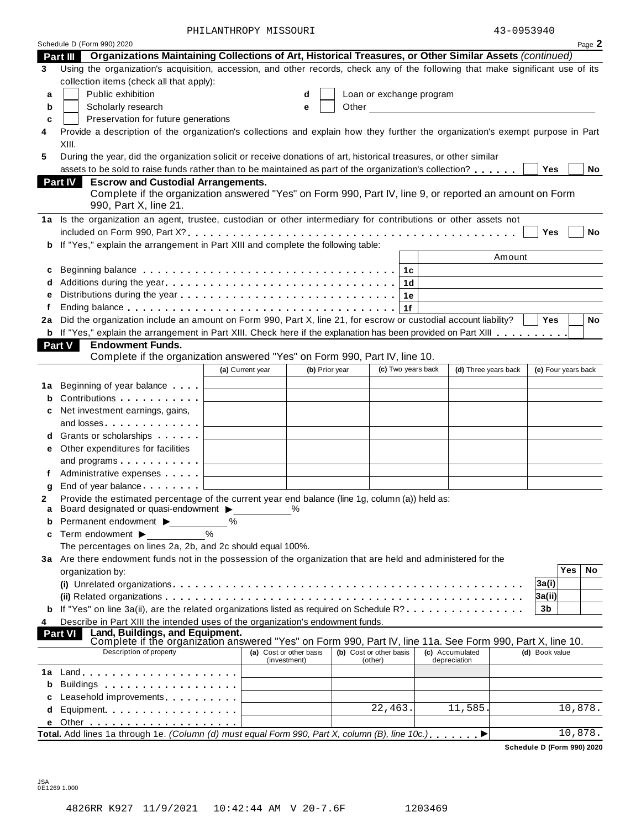|              | Schedule D (Form 990) 2020                                                                                                                                                                                                          |                         |                |                         |                          |                                                 |                          |            | Page 2    |
|--------------|-------------------------------------------------------------------------------------------------------------------------------------------------------------------------------------------------------------------------------------|-------------------------|----------------|-------------------------|--------------------------|-------------------------------------------------|--------------------------|------------|-----------|
|              | Organizations Maintaining Collections of Art, Historical Treasures, or Other Similar Assets (continued)<br><b>Part III</b>                                                                                                          |                         |                |                         |                          |                                                 |                          |            |           |
| 3            | Using the organization's acquisition, accession, and other records, check any of the following that make significant use of its                                                                                                     |                         |                |                         |                          |                                                 |                          |            |           |
|              | collection items (check all that apply):                                                                                                                                                                                            |                         |                |                         |                          |                                                 |                          |            |           |
| a            | Public exhibition                                                                                                                                                                                                                   |                         | d              |                         | Loan or exchange program |                                                 |                          |            |           |
| b            | Scholarly research                                                                                                                                                                                                                  |                         | е              | Other                   |                          | <u> 1980 - Jan Barbara Barbara, president e</u> |                          |            |           |
| C            | Preservation for future generations                                                                                                                                                                                                 |                         |                |                         |                          |                                                 |                          |            |           |
| 4            | Provide a description of the organization's collections and explain how they further the organization's exempt purpose in Part                                                                                                      |                         |                |                         |                          |                                                 |                          |            |           |
|              | XIII.                                                                                                                                                                                                                               |                         |                |                         |                          |                                                 |                          |            |           |
| 5            | During the year, did the organization solicit or receive donations of art, historical treasures, or other similar                                                                                                                   |                         |                |                         |                          |                                                 |                          |            |           |
|              | assets to be sold to raise funds rather than to be maintained as part of the organization's collection?                                                                                                                             |                         |                |                         |                          |                                                 | Yes                      |            | No        |
|              | <b>Escrow and Custodial Arrangements.</b><br><b>Part IV</b>                                                                                                                                                                         |                         |                |                         |                          |                                                 |                          |            |           |
|              | Complete if the organization answered "Yes" on Form 990, Part IV, line 9, or reported an amount on Form                                                                                                                             |                         |                |                         |                          |                                                 |                          |            |           |
|              | 990, Part X, line 21.                                                                                                                                                                                                               |                         |                |                         |                          |                                                 |                          |            |           |
|              | 1a Is the organization an agent, trustee, custodian or other intermediary for contributions or other assets not                                                                                                                     |                         |                |                         |                          |                                                 |                          |            |           |
|              |                                                                                                                                                                                                                                     |                         |                |                         |                          |                                                 | Yes                      |            | No        |
| b            | If "Yes," explain the arrangement in Part XIII and complete the following table:                                                                                                                                                    |                         |                |                         |                          |                                                 |                          |            |           |
|              |                                                                                                                                                                                                                                     |                         |                |                         |                          | Amount                                          |                          |            |           |
| c            |                                                                                                                                                                                                                                     |                         |                |                         |                          |                                                 |                          |            |           |
| d            |                                                                                                                                                                                                                                     |                         |                |                         | 1d                       |                                                 |                          |            |           |
| e            |                                                                                                                                                                                                                                     |                         |                |                         | 1е                       |                                                 |                          |            |           |
| f            |                                                                                                                                                                                                                                     |                         |                |                         | 1f                       |                                                 |                          |            |           |
|              | 2a Did the organization include an amount on Form 990, Part X, line 21, for escrow or custodial account liability?                                                                                                                  |                         |                |                         |                          |                                                 | <b>Yes</b>               |            | No        |
|              | <b>b</b> If "Yes," explain the arrangement in Part XIII. Check here if the explanation has been provided on Part XIII                                                                                                               |                         |                |                         |                          |                                                 |                          |            |           |
|              | Part V<br><b>Endowment Funds.</b>                                                                                                                                                                                                   |                         |                |                         |                          |                                                 |                          |            |           |
|              | Complete if the organization answered "Yes" on Form 990, Part IV, line 10.                                                                                                                                                          |                         |                |                         |                          |                                                 |                          |            |           |
|              |                                                                                                                                                                                                                                     | (a) Current year        | (b) Prior year |                         | (c) Two years back       | (d) Three years back                            | (e) Four years back      |            |           |
|              |                                                                                                                                                                                                                                     |                         |                |                         |                          |                                                 |                          |            |           |
|              | Contributions <b>Contributions</b>                                                                                                                                                                                                  |                         |                |                         |                          |                                                 |                          |            |           |
| b            |                                                                                                                                                                                                                                     |                         |                |                         |                          |                                                 |                          |            |           |
| c            | Net investment earnings, gains,                                                                                                                                                                                                     |                         |                |                         |                          |                                                 |                          |            |           |
|              |                                                                                                                                                                                                                                     |                         |                |                         |                          |                                                 |                          |            |           |
|              | d Grants or scholarships                                                                                                                                                                                                            |                         |                |                         |                          |                                                 |                          |            |           |
| е            | Other expenditures for facilities                                                                                                                                                                                                   |                         |                |                         |                          |                                                 |                          |            |           |
|              | and programs $\ldots \ldots \ldots \ldots$                                                                                                                                                                                          |                         |                |                         |                          |                                                 |                          |            |           |
|              |                                                                                                                                                                                                                                     |                         |                |                         |                          |                                                 |                          |            |           |
| g            | End of year balance                                                                                                                                                                                                                 |                         |                |                         |                          |                                                 |                          |            |           |
| $\mathbf{2}$ | Provide the estimated percentage of the current year end balance (line 1g, column (a)) held as:<br>Board designated or quasi-endowment ▶                                                                                            |                         |                |                         |                          |                                                 |                          |            |           |
| a            | Permanent endowment ▶                                                                                                                                                                                                               | ℅                       |                |                         |                          |                                                 |                          |            |           |
| b            | Term endowment ▶                                                                                                                                                                                                                    |                         |                |                         |                          |                                                 |                          |            |           |
| C            |                                                                                                                                                                                                                                     |                         |                |                         |                          |                                                 |                          |            |           |
|              | The percentages on lines 2a, 2b, and 2c should equal 100%.                                                                                                                                                                          |                         |                |                         |                          |                                                 |                          |            |           |
|              | 3a Are there endowment funds not in the possession of the organization that are held and administered for the                                                                                                                       |                         |                |                         |                          |                                                 |                          | <b>Yes</b> | <b>No</b> |
|              | organization by:                                                                                                                                                                                                                    |                         |                |                         |                          |                                                 | 3a(i)                    |            |           |
|              |                                                                                                                                                                                                                                     |                         |                |                         |                          |                                                 |                          |            |           |
|              |                                                                                                                                                                                                                                     |                         |                |                         |                          |                                                 | 3a(ii)<br>3 <sub>b</sub> |            |           |
|              | <b>b</b> If "Yes" on line 3a(ii), are the related organizations listed as required on Schedule R?                                                                                                                                   |                         |                |                         |                          |                                                 |                          |            |           |
| 4            | Describe in Part XIII the intended uses of the organization's endowment funds.<br>Land, Buildings, and Equipment.                                                                                                                   |                         |                |                         |                          |                                                 |                          |            |           |
|              | <b>Part VI</b><br>Complete if the organization answered "Yes" on Form 990, Part IV, line 11a. See Form 990, Part X, line 10.                                                                                                        |                         |                |                         |                          |                                                 |                          |            |           |
|              | Description of property                                                                                                                                                                                                             | (a) Cost or other basis |                | (b) Cost or other basis |                          | (c) Accumulated                                 | (d) Book value           |            |           |
|              |                                                                                                                                                                                                                                     |                         | (investment)   | (other)                 |                          | depreciation                                    |                          |            |           |
| 1a           |                                                                                                                                                                                                                                     |                         |                |                         |                          |                                                 |                          |            |           |
| b            | Buildings <b>Example 20</b> Suite 1 and 20 Suite 1 and 20 Suite 20 Suite 20 Suite 20 Suite 20 Suite 20 Suite 20 Suite 20 Suite 20 Suite 20 Suite 20 Suite 20 Suite 20 Suite 20 Suite 20 Suite 20 Suite 20 Suite 20 Suite 20 Suite 2 |                         |                |                         |                          |                                                 |                          |            |           |
| c            | Leasehold improvements expansion of the set of the set of the set of the set of the set of the set of the set o                                                                                                                     |                         |                |                         |                          |                                                 |                          |            |           |
| d            | Equipment                                                                                                                                                                                                                           |                         |                |                         | 22,463.                  | 11, 585.                                        |                          | 10,878.    |           |
| е            |                                                                                                                                                                                                                                     |                         |                |                         |                          |                                                 |                          |            |           |
|              | Total. Add lines 1a through 1e. (Column (d) must equal Form 990, Part X, column (B), line 10c.)                                                                                                                                     |                         |                |                         |                          |                                                 |                          | 10,878.    |           |

**Schedule D (Form 990) 2020**

JSA 0E1269 1.000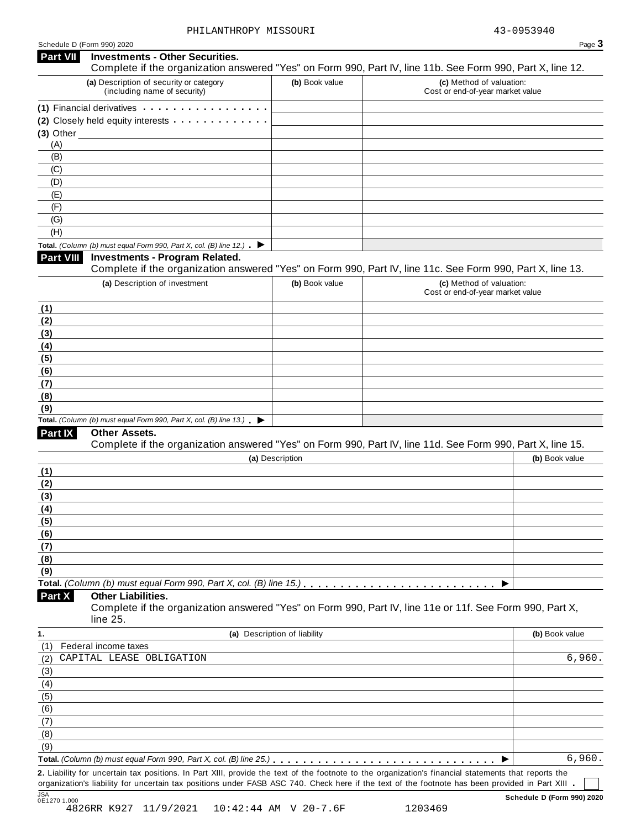| € |
|---|
|   |

| <b>Part VII</b>  | <b>Investments - Other Securities.</b><br>Complete if the organization answered "Yes" on Form 990, Part IV, line 11b. See Form 990, Part X, line 12. |                              |                                                              |                |
|------------------|------------------------------------------------------------------------------------------------------------------------------------------------------|------------------------------|--------------------------------------------------------------|----------------|
|                  | (a) Description of security or category<br>(including name of security)                                                                              | (b) Book value               | (c) Method of valuation:<br>Cost or end-of-year market value |                |
|                  | (1) Financial derivatives                                                                                                                            |                              |                                                              |                |
|                  | (2) Closely held equity interests                                                                                                                    |                              |                                                              |                |
| $(3)$ Other      |                                                                                                                                                      |                              |                                                              |                |
| (A)              |                                                                                                                                                      |                              |                                                              |                |
| (B)              |                                                                                                                                                      |                              |                                                              |                |
| (C)              |                                                                                                                                                      |                              |                                                              |                |
| (D)              |                                                                                                                                                      |                              |                                                              |                |
| (E)              |                                                                                                                                                      |                              |                                                              |                |
| (F)              |                                                                                                                                                      |                              |                                                              |                |
| (G)<br>(H)       |                                                                                                                                                      |                              |                                                              |                |
|                  |                                                                                                                                                      |                              |                                                              |                |
| <b>Part VIII</b> | Total. (Column (b) must equal Form 990, Part X, col. (B) line 12.) $\blacktriangleright$<br><b>Investments - Program Related.</b>                    |                              |                                                              |                |
|                  | Complete if the organization answered "Yes" on Form 990, Part IV, line 11c. See Form 990, Part X, line 13.                                           |                              |                                                              |                |
|                  | (a) Description of investment                                                                                                                        | (b) Book value               | (c) Method of valuation:<br>Cost or end-of-year market value |                |
| (1)              |                                                                                                                                                      |                              |                                                              |                |
| (2)              |                                                                                                                                                      |                              |                                                              |                |
| (3)              |                                                                                                                                                      |                              |                                                              |                |
| (4)              |                                                                                                                                                      |                              |                                                              |                |
| (5)              |                                                                                                                                                      |                              |                                                              |                |
| (6)              |                                                                                                                                                      |                              |                                                              |                |
| (7)              |                                                                                                                                                      |                              |                                                              |                |
| (8)              |                                                                                                                                                      |                              |                                                              |                |
| (9)              | Total. (Column (b) must equal Form 990, Part X, col. (B) line $13$ .)                                                                                |                              |                                                              |                |
| <b>Part IX</b>   | <b>Other Assets.</b>                                                                                                                                 |                              |                                                              |                |
|                  | Complete if the organization answered "Yes" on Form 990, Part IV, line 11d. See Form 990, Part X, line 15.                                           |                              |                                                              |                |
|                  |                                                                                                                                                      | (a) Description              |                                                              | (b) Book value |
| (1)              |                                                                                                                                                      |                              |                                                              |                |
| (2)              |                                                                                                                                                      |                              |                                                              |                |
| (3)              |                                                                                                                                                      |                              |                                                              |                |
| (4)              |                                                                                                                                                      |                              |                                                              |                |
| (5)              |                                                                                                                                                      |                              |                                                              |                |
| (6)              |                                                                                                                                                      |                              |                                                              |                |
| (7)              |                                                                                                                                                      |                              |                                                              |                |
| (8)              |                                                                                                                                                      |                              |                                                              |                |
| (9)              |                                                                                                                                                      |                              |                                                              |                |
|                  | Total. (Column (b) must equal Form 990, Part X, col. (B) line 15.)                                                                                   |                              |                                                              |                |
| Part X           | <b>Other Liabilities.</b><br>Complete if the organization answered "Yes" on Form 990, Part IV, line 11e or 11f. See Form 990, Part X,<br>line 25.    |                              |                                                              |                |
| 1.               |                                                                                                                                                      | (a) Description of liability |                                                              | (b) Book value |
| (1)              | Federal income taxes                                                                                                                                 |                              |                                                              |                |
| (2)              | CAPITAL LEASE OBLIGATION                                                                                                                             |                              |                                                              | 6,960.         |
| (3)              |                                                                                                                                                      |                              |                                                              |                |
| (4)              |                                                                                                                                                      |                              |                                                              |                |
| (5)              |                                                                                                                                                      |                              |                                                              |                |
| (6)              |                                                                                                                                                      |                              |                                                              |                |
| (7)              |                                                                                                                                                      |                              |                                                              |                |
| (8)              |                                                                                                                                                      |                              |                                                              |                |
| (9)              |                                                                                                                                                      |                              |                                                              |                |
|                  |                                                                                                                                                      |                              |                                                              | 6,960.         |
|                  | 2. Liability for uncertain tax positions. In Part XIII, provide the text of the footnote to the organization's financial statements that reports the |                              |                                                              |                |
|                  | organization's liability for uncertain tax positions under FASB ASC 740. Check here if the text of the footnote has been provided in Part XIII .     |                              |                                                              |                |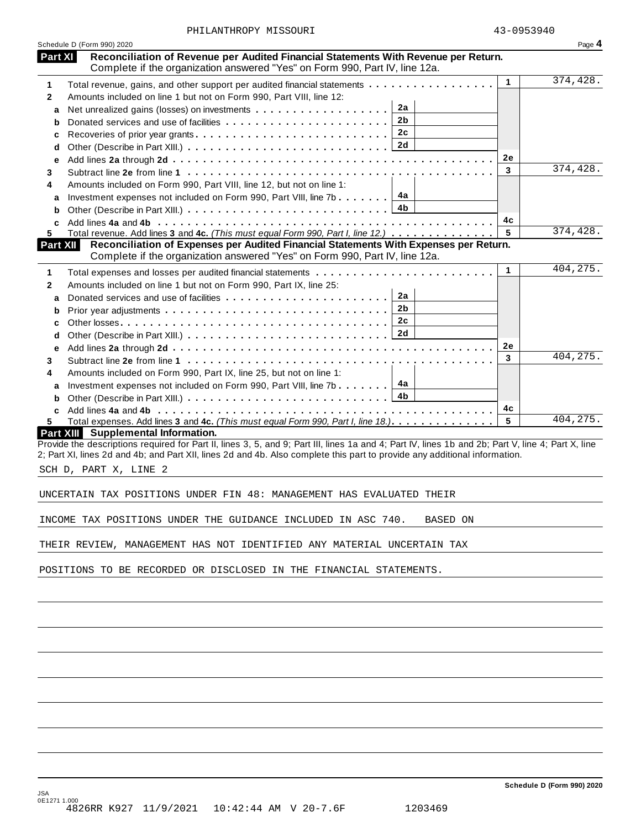| PHILANTHROPY MISSOURI | 43-0953940 |
|-----------------------|------------|

|              | Schedule D (Form 990) 2020                                                                                                                                                                |              | Page 4    |
|--------------|-------------------------------------------------------------------------------------------------------------------------------------------------------------------------------------------|--------------|-----------|
| Part XI      | Reconciliation of Revenue per Audited Financial Statements With Revenue per Return.                                                                                                       |              |           |
|              | Complete if the organization answered "Yes" on Form 990, Part IV, line 12a.                                                                                                               |              |           |
|              |                                                                                                                                                                                           | $\mathbf{1}$ | 374,428.  |
| 1            | Total revenue, gains, and other support per audited financial statements                                                                                                                  |              |           |
| $\mathbf{2}$ | Amounts included on line 1 but not on Form 990, Part VIII, line 12:<br>2a                                                                                                                 |              |           |
| a            | 2b                                                                                                                                                                                        |              |           |
| b            | 2c                                                                                                                                                                                        |              |           |
| c            | Recoveries of prior year grants<br>2d                                                                                                                                                     |              |           |
| d            |                                                                                                                                                                                           |              |           |
| е            |                                                                                                                                                                                           | 2e<br>3      | 374,428.  |
| 3            |                                                                                                                                                                                           |              |           |
| 4            | Amounts included on Form 990, Part VIII, line 12, but not on line 1:                                                                                                                      |              |           |
| a            | 4a<br>Investment expenses not included on Form 990, Part VIII, line 7b                                                                                                                    |              |           |
| b            | 4b                                                                                                                                                                                        |              |           |
| c            |                                                                                                                                                                                           | 4c<br>5      | 374,428.  |
| 5.           | Total revenue. Add lines 3 and 4c. (This must equal Form 990, Part I, line 12.)                                                                                                           |              |           |
|              | Reconciliation of Expenses per Audited Financial Statements With Expenses per Return.<br>Part XII<br>Complete if the organization answered "Yes" on Form 990, Part IV, line 12a.          |              |           |
|              |                                                                                                                                                                                           | $\mathbf 1$  | 404, 275. |
| 1            |                                                                                                                                                                                           |              |           |
| $\mathbf{2}$ | Amounts included on line 1 but not on Form 990, Part IX, line 25:                                                                                                                         |              |           |
| a            | 2a                                                                                                                                                                                        |              |           |
| b            | 2b                                                                                                                                                                                        |              |           |
| c            | 2c                                                                                                                                                                                        |              |           |
| d            | 2d                                                                                                                                                                                        |              |           |
| е            |                                                                                                                                                                                           | 2e           | 404, 275. |
| 3.           |                                                                                                                                                                                           | 3            |           |
| 4            | Amounts included on Form 990, Part IX, line 25, but not on line 1:                                                                                                                        |              |           |
| a            | 4а<br>Investment expenses not included on Form 990, Part VIII, line 7b                                                                                                                    |              |           |
| b            | 4b                                                                                                                                                                                        |              |           |
| c            |                                                                                                                                                                                           | 4c           | 404, 275. |
| 5            | Total expenses. Add lines 3 and 4c. (This must equal Form 990, Part I, line 18.).                                                                                                         | 5            |           |
|              | Part XIII Supplemental Information.<br>Provide the descriptions required for Part II, lines 3, 5, and 9; Part III, lines 1a and 4; Part IV, lines 1b and 2b; Part V, line 4; Part X, line |              |           |
|              | 2; Part XI, lines 2d and 4b; and Part XII, lines 2d and 4b. Also complete this part to provide any additional information.                                                                |              |           |
|              | SCH D, PART X, LINE 2                                                                                                                                                                     |              |           |
|              |                                                                                                                                                                                           |              |           |
|              | UNCERTAIN TAX POSITIONS UNDER FIN 48: MANAGEMENT HAS EVALUATED THEIR                                                                                                                      |              |           |
|              |                                                                                                                                                                                           |              |           |
|              | INCOME TAX POSITIONS UNDER THE GUIDANCE INCLUDED IN ASC 740.<br>BASED ON                                                                                                                  |              |           |
|              |                                                                                                                                                                                           |              |           |
|              | THEIR REVIEW, MANAGEMENT HAS NOT IDENTIFIED ANY MATERIAL UNCERTAIN TAX                                                                                                                    |              |           |
|              |                                                                                                                                                                                           |              |           |
|              | POSITIONS TO BE RECORDED OR DISCLOSED IN THE FINANCIAL STATEMENTS.                                                                                                                        |              |           |
|              |                                                                                                                                                                                           |              |           |
|              |                                                                                                                                                                                           |              |           |
|              |                                                                                                                                                                                           |              |           |
|              |                                                                                                                                                                                           |              |           |
|              |                                                                                                                                                                                           |              |           |
|              |                                                                                                                                                                                           |              |           |
|              |                                                                                                                                                                                           |              |           |
|              |                                                                                                                                                                                           |              |           |
|              |                                                                                                                                                                                           |              |           |
|              |                                                                                                                                                                                           |              |           |
|              |                                                                                                                                                                                           |              |           |

**Schedule D (Form 990) 2020**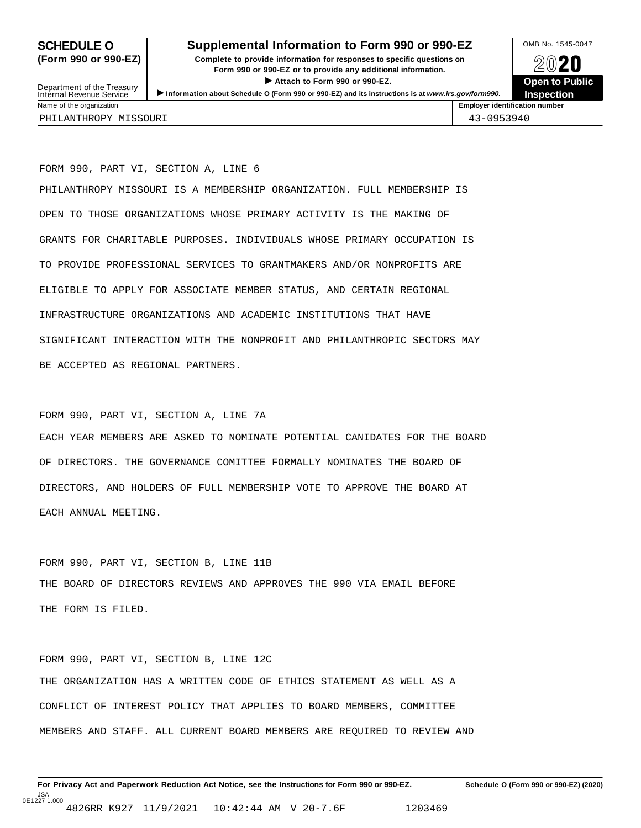#### **SCHEDULE O** Supplemental Information to Form 990 or 990-EZ DAMB No. 1545-0047

**(Form 990 or 990-EZ) Complete to provide information for responses to specific questions on** plete to provide information for responses to specific questions on  $\bigotimes_{\mathbb{Z}}\mathbb{Q}$  20 **EVECT**<br>
Attach to Form 990 or 990-EZ.<br>
and the Communication of the Communication of the Communication of the Communication of the Communication of the Communication of the Communication of the Communication of the Commu Department of the Treasury <br>Depen to Public<br>Name of the organization<br>Name of the organization<br>Name of the organization<br>Name of the organization<br>Name of the organization<br>Name of the organization<br>Name of the organization<br>Na



Department of the Treasury<br>Internal Revenue Service PHILANTHROPY MISSOURI 43-0953940

FORM 990, PART VI, SECTION A, LINE 6 PHILANTHROPY MISSOURI IS A MEMBERSHIP ORGANIZATION. FULL MEMBERSHIP IS OPEN TO THOSE ORGANIZATIONS WHOSE PRIMARY ACTIVITY IS THE MAKING OF GRANTS FOR CHARITABLE PURPOSES. INDIVIDUALS WHOSE PRIMARY OCCUPATION IS TO PROVIDE PROFESSIONAL SERVICES TO GRANTMAKERS AND/OR NONPROFITS ARE ELIGIBLE TO APPLY FOR ASSOCIATE MEMBER STATUS, AND CERTAIN REGIONAL INFRASTRUCTURE ORGANIZATIONS AND ACADEMIC INSTITUTIONS THAT HAVE SIGNIFICANT INTERACTION WITH THE NONPROFIT AND PHILANTHROPIC SECTORS MAY BE ACCEPTED AS REGIONAL PARTNERS.

FORM 990, PART VI, SECTION A, LINE 7A EACH YEAR MEMBERS ARE ASKED TO NOMINATE POTENTIAL CANIDATES FOR THE BOARD OF DIRECTORS. THE GOVERNANCE COMITTEE FORMALLY NOMINATES THE BOARD OF DIRECTORS, AND HOLDERS OF FULL MEMBERSHIP VOTE TO APPROVE THE BOARD AT EACH ANNUAL MEETING.

FORM 990, PART VI, SECTION B, LINE 11B THE BOARD OF DIRECTORS REVIEWS AND APPROVES THE 990 VIA EMAIL BEFORE THE FORM IS FILED.

FORM 990, PART VI, SECTION B, LINE 12C THE ORGANIZATION HAS A WRITTEN CODE OF ETHICS STATEMENT AS WELL AS A CONFLICT OF INTEREST POLICY THAT APPLIES TO BOARD MEMBERS, COMMITTEE MEMBERS AND STAFF. ALL CURRENT BOARD MEMBERS ARE REQUIRED TO REVIEW AND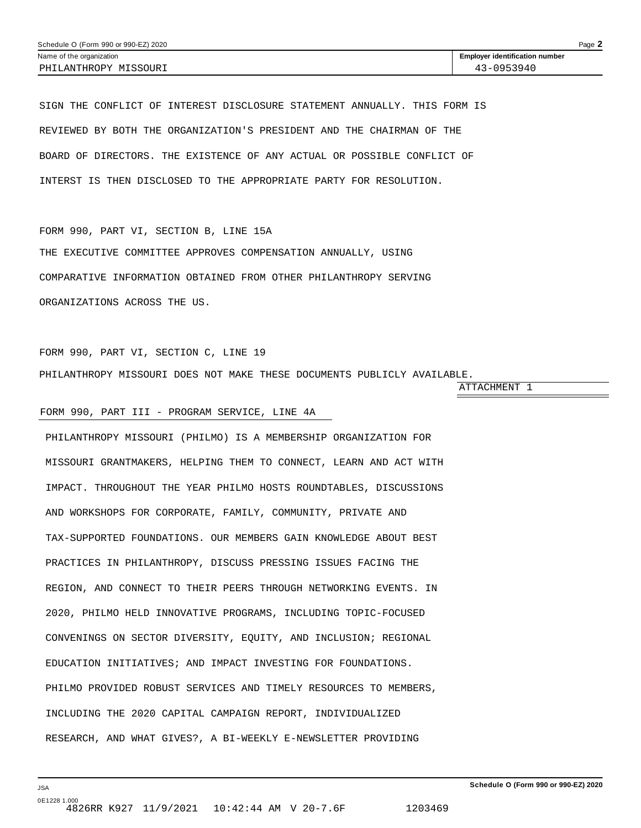<span id="page-31-0"></span>SIGN THE CONFLICT OF INTEREST DISCLOSURE STATEMENT ANNUALLY. THIS FORM IS REVIEWED BY BOTH THE ORGANIZATION'S PRESIDENT AND THE CHAIRMAN OF THE BOARD OF DIRECTORS. THE EXISTENCE OF ANY ACTUAL OR POSSIBLE CONFLICT OF INTERST IS THEN DISCLOSED TO THE APPROPRIATE PARTY FOR RESOLUTION.

FORM 990, PART VI, SECTION B, LINE 15A THE EXECUTIVE COMMITTEE APPROVES COMPENSATION ANNUALLY, USING COMPARATIVE INFORMATION OBTAINED FROM OTHER PHILANTHROPY SERVING ORGANIZATIONS ACROSS THE US.

FORM 990, PART VI, SECTION C, LINE 19

PHILANTHROPY MISSOURI DOES NOT MAKE THESE DOCUMENTS PUBLICLY AVAILABLE.

ATTACHMENT 1

#### FORM 990, PART III - PROGRAM SERVICE, LINE 4A

PHILANTHROPY MISSOURI (PHILMO) IS A MEMBERSHIP ORGANIZATION FOR MISSOURI GRANTMAKERS, HELPING THEM TO CONNECT, LEARN AND ACT WITH IMPACT. THROUGHOUT THE YEAR PHILMO HOSTS ROUNDTABLES, DISCUSSIONS AND WORKSHOPS FOR CORPORATE, FAMILY, COMMUNITY, PRIVATE AND TAX-SUPPORTED FOUNDATIONS. OUR MEMBERS GAIN KNOWLEDGE ABOUT BEST PRACTICES IN PHILANTHROPY, DISCUSS PRESSING ISSUES FACING THE REGION, AND CONNECT TO THEIR PEERS THROUGH NETWORKING EVENTS. IN 2020, PHILMO HELD INNOVATIVE PROGRAMS, INCLUDING TOPIC-FOCUSED CONVENINGS ON SECTOR DIVERSITY, EQUITY, AND INCLUSION; REGIONAL EDUCATION INITIATIVES; AND IMPACT INVESTING FOR FOUNDATIONS. PHILMO PROVIDED ROBUST SERVICES AND TIMELY RESOURCES TO MEMBERS, INCLUDING THE 2020 CAPITAL CAMPAIGN REPORT, INDIVIDUALIZED RESEARCH, AND WHAT GIVES?, A BI-WEEKLY E-NEWSLETTER PROVIDING

JSA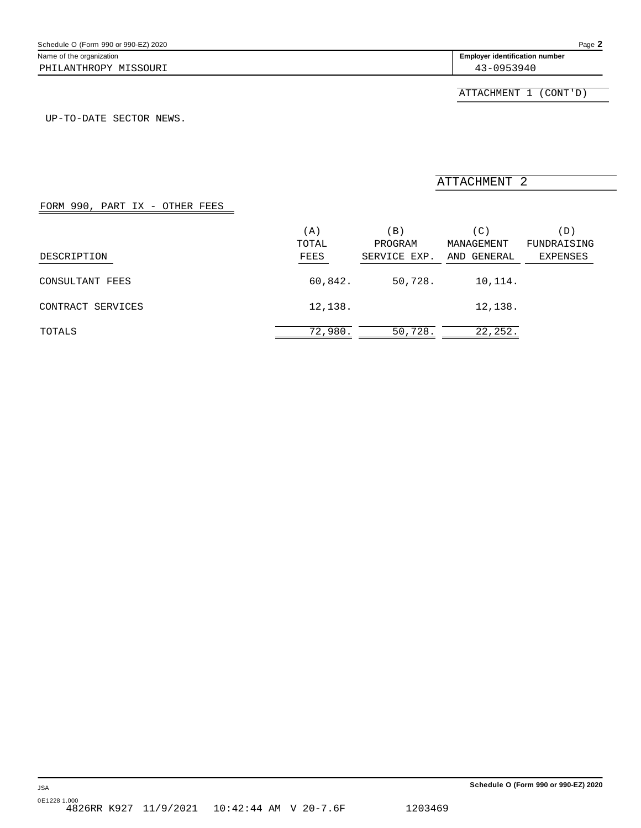ATTACHMENT 1 (CONT'D)

<span id="page-32-0"></span>UP-TO-DATE SECTOR NEWS.

#### ATTACHMENT 2

#### FORM 990, PART IX - OTHER FEES

| DESCRIPTION       | (A)<br>TOTAL<br>FEES | $\mathbf{B}$<br>PROGRAM<br>SERVICE EXP. | (C)<br>MANAGEMENT<br>AND GENERAL | (D)<br>FUNDRAISING<br>EXPENSES |
|-------------------|----------------------|-----------------------------------------|----------------------------------|--------------------------------|
| CONSULTANT FEES   | 60,842.              | 50,728.                                 | 10,114.                          |                                |
| CONTRACT SERVICES | 12,138.              |                                         | 12,138.                          |                                |
| TOTALS            | 72,980.              | 50,728.                                 | 22, 252.                         |                                |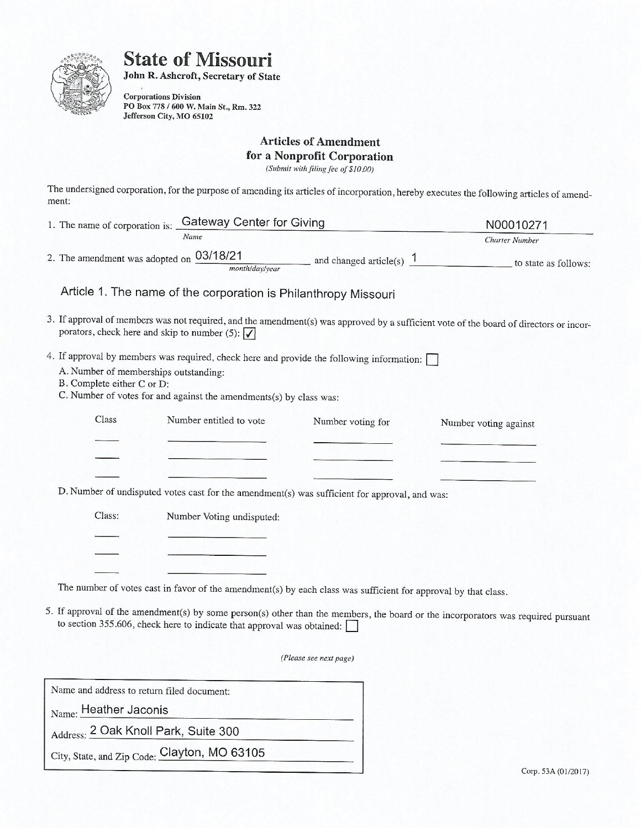

## **State of Missouri**

John R. Ashcroft, Secretary of State

**Corporations Division** PO Box 778 / 600 W. Main St., Rm. 322 Jefferson City, MO 65102

### **Articles of Amendment**

for a Nonprofit Corporation

(Submit with filing fee of \$10.00)

The undersigned corporation, for the purpose of amending its articles of incorporation, hereby executes the following articles of amendment:

|                                                                                                                | Gateway Center for Giving<br>1. The name of corporation is:                                                                                                                                                 |                                                                                   |                        | N00010271 |                                                                                                                                                   |  |  |  |  |  |
|----------------------------------------------------------------------------------------------------------------|-------------------------------------------------------------------------------------------------------------------------------------------------------------------------------------------------------------|-----------------------------------------------------------------------------------|------------------------|-----------|---------------------------------------------------------------------------------------------------------------------------------------------------|--|--|--|--|--|
|                                                                                                                |                                                                                                                                                                                                             | Name                                                                              |                        |           | <b>Charter Number</b>                                                                                                                             |  |  |  |  |  |
|                                                                                                                |                                                                                                                                                                                                             |                                                                                   |                        |           | 2. The amendment was adopted on $\frac{03/18/21}{\text{month/day/year}}$ and changed article(s) $\frac{1}{\text{month/day}}$ to state as follows: |  |  |  |  |  |
|                                                                                                                |                                                                                                                                                                                                             | Article 1. The name of the corporation is Philanthropy Missouri                   |                        |           |                                                                                                                                                   |  |  |  |  |  |
|                                                                                                                | 3. If approval of members was not required, and the amendment(s) was approved by a sufficient vote of the board of directors or incor-<br>porators, check here and skip to number (5): $\sqrt{\phantom{a}}$ |                                                                                   |                        |           |                                                                                                                                                   |  |  |  |  |  |
|                                                                                                                |                                                                                                                                                                                                             |                                                                                   |                        |           |                                                                                                                                                   |  |  |  |  |  |
|                                                                                                                | 4. If approval by members was required, check here and provide the following information:<br>A. Number of memberships outstanding:<br>B. Complete either C or D:                                            |                                                                                   |                        |           |                                                                                                                                                   |  |  |  |  |  |
|                                                                                                                |                                                                                                                                                                                                             | C. Number of votes for and against the amendments(s) by class was:                |                        |           |                                                                                                                                                   |  |  |  |  |  |
|                                                                                                                | Class                                                                                                                                                                                                       | Number entitled to vote                                                           | Number voting for      |           | Number voting against                                                                                                                             |  |  |  |  |  |
|                                                                                                                |                                                                                                                                                                                                             | and the state of the state of the state of the state of the state of the state of |                        |           |                                                                                                                                                   |  |  |  |  |  |
| D. Number of undisputed votes cast for the amendment(s) was sufficient for approval, and was:                  |                                                                                                                                                                                                             |                                                                                   |                        |           |                                                                                                                                                   |  |  |  |  |  |
|                                                                                                                | Class:                                                                                                                                                                                                      | Number Voting undisputed:                                                         |                        |           |                                                                                                                                                   |  |  |  |  |  |
|                                                                                                                |                                                                                                                                                                                                             | <u> Literaturian a provinc</u>                                                    |                        |           |                                                                                                                                                   |  |  |  |  |  |
|                                                                                                                |                                                                                                                                                                                                             |                                                                                   |                        |           |                                                                                                                                                   |  |  |  |  |  |
| The number of votes cast in favor of the amendment(s) by each class was sufficient for approval by that class. |                                                                                                                                                                                                             |                                                                                   |                        |           |                                                                                                                                                   |  |  |  |  |  |
|                                                                                                                |                                                                                                                                                                                                             | to section 355.606, check here to indicate that approval was obtained:            |                        |           | 5. If approval of the amendment(s) by some person(s) other than the members, the board or the incorporators was required pursuant                 |  |  |  |  |  |
|                                                                                                                |                                                                                                                                                                                                             |                                                                                   | (Please see next page) |           |                                                                                                                                                   |  |  |  |  |  |
|                                                                                                                | Name and address to return filed document:                                                                                                                                                                  |                                                                                   |                        |           |                                                                                                                                                   |  |  |  |  |  |
|                                                                                                                | Name: Heather Jaconis                                                                                                                                                                                       |                                                                                   |                        |           |                                                                                                                                                   |  |  |  |  |  |
|                                                                                                                | Address: 2 Oak Knoll Park, Suite 300                                                                                                                                                                        |                                                                                   |                        |           |                                                                                                                                                   |  |  |  |  |  |

City, State, and Zip Code: Clayton, MO 63105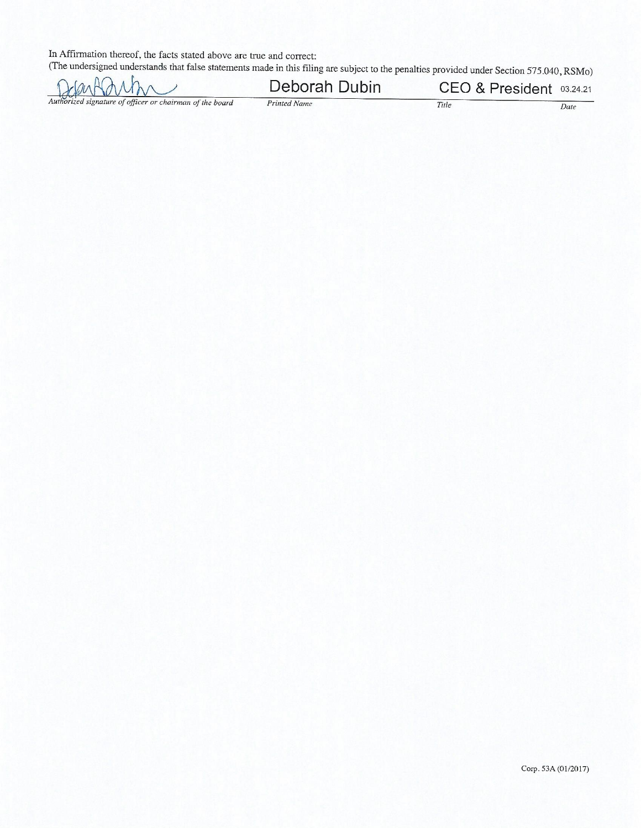In Affirmation thereof, the facts stated above are true and correct:

(The undersigned understands that false statements made in this filing are subject to the penalties provided under Section 575.040, RSMo) Deborah Dubin

 $n_A$ 

Authorized signature of officer or chairman of the board

**Printed Name** 

Date